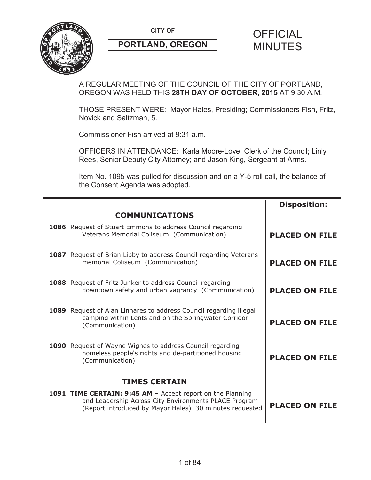**CITY OF CITY OF SAMPLE OF FICIAL** 



# **PORTLAND, OREGON MINUTES**

# A REGULAR MEETING OF THE COUNCIL OF THE CITY OF PORTLAND, OREGON WAS HELD THIS **28TH DAY OF OCTOBER, 2015** AT 9:30 A.M.

THOSE PRESENT WERE: Mayor Hales, Presiding; Commissioners Fish, Fritz, Novick and Saltzman, 5.

Commissioner Fish arrived at 9:31 a.m.

OFFICERS IN ATTENDANCE: Karla Moore-Love, Clerk of the Council; Linly Rees, Senior Deputy City Attorney; and Jason King, Sergeant at Arms.

Item No. 1095 was pulled for discussion and on a Y-5 roll call, the balance of the Consent Agenda was adopted.

|                                                                                                                                                                                | <b>Disposition:</b>   |
|--------------------------------------------------------------------------------------------------------------------------------------------------------------------------------|-----------------------|
| <b>COMMUNICATIONS</b>                                                                                                                                                          |                       |
| 1086 Request of Stuart Emmons to address Council regarding<br>Veterans Memorial Coliseum (Communication)                                                                       | <b>PLACED ON FILE</b> |
| <b>1087</b> Request of Brian Libby to address Council regarding Veterans<br>memorial Coliseum (Communication)                                                                  | <b>PLACED ON FILE</b> |
| 1088 Request of Fritz Junker to address Council regarding<br>downtown safety and urban vagrancy (Communication)                                                                | <b>PLACED ON FILE</b> |
| 1089 Request of Alan Linhares to address Council regarding illegal<br>camping within Lents and on the Springwater Corridor<br>(Communication)                                  | <b>PLACED ON FILE</b> |
| 1090 Request of Wayne Wignes to address Council regarding<br>homeless people's rights and de-partitioned housing<br>(Communication)                                            | <b>PLACED ON FILE</b> |
| <b>TIMES CERTAIN</b>                                                                                                                                                           |                       |
| 1091 TIME CERTAIN: 9:45 AM - Accept report on the Planning<br>and Leadership Across City Environments PLACE Program<br>(Report introduced by Mayor Hales) 30 minutes requested | <b>PLACED ON FILE</b> |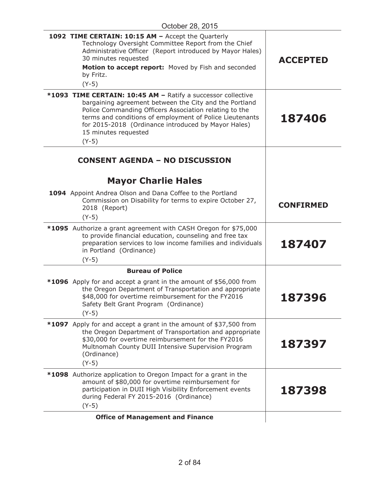| 1092 TIME CERTAIN: 10:15 AM - Accept the Quarterly<br>Technology Oversight Committee Report from the Chief<br>Administrative Officer (Report introduced by Mayor Hales)<br>30 minutes requested<br>Motion to accept report: Moved by Fish and seconded<br>by Fritz.<br>$(Y-5)$                                                         | <b>ACCEPTED</b>  |
|----------------------------------------------------------------------------------------------------------------------------------------------------------------------------------------------------------------------------------------------------------------------------------------------------------------------------------------|------------------|
| *1093 TIME CERTAIN: 10:45 AM - Ratify a successor collective<br>bargaining agreement between the City and the Portland<br>Police Commanding Officers Association relating to the<br>terms and conditions of employment of Police Lieutenants<br>for 2015-2018 (Ordinance introduced by Mayor Hales)<br>15 minutes requested<br>$(Y-5)$ | 187406           |
| <b>CONSENT AGENDA - NO DISCUSSION</b><br><b>Mayor Charlie Hales</b>                                                                                                                                                                                                                                                                    |                  |
| 1094 Appoint Andrea Olson and Dana Coffee to the Portland<br>Commission on Disability for terms to expire October 27,<br>2018 (Report)<br>$(Y-5)$                                                                                                                                                                                      | <b>CONFIRMED</b> |
| <b>*1095</b> Authorize a grant agreement with CASH Oregon for \$75,000<br>to provide financial education, counseling and free tax<br>preparation services to low income families and individuals<br>in Portland (Ordinance)<br>$(Y-5)$                                                                                                 | 187407           |
| <b>Bureau of Police</b>                                                                                                                                                                                                                                                                                                                |                  |
| *1096 Apply for and accept a grant in the amount of \$56,000 from<br>the Oregon Department of Transportation and appropriate<br>\$48,000 for overtime reimbursement for the FY2016<br>Safety Belt Grant Program (Ordinance)<br>$(Y-5)$                                                                                                 | 187396           |
| *1097 Apply for and accept a grant in the amount of \$37,500 from<br>the Oregon Department of Transportation and appropriate<br>\$30,000 for overtime reimbursement for the FY2016<br>Multnomah County DUII Intensive Supervision Program<br>(Ordinance)<br>$(Y-5)$                                                                    | 187397           |
| *1098 Authorize application to Oregon Impact for a grant in the<br>amount of \$80,000 for overtime reimbursement for<br>participation in DUII High Visibility Enforcement events<br>during Federal FY 2015-2016 (Ordinance)<br>$(Y-5)$                                                                                                 | 187398           |
| <b>Office of Management and Finance</b>                                                                                                                                                                                                                                                                                                |                  |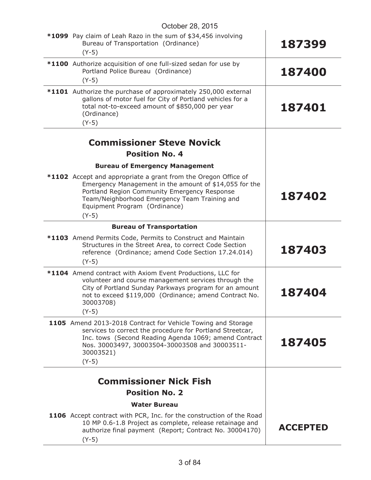| October 28, 2015                                                                                                                                                                                                                                                      |                 |
|-----------------------------------------------------------------------------------------------------------------------------------------------------------------------------------------------------------------------------------------------------------------------|-----------------|
| *1099 Pay claim of Leah Razo in the sum of \$34,456 involving<br>Bureau of Transportation (Ordinance)<br>$(Y-5)$                                                                                                                                                      | 187399          |
| *1100 Authorize acquisition of one full-sized sedan for use by<br>Portland Police Bureau (Ordinance)<br>$(Y-5)$                                                                                                                                                       | 187400          |
| *1101 Authorize the purchase of approximately 250,000 external<br>gallons of motor fuel for City of Portland vehicles for a<br>total not-to-exceed amount of \$850,000 per year<br>(Ordinance)<br>$(Y-5)$                                                             | 187401          |
| <b>Commissioner Steve Novick</b>                                                                                                                                                                                                                                      |                 |
| <b>Position No. 4</b>                                                                                                                                                                                                                                                 |                 |
|                                                                                                                                                                                                                                                                       |                 |
| <b>Bureau of Emergency Management</b>                                                                                                                                                                                                                                 |                 |
| *1102 Accept and appropriate a grant from the Oregon Office of<br>Emergency Management in the amount of \$14,055 for the<br>Portland Region Community Emergency Response<br>Team/Neighborhood Emergency Team Training and<br>Equipment Program (Ordinance)<br>$(Y-5)$ | 187402          |
| <b>Bureau of Transportation</b>                                                                                                                                                                                                                                       |                 |
| *1103 Amend Permits Code, Permits to Construct and Maintain<br>Structures in the Street Area, to correct Code Section<br>reference (Ordinance; amend Code Section 17.24.014)<br>$(Y-5)$                                                                               | 187403          |
| *1104 Amend contract with Axiom Event Productions, LLC for<br>volunteer and course management services through the<br>City of Portland Sunday Parkways program for an amount<br>not to exceed \$119,000 (Ordinance; amend Contract No.<br>30003708)<br>$(Y-5)$        | <b>187404</b>   |
| 1105 Amend 2013-2018 Contract for Vehicle Towing and Storage<br>services to correct the procedure for Portland Streetcar,<br>Inc. tows (Second Reading Agenda 1069; amend Contract<br>Nos. 30003497, 30003504-30003508 and 30003511-<br>30003521)<br>$(Y-5)$          | 187405          |
|                                                                                                                                                                                                                                                                       |                 |
| <b>Commissioner Nick Fish</b>                                                                                                                                                                                                                                         |                 |
| <b>Position No. 2</b>                                                                                                                                                                                                                                                 |                 |
| <b>Water Bureau</b>                                                                                                                                                                                                                                                   |                 |
| <b>1106</b> Accept contract with PCR, Inc. for the construction of the Road<br>10 MP 0.6-1.8 Project as complete, release retainage and<br>authorize final payment (Report; Contract No. 30004170)<br>$(Y-5)$                                                         | <b>ACCEPTED</b> |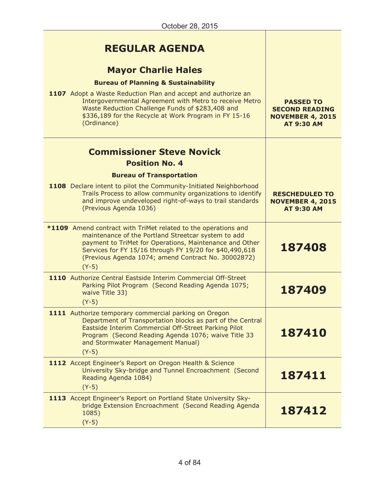| <b>REGULAR AGENDA</b><br><b>Mayor Charlie Hales</b><br><b>Bureau of Planning &amp; Sustainability</b><br>1107 Adopt a Waste Reduction Plan and accept and authorize an<br>Intergovernmental Agreement with Metro to receive Metro<br>Waste Reduction Challenge Funds of \$283,408 and<br>\$336,189 for the Recycle at Work Program in FY 15-16<br>(Ordinance) | <b>PASSED TO</b><br><b>SECOND READING</b><br><b>NOVEMBER 4, 2015</b><br><b>AT 9:30 AM</b> |
|---------------------------------------------------------------------------------------------------------------------------------------------------------------------------------------------------------------------------------------------------------------------------------------------------------------------------------------------------------------|-------------------------------------------------------------------------------------------|
| <b>Commissioner Steve Novick</b><br><b>Position No. 4</b><br><b>Bureau of Transportation</b>                                                                                                                                                                                                                                                                  |                                                                                           |
| 1108 Declare intent to pilot the Community-Initiated Neighborhood<br>Trails Process to allow community organizations to identify<br>and improve undeveloped right-of-ways to trail standards<br>(Previous Agenda 1036)                                                                                                                                        | <b>RESCHEDULED TO</b><br><b>NOVEMBER 4, 2015</b><br><b>AT 9:30 AM</b>                     |
| *1109 Amend contract with TriMet related to the operations and<br>maintenance of the Portland Streetcar system to add<br>payment to TriMet for Operations, Maintenance and Other<br>Services for FY 15/16 through FY 19/20 for \$40,490,618<br>(Previous Agenda 1074; amend Contract No. 30002872)<br>$(Y-5)$                                                 | 187408                                                                                    |
| 1110 Authorize Central Eastside Interim Commercial Off-Street<br>Parking Pilot Program (Second Reading Agenda 1075;<br>waive Title 33)<br>$(Y-5)$                                                                                                                                                                                                             | 187409                                                                                    |
| 1111 Authorize temporary commercial parking on Oregon<br>Department of Transportation blocks as part of the Central<br>Eastside Interim Commercial Off-Street Parking Pilot<br>Program (Second Reading Agenda 1076; waive Title 33<br>and Stormwater Management Manual)<br>$(Y-5)$                                                                            | 187410                                                                                    |
| 1112 Accept Engineer's Report on Oregon Health & Science<br>University Sky-bridge and Tunnel Encroachment (Second<br>Reading Agenda 1084)<br>$(Y-5)$                                                                                                                                                                                                          | 187411                                                                                    |
| 1113 Accept Engineer's Report on Portland State University Sky-<br>bridge Extension Encroachment (Second Reading Agenda<br>1085)<br>$(Y-5)$                                                                                                                                                                                                                   | 187412                                                                                    |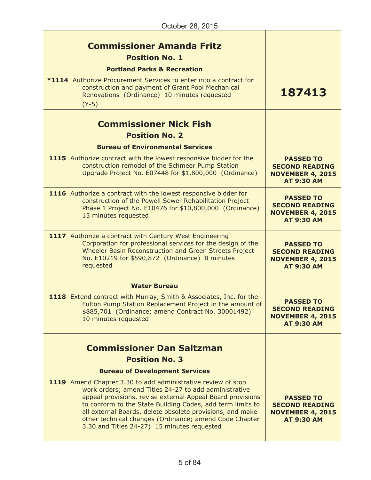| <b>Commissioner Amanda Fritz</b><br><b>Position No. 1</b><br><b>Portland Parks &amp; Recreation</b>                                                                                                                                                                                                                                                                                                                     |                                                                                           |
|-------------------------------------------------------------------------------------------------------------------------------------------------------------------------------------------------------------------------------------------------------------------------------------------------------------------------------------------------------------------------------------------------------------------------|-------------------------------------------------------------------------------------------|
| *1114 Authorize Procurement Services to enter into a contract for<br>construction and payment of Grant Pool Mechanical<br>Renovations (Ordinance) 10 minutes requested<br>$(Y-5)$                                                                                                                                                                                                                                       | 187413                                                                                    |
| <b>Commissioner Nick Fish</b>                                                                                                                                                                                                                                                                                                                                                                                           |                                                                                           |
| <b>Position No. 2</b>                                                                                                                                                                                                                                                                                                                                                                                                   |                                                                                           |
| <b>Bureau of Environmental Services</b>                                                                                                                                                                                                                                                                                                                                                                                 |                                                                                           |
| 1115 Authorize contract with the lowest responsive bidder for the<br>construction remodel of the Schmeer Pump Station<br>Upgrade Project No. E07448 for \$1,800,000 (Ordinance)                                                                                                                                                                                                                                         | <b>PASSED TO</b><br><b>SECOND READING</b><br><b>NOVEMBER 4, 2015</b><br><b>AT 9:30 AM</b> |
| 1116 Authorize a contract with the lowest responsive bidder for<br>construction of the Powell Sewer Rehabilitation Project<br>Phase 1 Project No. E10476 for \$10,800,000 (Ordinance)<br>15 minutes requested                                                                                                                                                                                                           | <b>PASSED TO</b><br><b>SECOND READING</b><br><b>NOVEMBER 4, 2015</b><br><b>AT 9:30 AM</b> |
| 1117 Authorize a contract with Century West Engineering<br>Corporation for professional services for the design of the<br>Wheeler Basin Reconstruction and Green Streets Project<br>No. E10219 for \$590,872 (Ordinance) 8 minutes<br>requested                                                                                                                                                                         | <b>PASSED TO</b><br><b>SECOND READING</b><br><b>NOVEMBER 4, 2015</b><br><b>AT 9:30 AM</b> |
| <b>Water Bureau</b>                                                                                                                                                                                                                                                                                                                                                                                                     |                                                                                           |
| 1118 Extend contract with Murray, Smith & Associates, Inc. for the<br>Fulton Pump Station Replacement Project in the amount of<br>\$885,701 (Ordinance; amend Contract No. 30001492)<br>10 minutes requested                                                                                                                                                                                                            | <b>PASSED TO</b><br><b>SECOND READING</b><br><b>NOVEMBER 4, 2015</b><br><b>AT 9:30 AM</b> |
|                                                                                                                                                                                                                                                                                                                                                                                                                         |                                                                                           |
| <b>Commissioner Dan Saltzman</b>                                                                                                                                                                                                                                                                                                                                                                                        |                                                                                           |
| <b>Position No. 3</b>                                                                                                                                                                                                                                                                                                                                                                                                   |                                                                                           |
| <b>Bureau of Development Services</b>                                                                                                                                                                                                                                                                                                                                                                                   |                                                                                           |
| 1119 Amend Chapter 3.30 to add administrative review of stop<br>work orders; amend Titles 24-27 to add administrative<br>appeal provisions, revise external Appeal Board provisions<br>to conform to the State Building Codes, add term limits to<br>all external Boards, delete obsolete provisions, and make<br>other technical changes (Ordinance; amend Code Chapter<br>3.30 and Titles 24-27) 15 minutes requested | <b>PASSED TO</b><br><b>SECOND READING</b><br><b>NOVEMBER 4, 2015</b><br><b>AT 9:30 AM</b> |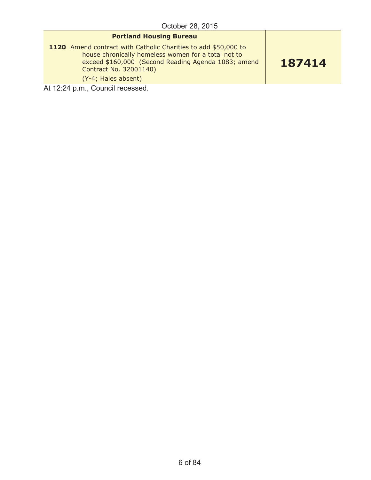| <b>Portland Housing Bureau</b>                                                                                                                                                                                                |        |
|-------------------------------------------------------------------------------------------------------------------------------------------------------------------------------------------------------------------------------|--------|
| 1120 Amend contract with Catholic Charities to add \$50,000 to<br>house chronically homeless women for a total not to<br>exceed \$160,000 (Second Reading Agenda 1083; amend<br>Contract No. 32001140)<br>(Y-4; Hales absent) | 187414 |
| $\lambda + 49.04$ $\mu$ $\mu$                                                                                                                                                                                                 |        |

At 12:24 p.m., Council recessed.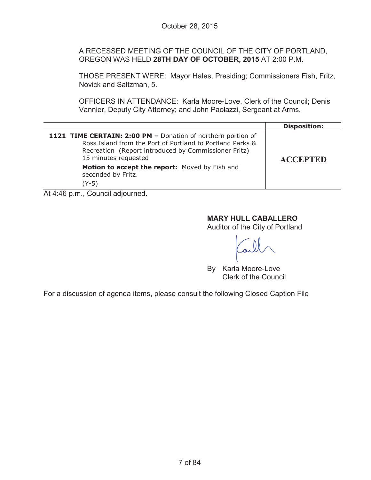A RECESSED MEETING OF THE COUNCIL OF THE CITY OF PORTLAND, OREGON WAS HELD **28TH DAY OF OCTOBER, 2015** AT 2:00 P.M.

THOSE PRESENT WERE: Mayor Hales, Presiding; Commissioners Fish, Fritz, Novick and Saltzman, 5.

OFFICERS IN ATTENDANCE: Karla Moore-Love, Clerk of the Council; Denis Vannier, Deputy City Attorney; and John Paolazzi, Sergeant at Arms.

|                                                                                                                                                                                                                                                                                                  | <b>Disposition:</b> |
|--------------------------------------------------------------------------------------------------------------------------------------------------------------------------------------------------------------------------------------------------------------------------------------------------|---------------------|
| 1121 TIME CERTAIN: 2:00 PM - Donation of northern portion of<br>Ross Island from the Port of Portland to Portland Parks &<br>Recreation (Report introduced by Commissioner Fritz)<br>15 minutes requested                                                                                        | <b>ACCEPTED</b>     |
| Motion to accept the report: Moved by Fish and<br>seconded by Fritz.                                                                                                                                                                                                                             |                     |
| $(Y-5)$                                                                                                                                                                                                                                                                                          |                     |
| $\mathbf{A}$ and $\mathbf{A}$ and $\mathbf{A}$ are $\mathbf{A}$ and $\mathbf{A}$ are $\mathbf{A}$ and $\mathbf{A}$ and $\mathbf{A}$ are $\mathbf{A}$ and $\mathbf{A}$ are $\mathbf{A}$ and $\mathbf{A}$ are $\mathbf{A}$ and $\mathbf{A}$ are $\mathbf{A}$ and $\mathbf{A}$ are $\mathbf{A}$ and |                     |

At 4:46 p.m., Council adjourned.

## **MARY HULL CABALLERO**

Auditor of the City of Portland

By Karla Moore-Love Clerk of the Council

For a discussion of agenda items, please consult the following Closed Caption File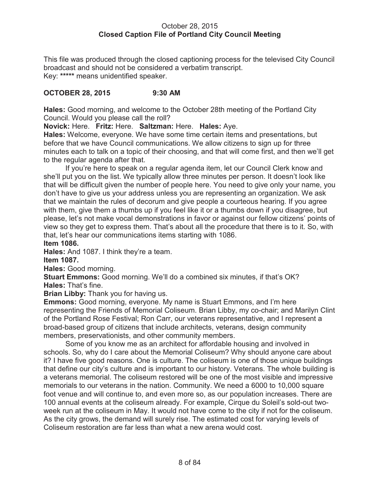## October 28, 2015 **Closed Caption File of Portland City Council Meeting**

This file was produced through the closed captioning process for the televised City Council broadcast and should not be considered a verbatim transcript. Key: **\*\*\*\*\*** means unidentified speaker.

## **OCTOBER 28, 2015 9:30 AM**

**Hales:** Good morning, and welcome to the October 28th meeting of the Portland City Council. Would you please call the roll?

**Novick:** Here. **Fritz:** Here. **Saltzman:** Here. **Hales:** Aye.

**Hales:** Welcome, everyone. We have some time certain items and presentations, but before that we have Council communications. We allow citizens to sign up for three minutes each to talk on a topic of their choosing, and that will come first, and then we'll get to the regular agenda after that.

If you're here to speak on a regular agenda item, let our Council Clerk know and she'll put you on the list. We typically allow three minutes per person. It doesn't look like that will be difficult given the number of people here. You need to give only your name, you don't have to give us your address unless you are representing an organization. We ask that we maintain the rules of decorum and give people a courteous hearing. If you agree with them, give them a thumbs up if you feel like it or a thumbs down if you disagree, but please, let's not make vocal demonstrations in favor or against our fellow citizens' points of view so they get to express them. That's about all the procedure that there is to it. So, with that, let's hear our communications items starting with 1086. **Item 1086.**

**Hales:** And 1087. I think they're a team.

**Item 1087.**

**Hales:** Good morning.

**Stuart Emmons:** Good morning. We'll do a combined six minutes, if that's OK? **Hales:** That's fine.

**Brian Libby:** Thank you for having us.

**Emmons:** Good morning, everyone. My name is Stuart Emmons, and I'm here representing the Friends of Memorial Coliseum. Brian Libby, my co-chair; and Marilyn Clint of the Portland Rose Festival; Ron Carr, our veterans representative, and I represent a broad-based group of citizens that include architects, veterans, design community members, preservationists, and other community members.

Some of you know me as an architect for affordable housing and involved in schools. So, why do I care about the Memorial Coliseum? Why should anyone care about it? I have five good reasons. One is culture. The coliseum is one of those unique buildings that define our city's culture and is important to our history. Veterans. The whole building is a veterans memorial. The coliseum restored will be one of the most visible and impressive memorials to our veterans in the nation. Community. We need a 6000 to 10,000 square foot venue and will continue to, and even more so, as our population increases. There are 100 annual events at the coliseum already. For example, Cirque du Soleil's sold-out twoweek run at the coliseum in May. It would not have come to the city if not for the coliseum. As the city grows, the demand will surely rise. The estimated cost for varying levels of Coliseum restoration are far less than what a new arena would cost.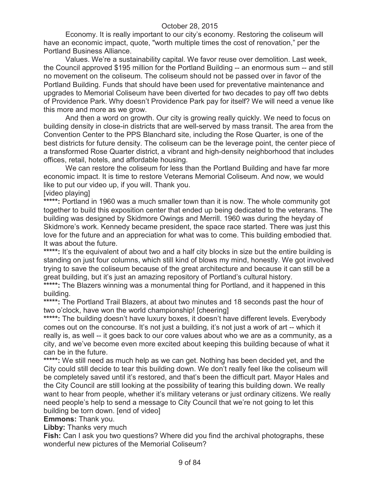Economy. It is really important to our city's economy. Restoring the coliseum will have an economic impact, quote, "worth multiple times the cost of renovation," per the Portland Business Alliance.

Values. We're a sustainability capital. We favor reuse over demolition. Last week, the Council approved \$195 million for the Portland Building -- an enormous sum -- and still no movement on the coliseum. The coliseum should not be passed over in favor of the Portland Building. Funds that should have been used for preventative maintenance and upgrades to Memorial Coliseum have been diverted for two decades to pay off two debts of Providence Park. Why doesn't Providence Park pay for itself? We will need a venue like this more and more as we grow.

And then a word on growth. Our city is growing really quickly. We need to focus on building density in close-in districts that are well-served by mass transit. The area from the Convention Center to the PPS Blanchard site, including the Rose Quarter, is one of the best districts for future density. The coliseum can be the leverage point, the center piece of a transformed Rose Quarter district, a vibrant and high-density neighborhood that includes offices, retail, hotels, and affordable housing.

We can restore the coliseum for less than the Portland Building and have far more economic impact. It is time to restore Veterans Memorial Coliseum. And now, we would like to put our video up, if you will. Thank you.

[video playing]

\*\*\*\*\*: Portland in 1960 was a much smaller town than it is now. The whole community got together to build this exposition center that ended up being dedicated to the veterans. The building was designed by Skidmore Owings and Merrill. 1960 was during the heyday of Skidmore's work. Kennedy became president, the space race started. There was just this love for the future and an appreciation for what was to come. This building embodied that. It was about the future.

\*\*\*\*\*: It's the equivalent of about two and a half city blocks in size but the entire building is standing on just four columns, which still kind of blows my mind, honestly. We got involved trying to save the coliseum because of the great architecture and because it can still be a great building, but it's just an amazing repository of Portland's cultural history.

\*\*\*\*\*: The Blazers winning was a monumental thing for Portland, and it happened in this building.

\*\*\*\*\*: The Portland Trail Blazers, at about two minutes and 18 seconds past the hour of two o'clock, have won the world championship! [cheering]

\*\*\*\*\*: The building doesn't have luxury boxes, it doesn't have different levels. Everybody comes out on the concourse. It's not just a building, it's not just a work of art -- which it really is, as well -- it goes back to our core values about who we are as a community, as a city, and we've become even more excited about keeping this building because of what it can be in the future.

**\*\*\*\*\*:** We still need as much help as we can get. Nothing has been decided yet, and the City could still decide to tear this building down. We don't really feel like the coliseum will be completely saved until it's restored, and that's been the difficult part. Mayor Hales and the City Council are still looking at the possibility of tearing this building down. We really want to hear from people, whether it's military veterans or just ordinary citizens. We really need people's help to send a message to City Council that we're not going to let this building be torn down. [end of video]

**Emmons:** Thank you.

**Libby:** Thanks very much

**Fish:** Can I ask you two questions? Where did you find the archival photographs, these wonderful new pictures of the Memorial Coliseum?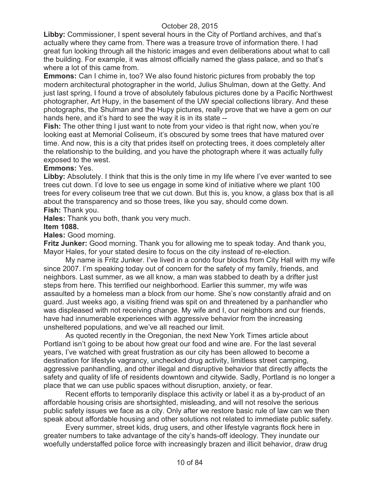**Libby:** Commissioner, I spent several hours in the City of Portland archives, and that's actually where they came from. There was a treasure trove of information there. I had great fun looking through all the historic images and even deliberations about what to call the building. For example, it was almost officially named the glass palace, and so that's where a lot of this came from.

**Emmons:** Can I chime in, too? We also found historic pictures from probably the top modern architectural photographer in the world, Julius Shulman, down at the Getty. And just last spring, I found a trove of absolutely fabulous pictures done by a Pacific Northwest photographer, Art Hupy, in the basement of the UW special collections library. And these photographs, the Shulman and the Hupy pictures, really prove that we have a gem on our hands here, and it's hard to see the way it is in its state --

**Fish:** The other thing I just want to note from your video is that right now, when you're looking east at Memorial Coliseum, it's obscured by some trees that have matured over time. And now, this is a city that prides itself on protecting trees, it does completely alter the relationship to the building, and you have the photograph where it was actually fully exposed to the west.

## **Emmons:** Yes.

**Libby:** Absolutely. I think that this is the only time in my life where I've ever wanted to see trees cut down. I'd love to see us engage in some kind of initiative where we plant 100 trees for every coliseum tree that we cut down. But this is, you know, a glass box that is all about the transparency and so those trees, like you say, should come down. **Fish:** Thank you.

**Hales:** Thank you both, thank you very much.

## **Item 1088.**

**Hales:** Good morning.

**Fritz Junker:** Good morning. Thank you for allowing me to speak today. And thank you, Mayor Hales, for your stated desire to focus on the city instead of re-election.

My name is Fritz Junker. I've lived in a condo four blocks from City Hall with my wife since 2007. I'm speaking today out of concern for the safety of my family, friends, and neighbors. Last summer, as we all know, a man was stabbed to death by a drifter just steps from here. This terrified our neighborhood. Earlier this summer, my wife was assaulted by a homeless man a block from our home. She's now constantly afraid and on guard. Just weeks ago, a visiting friend was spit on and threatened by a panhandler who was displeased with not receiving change. My wife and I, our neighbors and our friends, have had innumerable experiences with aggressive behavior from the increasing unsheltered populations, and we've all reached our limit.

As quoted recently in the Oregonian, the next New York Times article about Portland isn't going to be about how great our food and wine are. For the last several years, I've watched with great frustration as our city has been allowed to become a destination for lifestyle vagrancy, unchecked drug activity, limitless street camping, aggressive panhandling, and other illegal and disruptive behavior that directly affects the safety and quality of life of residents downtown and citywide. Sadly, Portland is no longer a place that we can use public spaces without disruption, anxiety, or fear.

Recent efforts to temporarily displace this activity or label it as a by-product of an affordable housing crisis are shortsighted, misleading, and will not resolve the serious public safety issues we face as a city. Only after we restore basic rule of law can we then speak about affordable housing and other solutions not related to immediate public safety.

Every summer, street kids, drug users, and other lifestyle vagrants flock here in greater numbers to take advantage of the city's hands-off ideology. They inundate our woefully understaffed police force with increasingly brazen and illicit behavior, draw drug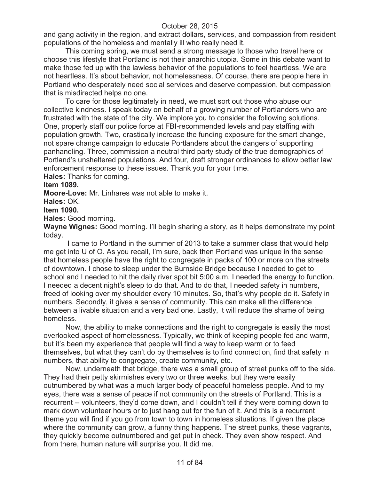and gang activity in the region, and extract dollars, services, and compassion from resident populations of the homeless and mentally ill who really need it.

This coming spring, we must send a strong message to those who travel here or choose this lifestyle that Portland is not their anarchic utopia. Some in this debate want to make those fed up with the lawless behavior of the populations to feel heartless. We are not heartless. It's about behavior, not homelessness. Of course, there are people here in Portland who desperately need social services and deserve compassion, but compassion that is misdirected helps no one.

To care for those legitimately in need, we must sort out those who abuse our collective kindness. I speak today on behalf of a growing number of Portlanders who are frustrated with the state of the city. We implore you to consider the following solutions. One, properly staff our police force at FBI-recommended levels and pay staffing with population growth. Two, drastically increase the funding exposure for the smart change, not spare change campaign to educate Portlanders about the dangers of supporting panhandling. Three, commission a neutral third party study of the true demographics of Portland's unsheltered populations. And four, draft stronger ordinances to allow better law enforcement response to these issues. Thank you for your time.

**Hales:** Thanks for coming.

# **Item 1089.**

**Moore-Love:** Mr. Linhares was not able to make it.

**Hales:** OK.

#### **Item 1090.**

**Hales:** Good morning.

**Wayne Wignes:** Good morning. I'll begin sharing a story, as it helps demonstrate my point today.

I came to Portland in the summer of 2013 to take a summer class that would help me get into U of O. As you recall, I'm sure, back then Portland was unique in the sense that homeless people have the right to congregate in packs of 100 or more on the streets of downtown. I chose to sleep under the Burnside Bridge because I needed to get to school and I needed to hit the daily river spot bit 5:00 a.m. I needed the energy to function. I needed a decent night's sleep to do that. And to do that, I needed safety in numbers, freed of looking over my shoulder every 10 minutes. So, that's why people do it. Safety in numbers. Secondly, it gives a sense of community. This can make all the difference between a livable situation and a very bad one. Lastly, it will reduce the shame of being homeless.

Now, the ability to make connections and the right to congregate is easily the most overlooked aspect of homelessness. Typically, we think of keeping people fed and warm, but it's been my experience that people will find a way to keep warm or to feed themselves, but what they can't do by themselves is to find connection, find that safety in numbers, that ability to congregate, create community, etc.

Now, underneath that bridge, there was a small group of street punks off to the side. They had their petty skirmishes every two or three weeks, but they were easily outnumbered by what was a much larger body of peaceful homeless people. And to my eyes, there was a sense of peace if not community on the streets of Portland. This is a recurrent -- volunteers, they'd come down, and I couldn't tell if they were coming down to mark down volunteer hours or to just hang out for the fun of it. And this is a recurrent theme you will find if you go from town to town in homeless situations. If given the place where the community can grow, a funny thing happens. The street punks, these vagrants, they quickly become outnumbered and get put in check. They even show respect. And from there, human nature will surprise you. It did me.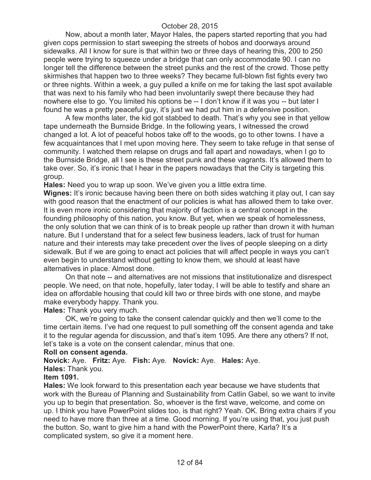Now, about a month later, Mayor Hales, the papers started reporting that you had given cops permission to start sweeping the streets of hobos and doorways around sidewalks. All I know for sure is that within two or three days of hearing this, 200 to 250 people were trying to squeeze under a bridge that can only accommodate 90. I can no longer tell the difference between the street punks and the rest of the crowd. Those petty skirmishes that happen two to three weeks? They became full-blown fist fights every two or three nights. Within a week, a guy pulled a knife on me for taking the last spot available that was next to his family who had been involuntarily swept there because they had nowhere else to go. You limited his options be -- I don't know if it was you -- but later I found he was a pretty peaceful guy, it's just we had put him in a defensive position.

A few months later, the kid got stabbed to death. That's why you see in that yellow tape underneath the Burnside Bridge. In the following years, I witnessed the crowd changed a lot. A lot of peaceful hobos take off to the woods, go to other towns. I have a few acquaintances that I met upon moving here. They seem to take refuge in that sense of community. I watched them relapse on drugs and fall apart and nowadays, when I go to the Burnside Bridge, all I see is these street punk and these vagrants. It's allowed them to take over. So, it's ironic that I hear in the papers nowadays that the City is targeting this group.

**Hales:** Need you to wrap up soon. We've given you a little extra time.

**Wignes:** It's ironic because having been there on both sides watching it play out, I can say with good reason that the enactment of our policies is what has allowed them to take over. It is even more ironic considering that majority of faction is a central concept in the founding philosophy of this nation, you know. But yet, when we speak of homelessness, the only solution that we can think of is to break people up rather than drown it with human nature. But I understand that for a select few business leaders, lack of trust for human nature and their interests may take precedent over the lives of people sleeping on a dirty sidewalk. But if we are going to enact act policies that will affect people in ways you can't even begin to understand without getting to know them, we should at least have alternatives in place. Almost done.

On that note -- and alternatives are not missions that institutionalize and disrespect people. We need, on that note, hopefully, later today, I will be able to testify and share an idea on affordable housing that could kill two or three birds with one stone, and maybe make everybody happy. Thank you.

**Hales:** Thank you very much.

OK, we're going to take the consent calendar quickly and then we'll come to the time certain items. I've had one request to pull something off the consent agenda and take it to the regular agenda for discussion, and that's item 1095. Are there any others? If not, let's take is a vote on the consent calendar, minus that one.

#### **Roll on consent agenda.**

**Novick:** Aye. **Fritz:** Aye. **Fish:** Aye. **Novick:** Aye. **Hales:** Aye. **Hales:** Thank you.

#### **Item 1091.**

**Hales:** We look forward to this presentation each year because we have students that work with the Bureau of Planning and Sustainability from Catlin Gabel, so we want to invite you up to begin that presentation. So, whoever is the first wave, welcome, and come on up. I think you have PowerPoint slides too, is that right? Yeah. OK. Bring extra chairs if you need to have more than three at a time. Good morning. If you're using that, you just push the button. So, want to give him a hand with the PowerPoint there, Karla? It's a complicated system, so give it a moment here.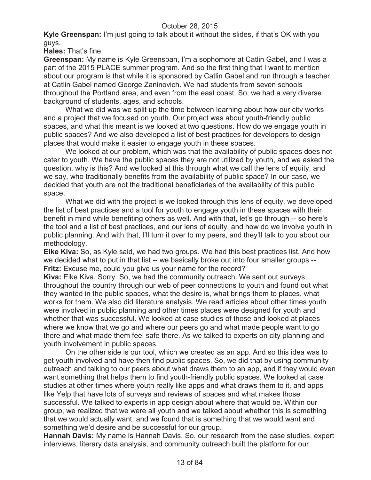**Kyle Greenspan:** I'm just going to talk about it without the slides, if that's OK with you guys.

**Hales:** That's fine.

**Greenspan:** My name is Kyle Greenspan, I'm a sophomore at Catlin Gabel, and I was a part of the 2015 PLACE summer program. And so the first thing that I want to mention about our program is that while it is sponsored by Catlin Gabel and run through a teacher at Catlin Gabel named George Zaninovich. We had students from seven schools throughout the Portland area, and even from the east coast. So, we had a very diverse background of students, ages, and schools.

What we did was we split up the time between learning about how our city works and a project that we focused on youth. Our project was about youth-friendly public spaces, and what this meant is we looked at two questions. How do we engage youth in public spaces? And we also developed a list of best practices for developers to design places that would make it easier to engage youth in these spaces.

We looked at our problem, which was that the availability of public spaces does not cater to youth. We have the public spaces they are not utilized by youth, and we asked the question, why is this? And we looked at this through what we call the lens of equity, and we say, who traditionally benefits from the availability of public space? In our case, we decided that youth are not the traditional beneficiaries of the availability of this public space.

What we did with the project is we looked through this lens of equity, we developed the list of best practices and a tool for youth to engage youth in these spaces with their benefit in mind while benefiting others as well. And with that, let's go through -- so here's the tool and a list of best practices, and our lens of equity, and how do we involve youth in public planning. And with that, I'll turn it over to my peers, and they'll talk to you about our methodology.

**Elke Kiva:** So, as Kyle said, we had two groups. We had this best practices list. And how we decided what to put in that list -- we basically broke out into four smaller groups --**Fritz:** Excuse me, could you give us your name for the record?

**Kiva:** Elke Kiva. Sorry. So, we had the community outreach. We sent out surveys throughout the country through our web of peer connections to youth and found out what they wanted in the public spaces, what the desire is, what brings them to places, what works for them. We also did literature analysis. We read articles about other times youth were involved in public planning and other times places were designed for youth and whether that was successful. We looked at case studies of those and looked at places where we know that we go and where our peers go and what made people want to go there and what made them feel safe there. As we talked to experts on city planning and youth involvement in public spaces.

On the other side is our tool, which we created as an app. And so this idea was to get youth involved and have then find public spaces. So, we did that by using community outreach and talking to our peers about what draws them to an app, and if they would even want something that helps them to find youth-friendly public spaces. We looked at case studies at other times where youth really like apps and what draws them to it, and apps like Yelp that have lots of surveys and reviews of spaces and what makes those successful. We talked to experts in app design about where that would be. Within our group, we realized that we were all youth and we talked about whether this is something that we would actually want, and we found that is something that we would want and something we'd desire and be successful for our group.

**Hannah Davis:** My name is Hannah Davis. So, our research from the case studies, expert interviews, literary data analysis, and community outreach built the platform for our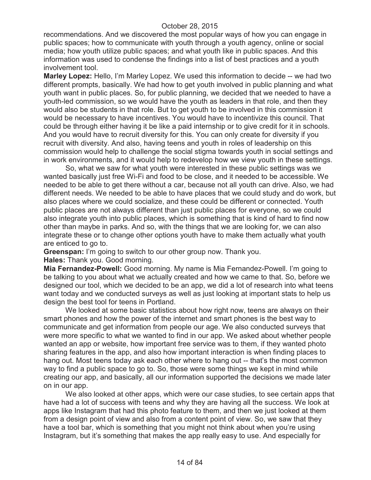recommendations. And we discovered the most popular ways of how you can engage in public spaces; how to communicate with youth through a youth agency, online or social media; how youth utilize public spaces; and what youth like in public spaces. And this information was used to condense the findings into a list of best practices and a youth involvement tool.

**Marley Lopez:** Hello, I'm Marley Lopez. We used this information to decide -- we had two different prompts, basically. We had how to get youth involved in public planning and what youth want in public places. So, for public planning, we decided that we needed to have a youth-led commission, so we would have the youth as leaders in that role, and then they would also be students in that role. But to get youth to be involved in this commission it would be necessary to have incentives. You would have to incentivize this council. That could be through either having it be like a paid internship or to give credit for it in schools. And you would have to recruit diversity for this. You can only create for diversity if you recruit with diversity. And also, having teens and youth in roles of leadership on this commission would help to challenge the social stigma towards youth in social settings and in work environments, and it would help to redevelop how we view youth in these settings.

So, what we saw for what youth were interested in these public settings was we wanted basically just free Wi-Fi and food to be close, and it needed to be accessible. We needed to be able to get there without a car, because not all youth can drive. Also, we had different needs. We needed to be able to have places that we could study and do work, but also places where we could socialize, and these could be different or connected. Youth public places are not always different than just public places for everyone, so we could also integrate youth into public places, which is something that is kind of hard to find now other than maybe in parks. And so, with the things that we are looking for, we can also integrate these or to change other options youth have to make them actually what youth are enticed to go to.

**Greenspan:** I'm going to switch to our other group now. Thank you.

**Hales:** Thank you. Good morning.

**Mia Fernandez-Powell:** Good morning. My name is Mia Fernandez-Powell. I'm going to be talking to you about what we actually created and how we came to that. So, before we designed our tool, which we decided to be an app, we did a lot of research into what teens want today and we conducted surveys as well as just looking at important stats to help us design the best tool for teens in Portland.

We looked at some basic statistics about how right now, teens are always on their smart phones and how the power of the internet and smart phones is the best way to communicate and get information from people our age. We also conducted surveys that were more specific to what we wanted to find in our app. We asked about whether people wanted an app or website, how important free service was to them, if they wanted photo sharing features in the app, and also how important interaction is when finding places to hang out. Most teens today ask each other where to hang out -- that's the most common way to find a public space to go to. So, those were some things we kept in mind while creating our app, and basically, all our information supported the decisions we made later on in our app.

We also looked at other apps, which were our case studies, to see certain apps that have had a lot of success with teens and why they are having all the success. We look at apps like Instagram that had this photo feature to them, and then we just looked at them from a design point of view and also from a content point of view. So, we saw that they have a tool bar, which is something that you might not think about when you're using Instagram, but it's something that makes the app really easy to use. And especially for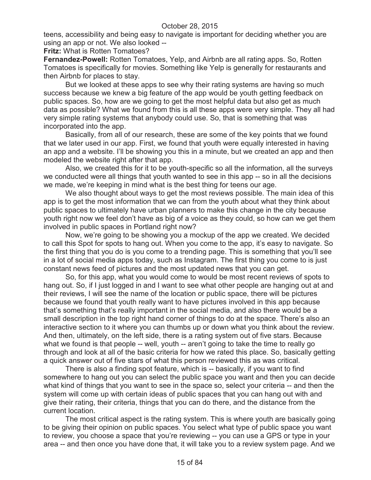teens, accessibility and being easy to navigate is important for deciding whether you are using an app or not. We also looked --

**Fritz:** What is Rotten Tomatoes?

**Fernandez-Powell:** Rotten Tomatoes, Yelp, and Airbnb are all rating apps. So, Rotten Tomatoes is specifically for movies. Something like Yelp is generally for restaurants and then Airbnb for places to stay.

But we looked at these apps to see why their rating systems are having so much success because we knew a big feature of the app would be youth getting feedback on public spaces. So, how are we going to get the most helpful data but also get as much data as possible? What we found from this is all these apps were very simple. They all had very simple rating systems that anybody could use. So, that is something that was incorporated into the app.

Basically, from all of our research, these are some of the key points that we found that we later used in our app. First, we found that youth were equally interested in having an app and a website. I'll be showing you this in a minute, but we created an app and then modeled the website right after that app.

Also, we created this for it to be youth-specific so all the information, all the surveys we conducted were all things that youth wanted to see in this app -- so in all the decisions we made, we're keeping in mind what is the best thing for teens our age.

We also thought about ways to get the most reviews possible. The main idea of this app is to get the most information that we can from the youth about what they think about public spaces to ultimately have urban planners to make this change in the city because youth right now we feel don't have as big of a voice as they could, so how can we get them involved in public spaces in Portland right now?

Now, we're going to be showing you a mockup of the app we created. We decided to call this Spot for spots to hang out. When you come to the app, it's easy to navigate. So the first thing that you do is you come to a trending page. This is something that you'll see in a lot of social media apps today, such as Instagram. The first thing you come to is just constant news feed of pictures and the most updated news that you can get.

So, for this app, what you would come to would be most recent reviews of spots to hang out. So, if I just logged in and I want to see what other people are hanging out at and their reviews, I will see the name of the location or public space, there will be pictures because we found that youth really want to have pictures involved in this app because that's something that's really important in the social media, and also there would be a small description in the top right hand corner of things to do at the space. There's also an interactive section to it where you can thumbs up or down what you think about the review. And then, ultimately, on the left side, there is a rating system out of five stars. Because what we found is that people -- well, youth -- aren't going to take the time to really go through and look at all of the basic criteria for how we rated this place. So, basically getting a quick answer out of five stars of what this person reviewed this as was critical.

There is also a finding spot feature, which is -- basically, if you want to find somewhere to hang out you can select the public space you want and then you can decide what kind of things that you want to see in the space so, select your criteria -- and then the system will come up with certain ideas of public spaces that you can hang out with and give their rating, their criteria, things that you can do there, and the distance from the current location.

The most critical aspect is the rating system. This is where youth are basically going to be giving their opinion on public spaces. You select what type of public space you want to review, you choose a space that you're reviewing -- you can use a GPS or type in your area -- and then once you have done that, it will take you to a review system page. And we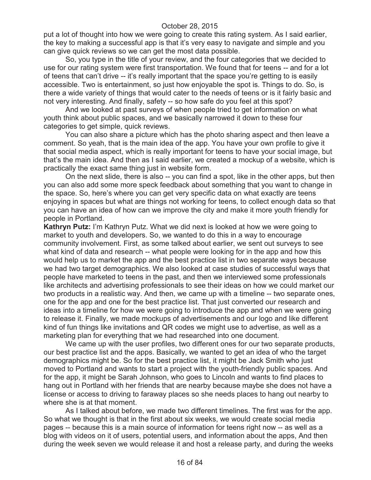put a lot of thought into how we were going to create this rating system. As I said earlier, the key to making a successful app is that it's very easy to navigate and simple and you can give quick reviews so we can get the most data possible.

So, you type in the title of your review, and the four categories that we decided to use for our rating system were first transportation. We found that for teens -- and for a lot of teens that can't drive -- it's really important that the space you're getting to is easily accessible. Two is entertainment, so just how enjoyable the spot is. Things to do. So, is there a wide variety of things that would cater to the needs of teens or is it fairly basic and not very interesting. And finally, safety -- so how safe do you feel at this spot?

And we looked at past surveys of when people tried to get information on what youth think about public spaces, and we basically narrowed it down to these four categories to get simple, quick reviews.

You can also share a picture which has the photo sharing aspect and then leave a comment. So yeah, that is the main idea of the app. You have your own profile to give it that social media aspect, which is really important for teens to have your social image, but that's the main idea. And then as I said earlier, we created a mockup of a website, which is practically the exact same thing just in website form.

On the next slide, there is also -- you can find a spot, like in the other apps, but then you can also add some more speck feedback about something that you want to change in the space. So, here's where you can get very specific data on what exactly are teens enjoying in spaces but what are things not working for teens, to collect enough data so that you can have an idea of how can we improve the city and make it more youth friendly for people in Portland.

**Kathryn Putz:** I'm Kathryn Putz. What we did next is looked at how we were going to market to youth and developers. So, we wanted to do this in a way to encourage community involvement. First, as some talked about earlier, we sent out surveys to see what kind of data and research -- what people were looking for in the app and how this would help us to market the app and the best practice list in two separate ways because we had two target demographics. We also looked at case studies of successful ways that people have marketed to teens in the past, and then we interviewed some professionals like architects and advertising professionals to see their ideas on how we could market our two products in a realistic way. And then, we came up with a timeline -- two separate ones, one for the app and one for the best practice list. That just converted our research and ideas into a timeline for how we were going to introduce the app and when we were going to release it. Finally, we made mockups of advertisements and our logo and like different kind of fun things like invitations and QR codes we might use to advertise, as well as a marketing plan for everything that we had researched into one document.

We came up with the user profiles, two different ones for our two separate products, our best practice list and the apps. Basically, we wanted to get an idea of who the target demographics might be. So for the best practice list, it might be Jack Smith who just moved to Portland and wants to start a project with the youth-friendly public spaces. And for the app, it might be Sarah Johnson, who goes to Lincoln and wants to find places to hang out in Portland with her friends that are nearby because maybe she does not have a license or access to driving to faraway places so she needs places to hang out nearby to where she is at that moment.

As I talked about before, we made two different timelines. The first was for the app. So what we thought is that in the first about six weeks, we would create social media pages -- because this is a main source of information for teens right now -- as well as a blog with videos on it of users, potential users, and information about the apps, And then during the week seven we would release it and host a release party, and during the weeks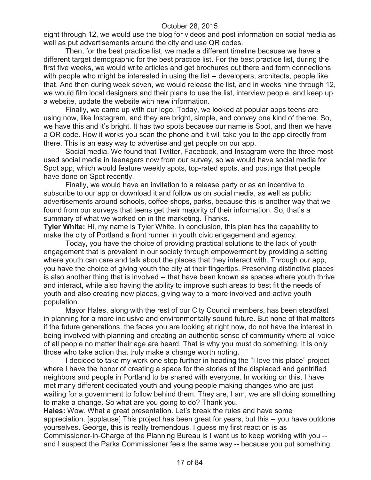eight through 12, we would use the blog for videos and post information on social media as well as put advertisements around the city and use QR codes.

Then, for the best practice list, we made a different timeline because we have a different target demographic for the best practice list. For the best practice list, during the first five weeks, we would write articles and get brochures out there and form connections with people who might be interested in using the list -- developers, architects, people like that. And then during week seven, we would release the list, and in weeks nine through 12, we would film local designers and their plans to use the list, interview people, and keep up a website, update the website with new information.

Finally, we came up with our logo. Today, we looked at popular apps teens are using now, like Instagram, and they are bright, simple, and convey one kind of theme. So, we have this and it's bright. It has two spots because our name is Spot, and then we have a QR code. How it works you scan the phone and it will take you to the app directly from there. This is an easy way to advertise and get people on our app.

Social media. We found that Twitter, Facebook, and Instagram were the three mostused social media in teenagers now from our survey, so we would have social media for Spot app, which would feature weekly spots, top-rated spots, and postings that people have done on Spot recently.

Finally, we would have an invitation to a release party or as an incentive to subscribe to our app or download it and follow us on social media, as well as public advertisements around schools, coffee shops, parks, because this is another way that we found from our surveys that teens get their majority of their information. So, that's a summary of what we worked on in the marketing. Thanks.

**Tyler White:** Hi, my name is Tyler White. In conclusion, this plan has the capability to make the city of Portland a front runner in youth civic engagement and agency.

Today, you have the choice of providing practical solutions to the lack of youth engagement that is prevalent in our society through empowerment by providing a setting where youth can care and talk about the places that they interact with. Through our app, you have the choice of giving youth the city at their fingertips. Preserving distinctive places is also another thing that is involved -- that have been known as spaces where youth thrive and interact, while also having the ability to improve such areas to best fit the needs of youth and also creating new places, giving way to a more involved and active youth population.

Mayor Hales, along with the rest of our City Council members, has been steadfast in planning for a more inclusive and environmentally sound future. But none of that matters if the future generations, the faces you are looking at right now, do not have the interest in being involved with planning and creating an authentic sense of community where all voice of all people no matter their age are heard. That is why you must do something. It is only those who take action that truly make a change worth noting.

I decided to take my work one step further in heading the "I love this place" project where I have the honor of creating a space for the stories of the displaced and gentrified neighbors and people in Portland to be shared with everyone. In working on this, I have met many different dedicated youth and young people making changes who are just waiting for a government to follow behind them. They are, I am, we are all doing something to make a change. So what are you going to do? Thank you.

**Hales:** Wow. What a great presentation. Let's break the rules and have some appreciation. [applause] This project has been great for years, but this -- you have outdone yourselves. George, this is really tremendous. I guess my first reaction is as Commissioner-in-Charge of the Planning Bureau is I want us to keep working with you - and I suspect the Parks Commissioner feels the same way -- because you put something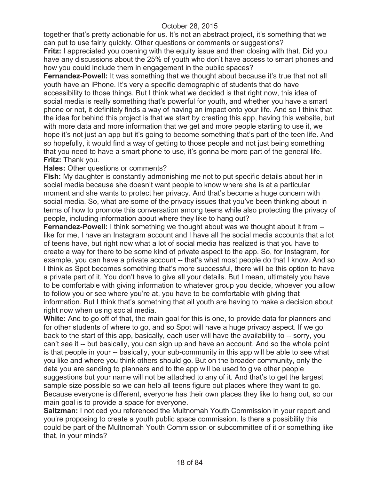together that's pretty actionable for us. It's not an abstract project, it's something that we can put to use fairly quickly. Other questions or comments or suggestions? **Fritz:** I appreciated you opening with the equity issue and then closing with that. Did you have any discussions about the 25% of youth who don't have access to smart phones and how you could include them in engagement in the public spaces?

**Fernandez-Powell:** It was something that we thought about because it's true that not all youth have an iPhone. It's very a specific demographic of students that do have accessibility to those things. But I think what we decided is that right now, this idea of social media is really something that's powerful for youth, and whether you have a smart phone or not, it definitely finds a way of having an impact onto your life. And so I think that the idea for behind this project is that we start by creating this app, having this website, but with more data and more information that we get and more people starting to use it, we hope it's not just an app but it's going to become something that's part of the teen life. And so hopefully, it would find a way of getting to those people and not just being something that you need to have a smart phone to use, it's gonna be more part of the general life. **Fritz:** Thank you.

#### **Hales:** Other questions or comments?

**Fish:** My daughter is constantly admonishing me not to put specific details about her in social media because she doesn't want people to know where she is at a particular moment and she wants to protect her privacy. And that's become a huge concern with social media. So, what are some of the privacy issues that you've been thinking about in terms of how to promote this conversation among teens while also protecting the privacy of people, including information about where they like to hang out?

**Fernandez-Powell:** I think something we thought about was we thought about it from -like for me, I have an Instagram account and I have all the social media accounts that a lot of teens have, but right now what a lot of social media has realized is that you have to create a way for there to be some kind of private aspect to the app. So, for Instagram, for example, you can have a private account -- that's what most people do that I know. And so I think as Spot becomes something that's more successful, there will be this option to have a private part of it. You don't have to give all your details. But I mean, ultimately you have to be comfortable with giving information to whatever group you decide, whoever you allow to follow you or see where you're at, you have to be comfortable with giving that information. But I think that's something that all youth are having to make a decision about right now when using social media.

**White:** And to go off of that, the main goal for this is one, to provide data for planners and for other students of where to go, and so Spot will have a huge privacy aspect. If we go back to the start of this app, basically, each user will have the availability to -- sorry, you can't see it -- but basically, you can sign up and have an account. And so the whole point is that people in your -- basically, your sub-community in this app will be able to see what you like and where you think others should go. But on the broader community, only the data you are sending to planners and to the app will be used to give other people suggestions but your name will not be attached to any of it. And that's to get the largest sample size possible so we can help all teens figure out places where they want to go. Because everyone is different, everyone has their own places they like to hang out, so our main goal is to provide a space for everyone.

**Saltzman: I** noticed you referenced the Multnomah Youth Commission in your report and you're proposing to create a youth public space commission. Is there a possibility this could be part of the Multnomah Youth Commission or subcommittee of it or something like that, in your minds?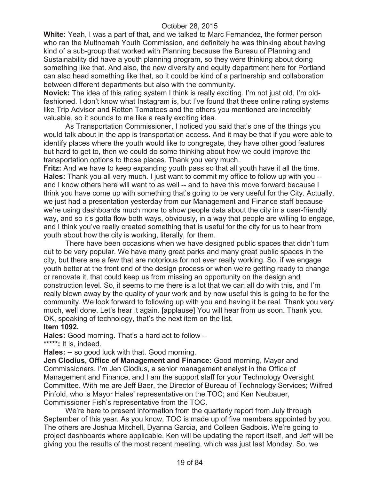**White:** Yeah, I was a part of that, and we talked to Marc Fernandez, the former person who ran the Multnomah Youth Commission, and definitely he was thinking about having kind of a sub-group that worked with Planning because the Bureau of Planning and Sustainability did have a youth planning program, so they were thinking about doing something like that. And also, the new diversity and equity department here for Portland can also head something like that, so it could be kind of a partnership and collaboration between different departments but also with the community.

**Novick:** The idea of this rating system I think is really exciting. I'm not just old, I'm oldfashioned. I don't know what Instagram is, but I've found that these online rating systems like Trip Advisor and Rotten Tomatoes and the others you mentioned are incredibly valuable, so it sounds to me like a really exciting idea.

As Transportation Commissioner, I noticed you said that's one of the things you would talk about in the app is transportation access. And it may be that if you were able to identify places where the youth would like to congregate, they have other good features but hard to get to, then we could do some thinking about how we could improve the transportation options to those places. Thank you very much.

**Fritz:** And we have to keep expanding youth pass so that all youth have it all the time. **Hales:** Thank you all very much. I just want to commit my office to follow up with you - and I know others here will want to as well -- and to have this move forward because I think you have come up with something that's going to be very useful for the City. Actually, we just had a presentation yesterday from our Management and Finance staff because we're using dashboards much more to show people data about the city in a user-friendly way, and so it's gotta flow both ways, obviously, in a way that people are willing to engage, and I think you've really created something that is useful for the city for us to hear from youth about how the city is working, literally, for them.

There have been occasions when we have designed public spaces that didn't turn out to be very popular. We have many great parks and many great public spaces in the city, but there are a few that are notorious for not ever really working. So, if we engage youth better at the front end of the design process or when we're getting ready to change or renovate it, that could keep us from missing an opportunity on the design and construction level. So, it seems to me there is a lot that we can all do with this, and I'm really blown away by the quality of your work and by now useful this is going to be for the community. We look forward to following up with you and having it be real. Thank you very much, well done. Let's hear it again. [applause] You will hear from us soon. Thank you. OK, speaking of technology, that's the next item on the list.

## **Item 1092.**

**Hales:** Good morning. That's a hard act to follow -- **\*\*\*\*\*:** It is, indeed.

**Hales:** -- so good luck with that. Good morning.

**Jen Clodius, Office of Management and Finance:** Good morning, Mayor and Commissioners. I'm Jen Clodius, a senior management analyst in the Office of Management and Finance, and I am the support staff for your Technology Oversight Committee. With me are Jeff Baer, the Director of Bureau of Technology Services; Wilfred Pinfold, who is Mayor Hales' representative on the TOC; and Ken Neubauer, Commissioner Fish's representative from the TOC.

We're here to present information from the quarterly report from July through September of this year. As you know, TOC is made up of five members appointed by you. The others are Joshua Mitchell, Dyanna Garcia, and Colleen Gadbois. We're going to project dashboards where applicable. Ken will be updating the report itself, and Jeff will be giving you the results of the most recent meeting, which was just last Monday. So, we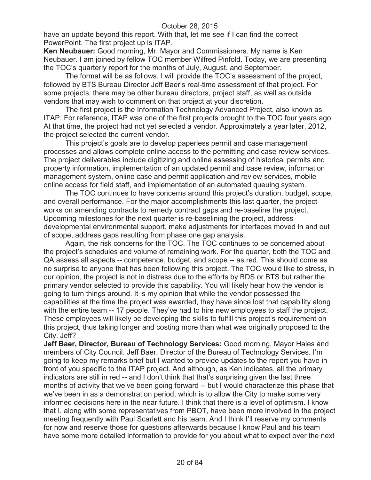have an update beyond this report. With that, let me see if I can find the correct PowerPoint. The first project up is ITAP.

**Ken Neubauer:** Good morning, Mr. Mayor and Commissioners. My name is Ken Neubauer. I am joined by fellow TOC member Wilfred Pinfold. Today, we are presenting the TOC's quarterly report for the months of July, August, and September.

The format will be as follows. I will provide the TOC's assessment of the project, followed by BTS Bureau Director Jeff Baer's real-time assessment of that project. For some projects, there may be other bureau directors, project staff, as well as outside vendors that may wish to comment on that project at your discretion.

The first project is the Information Technology Advanced Project, also known as ITAP. For reference, ITAP was one of the first projects brought to the TOC four years ago. At that time, the project had not yet selected a vendor. Approximately a year later, 2012, the project selected the current vendor.

This project's goals are to develop paperless permit and case management processes and allows complete online access to the permitting and case review services. The project deliverables include digitizing and online assessing of historical permits and property information, implementation of an updated permit and case review, information management system, online case and permit application and review services, mobile online access for field staff, and implementation of an automated queuing system.

The TOC continues to have concerns around this project's duration, budget, scope, and overall performance. For the major accomplishments this last quarter, the project works on amending contracts to remedy contract gaps and re-baseline the project. Upcoming milestones for the next quarter is re-baselining the project, address developmental environmental support, make adjustments for interfaces moved in and out of scope, address gaps resulting from phase one gap analysis.

Again, the risk concerns for the TOC. The TOC continues to be concerned about the project's schedules and volume of remaining work. For the quarter, both the TOC and QA assess all aspects -- competence, budget, and scope -- as red. This should come as no surprise to anyone that has been following this project. The TOC would like to stress, in our opinion, the project is not in distress due to the efforts by BDS or BTS but rather the primary vendor selected to provide this capability. You will likely hear how the vendor is going to turn things around. It is my opinion that while the vendor possessed the capabilities at the time the project was awarded, they have since lost that capability along with the entire team -- 17 people. They've had to hire new employees to staff the project. These employees will likely be developing the skills to fulfill this project's requirement on this project, thus taking longer and costing more than what was originally proposed to the City. Jeff?

**Jeff Baer, Director, Bureau of Technology Services:** Good morning, Mayor Hales and members of City Council. Jeff Baer, Director of the Bureau of Technology Services. I'm going to keep my remarks brief but I wanted to provide updates to the report you have in front of you specific to the ITAP project. And although, as Ken indicates, all the primary indicators are still in red -- and I don't think that that's surprising given the last three months of activity that we've been going forward -- but I would characterize this phase that we've been in as a demonstration period, which is to allow the City to make some very informed decisions here in the near future. I think that there is a level of optimism. I know that I, along with some representatives from PBOT, have been more involved in the project meeting frequently with Paul Scarlett and his team. And I think I'll reserve my comments for now and reserve those for questions afterwards because I know Paul and his team have some more detailed information to provide for you about what to expect over the next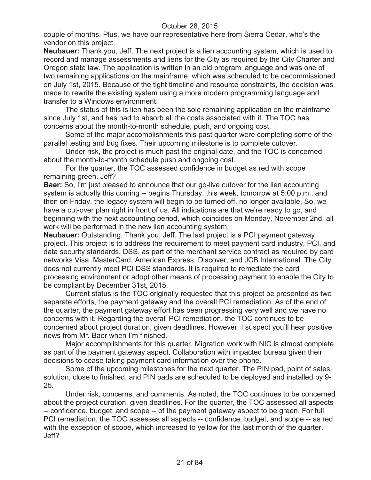couple of months. Plus, we have our representative here from Sierra Cedar, who's the vendor on this project.

**Neubauer:** Thank you, Jeff. The next project is a lien accounting system, which is used to record and manage assessments and liens for the City as required by the City Charter and Oregon state law. The application is written in an old program language and was one of two remaining applications on the mainframe, which was scheduled to be decommissioned on July 1st, 2015. Because of the tight timeline and resource constraints, the decision was made to rewrite the existing system using a more modern programming language and transfer to a Windows environment.

The status of this is lien has been the sole remaining application on the mainframe since July 1st, and has had to absorb all the costs associated with it. The TOC has concerns about the month-to-month schedule, push, and ongoing cost.

Some of the major accomplishments this past quarter were completing some of the parallel testing and bug fixes. Their upcoming milestone is to complete cutover.

Under risk, the project is much past the original date, and the TOC is concerned about the month-to-month schedule push and ongoing cost.

For the quarter, the TOC assessed confidence in budget as red with scope remaining green. Jeff?

**Baer:** So, I'm just pleased to announce that our go-live cutover for the lien accounting system is actually this coming -- begins Thursday, this week, tomorrow at 5:00 p.m., and then on Friday, the legacy system will begin to be turned off, no longer available. So, we have a cut-over plan right in front of us. All indications are that we're ready to go, and beginning with the next accounting period, which coincides on Monday, November 2nd, all work will be performed in the new lien accounting system.

**Neubauer:** Outstanding. Thank you, Jeff. The last project is a PCI payment gateway project. This project is to address the requirement to meet payment card industry, PCI, and data security standards, DSS, as part of the merchant service contract as required by card networks Visa, MasterCard, American Express, Discover, and JCB International. The City does not currently meet PCI DSS standards. It is required to remediate the card processing environment or adopt other means of processing payment to enable the City to be compliant by December 31st, 2015.

Current status is the TOC originally requested that this project be presented as two separate efforts, the payment gateway and the overall PCI remediation. As of the end of the quarter, the payment gateway effort has been progressing very well and we have no concerns with it. Regarding the overall PCI remediation, the TOC continues to be concerned about project duration, given deadlines. However, I suspect you'll hear positive news from Mr. Baer when I'm finished.

Major accomplishments for this quarter. Migration work with NIC is almost complete as part of the payment gateway aspect. Collaboration with impacted bureau given their decisions to cease taking payment card information over the phone.

Some of the upcoming milestones for the next quarter. The PIN pad, point of sales solution, close to finished, and PIN pads are scheduled to be deployed and installed by 9- 25.

Under risk, concerns, and comments. As noted, the TOC continues to be concerned about the project duration, given deadlines. For the quarter, the TOC assessed all aspects -- confidence, budget, and scope -- of the payment gateway aspect to be green. For full PCI remediation, the TOC assesses all aspects -- confidence, budget, and scope -- as red with the exception of scope, which increased to yellow for the last month of the quarter. Jeff?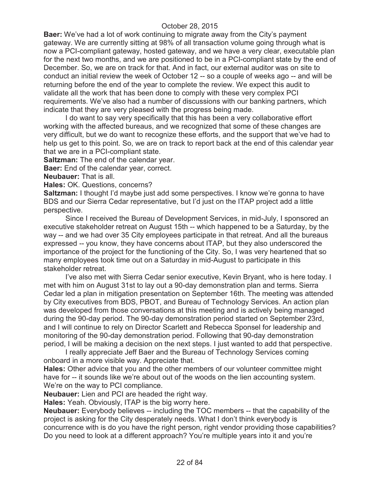**Baer:** We've had a lot of work continuing to migrate away from the City's payment gateway. We are currently sitting at 98% of all transaction volume going through what is now a PCI-compliant gateway, hosted gateway, and we have a very clear, executable plan for the next two months, and we are positioned to be in a PCI-compliant state by the end of December. So, we are on track for that. And in fact, our external auditor was on site to conduct an initial review the week of October 12 -- so a couple of weeks ago -- and will be returning before the end of the year to complete the review. We expect this audit to validate all the work that has been done to comply with these very complex PCI requirements. We've also had a number of discussions with our banking partners, which indicate that they are very pleased with the progress being made.

I do want to say very specifically that this has been a very collaborative effort working with the affected bureaus, and we recognized that some of these changes are very difficult, but we do want to recognize these efforts, and the support that we've had to help us get to this point. So, we are on track to report back at the end of this calendar year that we are in a PCI-compliant state.

**Saltzman:** The end of the calendar year.

**Baer:** End of the calendar year, correct.

**Neubauer:** That is all.

**Hales:** OK. Questions, concerns?

**Saltzman:** I thought I'd maybe just add some perspectives. I know we're gonna to have BDS and our Sierra Cedar representative, but I'd just on the ITAP project add a little perspective.

Since I received the Bureau of Development Services, in mid-July, I sponsored an executive stakeholder retreat on August 15th -- which happened to be a Saturday, by the way -- and we had over 35 City employees participate in that retreat. And all the bureaus expressed -- you know, they have concerns about ITAP, but they also underscored the importance of the project for the functioning of the City. So, I was very heartened that so many employees took time out on a Saturday in mid-August to participate in this stakeholder retreat.

I've also met with Sierra Cedar senior executive, Kevin Bryant, who is here today. I met with him on August 31st to lay out a 90-day demonstration plan and terms. Sierra Cedar led a plan in mitigation presentation on September 16th. The meeting was attended by City executives from BDS, PBOT, and Bureau of Technology Services. An action plan was developed from those conversations at this meeting and is actively being managed during the 90-day period. The 90-day demonstration period started on September 23rd, and I will continue to rely on Director Scarlett and Rebecca Sponsel for leadership and monitoring of the 90-day demonstration period. Following that 90-day demonstration period, I will be making a decision on the next steps. I just wanted to add that perspective.

I really appreciate Jeff Baer and the Bureau of Technology Services coming onboard in a more visible way. Appreciate that.

**Hales:** Other advice that you and the other members of our volunteer committee might have for -- it sounds like we're about out of the woods on the lien accounting system. We're on the way to PCI compliance.

**Neubauer:** Lien and PCI are headed the right way.

**Hales:** Yeah. Obviously, ITAP is the big worry here.

**Neubauer:** Everybody believes -- including the TOC members -- that the capability of the project is asking for the City desperately needs. What I don't think everybody is concurrence with is do you have the right person, right vendor providing those capabilities? Do you need to look at a different approach? You're multiple years into it and you're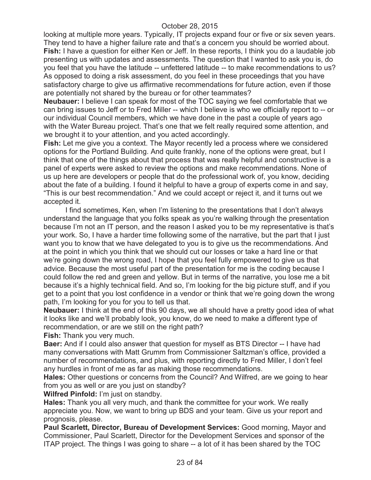looking at multiple more years. Typically, IT projects expand four or five or six seven years. They tend to have a higher failure rate and that's a concern you should be worried about. **Fish:** I have a question for either Ken or Jeff. In these reports, I think you do a laudable job presenting us with updates and assessments. The question that I wanted to ask you is, do you feel that you have the latitude -- unfettered latitude -- to make recommendations to us? As opposed to doing a risk assessment, do you feel in these proceedings that you have satisfactory charge to give us affirmative recommendations for future action, even if those are potentially not shared by the bureau or for other teammates?

**Neubauer:** I believe I can speak for most of the TOC saying we feel comfortable that we can bring issues to Jeff or to Fred Miller -- which I believe is who we officially report to -- or our individual Council members, which we have done in the past a couple of years ago with the Water Bureau project. That's one that we felt really required some attention, and we brought it to your attention, and you acted accordingly.

**Fish:** Let me give you a context. The Mayor recently led a process where we considered options for the Portland Building. And quite frankly, none of the options were great, but I think that one of the things about that process that was really helpful and constructive is a panel of experts were asked to review the options and make recommendations. None of us up here are developers or people that do the professional work of, you know, deciding about the fate of a building. I found it helpful to have a group of experts come in and say, "This is our best recommendation." And we could accept or reject it, and it turns out we accepted it.

I find sometimes, Ken, when I'm listening to the presentations that I don't always understand the language that you folks speak as you're walking through the presentation because I'm not an IT person, and the reason I asked you to be my representative is that's your work. So, I have a harder time following some of the narrative, but the part that I just want you to know that we have delegated to you is to give us the recommendations. And at the point in which you think that we should cut our losses or take a hard line or that we're going down the wrong road, I hope that you feel fully empowered to give us that advice. Because the most useful part of the presentation for me is the coding because I could follow the red and green and yellow. But in terms of the narrative, you lose me a bit because it's a highly technical field. And so, I'm looking for the big picture stuff, and if you get to a point that you lost confidence in a vendor or think that we're going down the wrong path, I'm looking for you for you to tell us that.

**Neubauer:** I think at the end of this 90 days, we all should have a pretty good idea of what it looks like and we'll probably look, you know, do we need to make a different type of recommendation, or are we still on the right path?

**Fish:** Thank you very much.

**Baer:** And if I could also answer that question for myself as BTS Director -- I have had many conversations with Matt Grumm from Commissioner Saltzman's office, provided a number of recommendations, and plus, with reporting directly to Fred Miller, I don't feel any hurdles in front of me as far as making those recommendations.

**Hales:** Other questions or concerns from the Council? And Wilfred, are we going to hear from you as well or are you just on standby?

**Wilfred Pinfold:** I'm just on standby.

**Hales:** Thank you all very much, and thank the committee for your work. We really appreciate you. Now, we want to bring up BDS and your team. Give us your report and prognosis, please.

**Paul Scarlett, Director, Bureau of Development Services:** Good morning, Mayor and Commissioner, Paul Scarlett, Director for the Development Services and sponsor of the ITAP project. The things I was going to share -- a lot of it has been shared by the TOC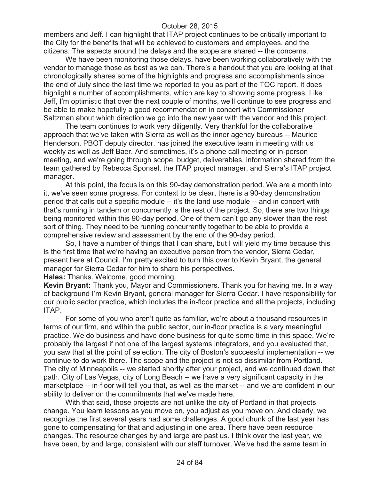members and Jeff. I can highlight that ITAP project continues to be critically important to the City for the benefits that will be achieved to customers and employees, and the citizens. The aspects around the delays and the scope are shared -- the concerns.

We have been monitoring those delays, have been working collaboratively with the vendor to manage those as best as we can. There's a handout that you are looking at that chronologically shares some of the highlights and progress and accomplishments since the end of July since the last time we reported to you as part of the TOC report. It does highlight a number of accomplishments, which are key to showing some progress. Like Jeff, I'm optimistic that over the next couple of months, we'll continue to see progress and be able to make hopefully a good recommendation in concert with Commissioner Saltzman about which direction we go into the new year with the vendor and this project.

The team continues to work very diligently. Very thankful for the collaborative approach that we've taken with Sierra as well as the inner agency bureaus -- Maurice Henderson, PBOT deputy director, has joined the executive team in meeting with us weekly as well as Jeff Baer. And sometimes, it's a phone call meeting or in-person meeting, and we're going through scope, budget, deliverables, information shared from the team gathered by Rebecca Sponsel, the ITAP project manager, and Sierra's ITAP project manager.

At this point, the focus is on this 90-day demonstration period. We are a month into it, we've seen some progress. For context to be clear, there is a 90-day demonstration period that calls out a specific module -- it's the land use module -- and in concert with that's running in tandem or concurrently is the rest of the project. So, there are two things being monitored within this 90-day period. One of them can't go any slower than the rest sort of thing. They need to be running concurrently together to be able to provide a comprehensive review and assessment by the end of the 90-day period.

So, I have a number of things that I can share, but I will yield my time because this is the first time that we're having an executive person from the vendor, Sierra Cedar, present here at Council. I'm pretty excited to turn this over to Kevin Bryant, the general manager for Sierra Cedar for him to share his perspectives.

**Hales:** Thanks. Welcome, good morning.

**Kevin Bryant:** Thank you, Mayor and Commissioners. Thank you for having me. In a way of background I'm Kevin Bryant, general manager for Sierra Cedar. I have responsibility for our public sector practice, which includes the in-floor practice and all the projects, including ITAP.

For some of you who aren't quite as familiar, we're about a thousand resources in terms of our firm, and within the public sector, our in-floor practice is a very meaningful practice. We do business and have done business for quite some time in this space. We're probably the largest if not one of the largest systems integrators, and you evaluated that, you saw that at the point of selection. The city of Boston's successful implementation -- we continue to do work there. The scope and the project is not so dissimilar from Portland. The city of Minneapolis -- we started shortly after your project, and we continued down that path. City of Las Vegas, city of Long Beach -- we have a very significant capacity in the marketplace -- in-floor will tell you that, as well as the market -- and we are confident in our ability to deliver on the commitments that we've made here.

With that said, those projects are not unlike the city of Portland in that projects change. You learn lessons as you move on, you adjust as you move on. And clearly, we recognize the first several years had some challenges. A good chunk of the last year has gone to compensating for that and adjusting in one area. There have been resource changes. The resource changes by and large are past us. I think over the last year, we have been, by and large, consistent with our staff turnover. We've had the same team in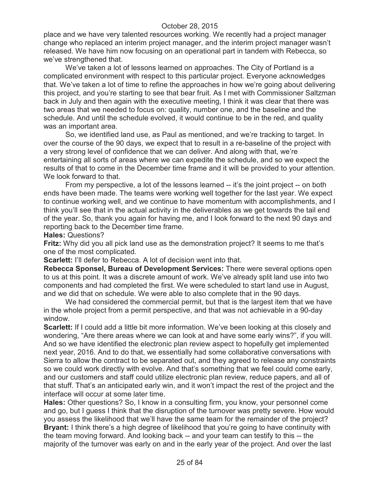place and we have very talented resources working. We recently had a project manager change who replaced an interim project manager, and the interim project manager wasn't released. We have him now focusing on an operational part in tandem with Rebecca, so we've strengthened that.

We've taken a lot of lessons learned on approaches. The City of Portland is a complicated environment with respect to this particular project. Everyone acknowledges that. We've taken a lot of time to refine the approaches in how we're going about delivering this project, and you're starting to see that bear fruit. As I met with Commissioner Saltzman back in July and then again with the executive meeting, I think it was clear that there was two areas that we needed to focus on: quality, number one, and the baseline and the schedule. And until the schedule evolved, it would continue to be in the red, and quality was an important area.

So, we identified land use, as Paul as mentioned, and we're tracking to target. In over the course of the 90 days, we expect that to result in a re-baseline of the project with a very strong level of confidence that we can deliver. And along with that, we're entertaining all sorts of areas where we can expedite the schedule, and so we expect the results of that to come in the December time frame and it will be provided to your attention. We look forward to that.

From my perspective, a lot of the lessons learned -- it's the joint project -- on both ends have been made. The teams were working well together for the last year. We expect to continue working well, and we continue to have momentum with accomplishments, and I think you'll see that in the actual activity in the deliverables as we get towards the tail end of the year. So, thank you again for having me, and I look forward to the next 90 days and reporting back to the December time frame.

**Hales:** Questions?

**Fritz:** Why did you all pick land use as the demonstration project? It seems to me that's one of the most complicated.

**Scarlett: I'll defer to Rebecca. A lot of decision went into that.** 

**Rebecca Sponsel, Bureau of Development Services:** There were several options open to us at this point. It was a discrete amount of work. We've already split land use into two components and had completed the first. We were scheduled to start land use in August, and we did that on schedule. We were able to also complete that in the 90 days.

We had considered the commercial permit, but that is the largest item that we have in the whole project from a permit perspective, and that was not achievable in a 90-day window.

**Scarlett:** If I could add a little bit more information. We've been looking at this closely and wondering, "Are there areas where we can look at and have some early wins?", if you will. And so we have identified the electronic plan review aspect to hopefully get implemented next year, 2016. And to do that, we essentially had some collaborative conversations with Sierra to allow the contract to be separated out, and they agreed to release any constraints so we could work directly with evolve. And that's something that we feel could come early, and our customers and staff could utilize electronic plan review, reduce papers, and all of that stuff. That's an anticipated early win, and it won't impact the rest of the project and the interface will occur at some later time.

**Hales:** Other questions? So, I know in a consulting firm, you know, your personnel come and go, but I guess I think that the disruption of the turnover was pretty severe. How would you assess the likelihood that we'll have the same team for the remainder of the project? **Bryant:** I think there's a high degree of likelihood that you're going to have continuity with the team moving forward. And looking back -- and your team can testify to this -- the majority of the turnover was early on and in the early year of the project. And over the last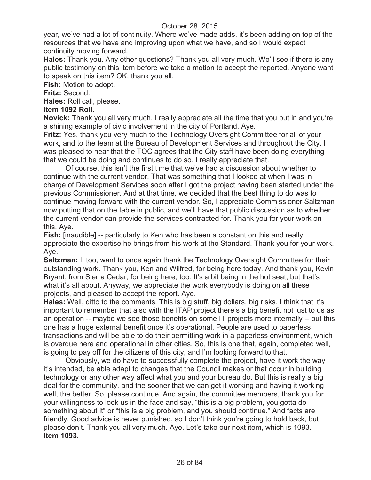year, we've had a lot of continuity. Where we've made adds, it's been adding on top of the resources that we have and improving upon what we have, and so I would expect continuity moving forward.

**Hales:** Thank you. Any other questions? Thank you all very much. We'll see if there is any public testimony on this item before we take a motion to accept the reported. Anyone want to speak on this item? OK, thank you all.

**Fish:** Motion to adopt.

**Fritz:** Second.

**Hales:** Roll call, please.

#### **Item 1092 Roll.**

**Novick:** Thank you all very much. I really appreciate all the time that you put in and you're a shining example of civic involvement in the city of Portland. Aye.

**Fritz:** Yes, thank you very much to the Technology Oversight Committee for all of your work, and to the team at the Bureau of Development Services and throughout the City. I was pleased to hear that the TOC agrees that the City staff have been doing everything that we could be doing and continues to do so. I really appreciate that.

Of course, this isn't the first time that we've had a discussion about whether to continue with the current vendor. That was something that I looked at when I was in charge of Development Services soon after I got the project having been started under the previous Commissioner. And at that time, we decided that the best thing to do was to continue moving forward with the current vendor. So, I appreciate Commissioner Saltzman now putting that on the table in public, and we'll have that public discussion as to whether the current vendor can provide the services contracted for. Thank you for your work on this. Aye.

**Fish:** [inaudible] -- particularly to Ken who has been a constant on this and really appreciate the expertise he brings from his work at the Standard. Thank you for your work. Aye.

**Saltzman:** I, too, want to once again thank the Technology Oversight Committee for their outstanding work. Thank you, Ken and Wilfred, for being here today. And thank you, Kevin Bryant, from Sierra Cedar, for being here, too. It's a bit being in the hot seat, but that's what it's all about. Anyway, we appreciate the work everybody is doing on all these projects, and pleased to accept the report. Aye.

**Hales:** Well, ditto to the comments. This is big stuff, big dollars, big risks. I think that it's important to remember that also with the ITAP project there's a big benefit not just to us as an operation -- maybe we see those benefits on some IT projects more internally -- but this one has a huge external benefit once it's operational. People are used to paperless transactions and will be able to do their permitting work in a paperless environment, which is overdue here and operational in other cities. So, this is one that, again, completed well, is going to pay off for the citizens of this city, and I'm looking forward to that.

Obviously, we do have to successfully complete the project, have it work the way it's intended, be able adapt to changes that the Council makes or that occur in building technology or any other way affect what you and your bureau do. But this is really a big deal for the community, and the sooner that we can get it working and having it working well, the better. So, please continue. And again, the committee members, thank you for your willingness to look us in the face and say, "this is a big problem, you gotta do something about it" or "this is a big problem, and you should continue." And facts are friendly. Good advice is never punished, so I don't think you're going to hold back, but please don't. Thank you all very much. Aye. Let's take our next item, which is 1093. **Item 1093.**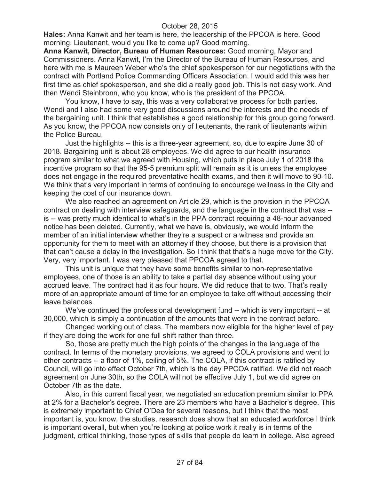**Hales:** Anna Kanwit and her team is here, the leadership of the PPCOA is here. Good morning. Lieutenant, would you like to come up? Good morning.

**Anna Kanwit, Director, Bureau of Human Resources:** Good morning, Mayor and Commissioners. Anna Kanwit, I'm the Director of the Bureau of Human Resources, and here with me is Maureen Weber who's the chief spokesperson for our negotiations with the contract with Portland Police Commanding Officers Association. I would add this was her first time as chief spokesperson, and she did a really good job. This is not easy work. And then Wendi Steinbronn, who you know, who is the president of the PPCOA.

You know, I have to say, this was a very collaborative process for both parties. Wendi and I also had some very good discussions around the interests and the needs of the bargaining unit. I think that establishes a good relationship for this group going forward. As you know, the PPCOA now consists only of lieutenants, the rank of lieutenants within the Police Bureau.

Just the highlights -- this is a three-year agreement, so, due to expire June 30 of 2018. Bargaining unit is about 28 employees. We did agree to our health insurance program similar to what we agreed with Housing, which puts in place July 1 of 2018 the incentive program so that the 95-5 premium split will remain as it is unless the employee does not engage in the required preventative health exams, and then it will move to 90-10. We think that's very important in terms of continuing to encourage wellness in the City and keeping the cost of our insurance down.

We also reached an agreement on Article 29, which is the provision in the PPCOA contract on dealing with interview safeguards, and the language in the contract that was - is -- was pretty much identical to what's in the PPA contract requiring a 48-hour advanced notice has been deleted. Currently, what we have is, obviously, we would inform the member of an initial interview whether they're a suspect or a witness and provide an opportunity for them to meet with an attorney if they choose, but there is a provision that that can't cause a delay in the investigation. So I think that that's a huge move for the City. Very, very important. I was very pleased that PPCOA agreed to that.

This unit is unique that they have some benefits similar to non-representative employees, one of those is an ability to take a partial day absence without using your accrued leave. The contract had it as four hours. We did reduce that to two. That's really more of an appropriate amount of time for an employee to take off without accessing their leave balances.

We've continued the professional development fund -- which is very important -- at 30,000, which is simply a continuation of the amounts that were in the contract before.

Changed working out of class. The members now eligible for the higher level of pay if they are doing the work for one full shift rather than three.

So, those are pretty much the high points of the changes in the language of the contract. In terms of the monetary provisions, we agreed to COLA provisions and went to other contracts -- a floor of 1%, ceiling of 5%. The COLA, if this contract is ratified by Council, will go into effect October 7th, which is the day PPCOA ratified. We did not reach agreement on June 30th, so the COLA will not be effective July 1, but we did agree on October 7th as the date.

Also, in this current fiscal year, we negotiated an education premium similar to PPA at 2% for a Bachelor's degree. There are 23 members who have a Bachelor's degree. This is extremely important to Chief O'Dea for several reasons, but I think that the most important is, you know, the studies, research does show that an educated workforce I think is important overall, but when you're looking at police work it really is in terms of the judgment, critical thinking, those types of skills that people do learn in college. Also agreed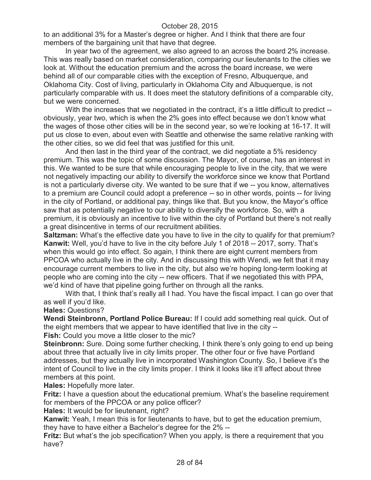to an additional 3% for a Master's degree or higher. And I think that there are four members of the bargaining unit that have that degree.

In year two of the agreement, we also agreed to an across the board 2% increase. This was really based on market consideration, comparing our lieutenants to the cities we look at. Without the education premium and the across the board increase, we were behind all of our comparable cities with the exception of Fresno, Albuquerque, and Oklahoma City. Cost of living, particularly in Oklahoma City and Albuquerque, is not particularly comparable with us. It does meet the statutory definitions of a comparable city, but we were concerned.

With the increases that we negotiated in the contract, it's a little difficult to predict -obviously, year two, which is when the 2% goes into effect because we don't know what the wages of those other cities will be in the second year, so we're looking at 16-17. It will put us close to even, about even with Seattle and otherwise the same relative ranking with the other cities, so we did feel that was justified for this unit.

And then last in the third year of the contract, we did negotiate a 5% residency premium. This was the topic of some discussion. The Mayor, of course, has an interest in this. We wanted to be sure that while encouraging people to live in the city, that we were not negatively impacting our ability to diversify the workforce since we know that Portland is not a particularly diverse city. We wanted to be sure that if we -- you know, alternatives to a premium are Council could adopt a preference -- so in other words, points -- for living in the city of Portland, or additional pay, things like that. But you know, the Mayor's office saw that as potentially negative to our ability to diversify the workforce. So, with a premium, it is obviously an incentive to live within the city of Portland but there's not really a great disincentive in terms of our recruitment abilities.

**Saltzman:** What's the effective date you have to live in the city to qualify for that premium? **Kanwit:** Well, you'd have to live in the city before July 1 of 2018 -- 2017, sorry. That's when this would go into effect. So again, I think there are eight current members from PPCOA who actually live in the city. And in discussing this with Wendi, we felt that it may encourage current members to live in the city, but also we're hoping long-term looking at people who are coming into the city -- new officers. That if we negotiated this with PPA, we'd kind of have that pipeline going further on through all the ranks.

With that, I think that's really all I had. You have the fiscal impact. I can go over that as well if you'd like.

#### **Hales:** Questions?

**Wendi Steinbronn, Portland Police Bureau:** If I could add something real quick. Out of the eight members that we appear to have identified that live in the city --

Fish: Could you move a little closer to the mic?

**Steinbronn:** Sure. Doing some further checking, I think there's only going to end up being about three that actually live in city limits proper. The other four or five have Portland addresses, but they actually live in incorporated Washington County. So, I believe it's the intent of Council to live in the city limits proper. I think it looks like it'll affect about three members at this point.

**Hales:** Hopefully more later.

**Fritz:** I have a question about the educational premium. What's the baseline requirement for members of the PPCOA or any police officer?

**Hales:** It would be for lieutenant, right?

**Kanwit:** Yeah, I mean this is for lieutenants to have, but to get the education premium, they have to have either a Bachelor's degree for the 2% --

**Fritz:** But what's the job specification? When you apply, is there a requirement that you have?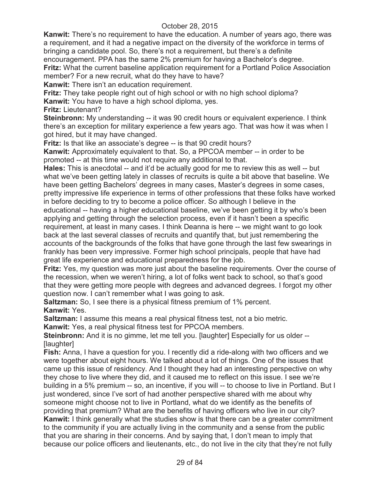**Kanwit:** There's no requirement to have the education. A number of years ago, there was a requirement, and it had a negative impact on the diversity of the workforce in terms of bringing a candidate pool. So, there's not a requirement, but there's a definite encouragement. PPA has the same 2% premium for having a Bachelor's degree.

**Fritz:** What the current baseline application requirement for a Portland Police Association member? For a new recruit, what do they have to have?

**Kanwit:** There isn't an education requirement.

**Fritz:** They take people right out of high school or with no high school diploma? **Kanwit:** You have to have a high school diploma, yes.

**Fritz:** Lieutenant?

**Steinbronn:** My understanding -- it was 90 credit hours or equivalent experience. I think there's an exception for military experience a few years ago. That was how it was when I got hired, but it may have changed.

**Fritz:** Is that like an associate's degree -- is that 90 credit hours?

**Kanwit:** Approximately equivalent to that. So, a PPCOA member -- in order to be promoted -- at this time would not require any additional to that.

**Hales:** This is anecdotal -- and it'd be actually good for me to review this as well -- but what we've been getting lately in classes of recruits is quite a bit above that baseline. We have been getting Bachelors' degrees in many cases, Master's degrees in some cases, pretty impressive life experience in terms of other professions that these folks have worked in before deciding to try to become a police officer. So although I believe in the educational -- having a higher educational baseline, we've been getting it by who's been applying and getting through the selection process, even if it hasn't been a specific requirement, at least in many cases. I think Deanna is here -- we might want to go look back at the last several classes of recruits and quantify that, but just remembering the accounts of the backgrounds of the folks that have gone through the last few swearings in frankly has been very impressive. Former high school principals, people that have had great life experience and educational preparedness for the job.

**Fritz:** Yes, my question was more just about the baseline requirements. Over the course of the recession, when we weren't hiring, a lot of folks went back to school, so that's good that they were getting more people with degrees and advanced degrees. I forgot my other question now. I can't remember what I was going to ask.

**Saltzman:** So, I see there is a physical fitness premium of 1% percent. **Kanwit:** Yes.

**Saltzman:** I assume this means a real physical fitness test, not a bio metric.

**Kanwit:** Yes, a real physical fitness test for PPCOA members.

**Steinbronn:** And it is no gimme, let me tell you. [laughter] Especially for us older -- [laughter]

**Fish:** Anna, I have a question for you. I recently did a ride-along with two officers and we were together about eight hours. We talked about a lot of things. One of the issues that came up this issue of residency. And I thought they had an interesting perspective on why they chose to live where they did, and it caused me to reflect on this issue. I see we're building in a 5% premium -- so, an incentive, if you will -- to choose to live in Portland. But I just wondered, since I've sort of had another perspective shared with me about why someone might choose not to live in Portland, what do we identify as the benefits of providing that premium? What are the benefits of having officers who live in our city? **Kanwit:** I think generally what the studies show is that there can be a greater commitment to the community if you are actually living in the community and a sense from the public that you are sharing in their concerns. And by saying that, I don't mean to imply that because our police officers and lieutenants, etc., do not live in the city that they're not fully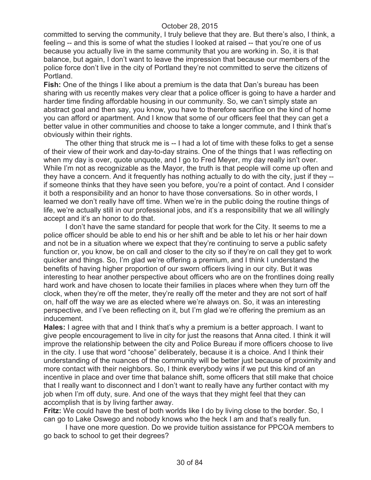committed to serving the community, I truly believe that they are. But there's also, I think, a feeling -- and this is some of what the studies I looked at raised -- that you're one of us because you actually live in the same community that you are working in. So, it is that balance, but again, I don't want to leave the impression that because our members of the police force don't live in the city of Portland they're not committed to serve the citizens of Portland.

**Fish:** One of the things I like about a premium is the data that Dan's bureau has been sharing with us recently makes very clear that a police officer is going to have a harder and harder time finding affordable housing in our community. So, we can't simply state an abstract goal and then say, you know, you have to therefore sacrifice on the kind of home you can afford or apartment. And I know that some of our officers feel that they can get a better value in other communities and choose to take a longer commute, and I think that's obviously within their rights.

The other thing that struck me is -- I had a lot of time with these folks to get a sense of their view of their work and day-to-day strains. One of the things that I was reflecting on when my day is over, quote unquote, and I go to Fred Meyer, my day really isn't over. While I'm not as recognizable as the Mayor, the truth is that people will come up often and they have a concern. And it frequently has nothing actually to do with the city, just if they - if someone thinks that they have seen you before, you're a point of contact. And I consider it both a responsibility and an honor to have those conversations. So in other words, I learned we don't really have off time. When we're in the public doing the routine things of life, we're actually still in our professional jobs, and it's a responsibility that we all willingly accept and it's an honor to do that.

I don't have the same standard for people that work for the City. It seems to me a police officer should be able to end his or her shift and be able to let his or her hair down and not be in a situation where we expect that they're continuing to serve a public safety function or, you know, be on call and closer to the city so if they're on call they get to work quicker and things. So, I'm glad we're offering a premium, and I think I understand the benefits of having higher proportion of our sworn officers living in our city. But it was interesting to hear another perspective about officers who are on the frontlines doing really hard work and have chosen to locate their families in places where when they turn off the clock, when they're off the meter, they're really off the meter and they are not sort of half on, half off the way we are as elected where we're always on. So, it was an interesting perspective, and I've been reflecting on it, but I'm glad we're offering the premium as an inducement.

**Hales:** I agree with that and I think that's why a premium is a better approach. I want to give people encouragement to live in city for just the reasons that Anna cited. I think it will improve the relationship between the city and Police Bureau if more officers choose to live in the city. I use that word "choose" deliberately, because it is a choice. And I think their understanding of the nuances of the community will be better just because of proximity and more contact with their neighbors. So, I think everybody wins if we put this kind of an incentive in place and over time that balance shift, some officers that still make that choice that I really want to disconnect and I don't want to really have any further contact with my job when I'm off duty, sure. And one of the ways that they might feel that they can accomplish that is by living farther away.

**Fritz:** We could have the best of both worlds like I do by living close to the border. So, I can go to Lake Oswego and nobody knows who the heck I am and that's really fun.

I have one more question. Do we provide tuition assistance for PPCOA members to go back to school to get their degrees?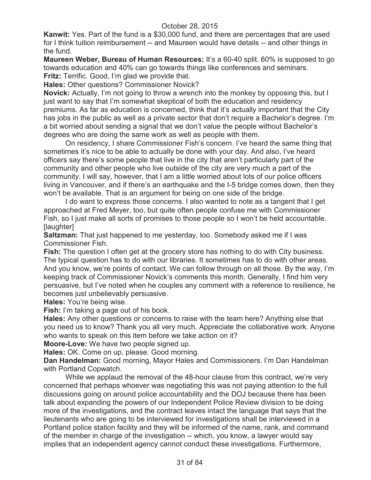**Kanwit:** Yes. Part of the fund is a \$30,000 fund, and there are percentages that are used for I think tuition reimbursement -- and Maureen would have details -- and other things in the fund.

**Maureen Weber, Bureau of Human Resources:** It's a 60-40 split. 60% is supposed to go towards education and 40% can go towards things like conferences and seminars. **Fritz:** Terrific. Good, I'm glad we provide that.

**Hales:** Other questions? Commissioner Novick?

**Novick:** Actually, I'm not going to throw a wrench into the monkey by opposing this, but I just want to say that I'm somewhat skeptical of both the education and residency premiums. As far as education is concerned, think that it's actually important that the City has jobs in the public as well as a private sector that don't require a Bachelor's degree. I'm a bit worried about sending a signal that we don't value the people without Bachelor's degrees who are doing the same work as well as people with them.

On residency, I share Commissioner Fish's concern. I've heard the same thing that sometimes it's nice to be able to actually be done with your day. And also, I've heard officers say there's some people that live in the city that aren't particularly part of the community and other people who live outside of the city are very much a part of the community. I will say, however, that I am a little worried about lots of our police officers living in Vancouver, and if there's an earthquake and the I-5 bridge comes down, then they won't be available. That is an argument for being on one side of the bridge.

I do want to express those concerns. I also wanted to note as a tangent that I get approached at Fred Meyer, too, but quite often people confuse me with Commissioner Fish, so I just make all sorts of promises to those people so I won't be held accountable. [laughter]

**Saltzman:** That just happened to me yesterday, too. Somebody asked me if I was Commissioner Fish.

**Fish:** The question I often get at the grocery store has nothing to do with City business. The typical question has to do with our libraries. It sometimes has to do with other areas. And you know, we're points of contact. We can follow through on all those. By the way, I'm keeping track of Commissioner Novick's comments this month. Generally, I find him very persuasive, but I've noted when he couples any comment with a reference to resilience, he becomes just unbelievably persuasive.

**Hales:** You're being wise.

**Fish:** I'm taking a page out of his book.

**Hales:** Any other questions or concerns to raise with the team here? Anything else that you need us to know? Thank you all very much. Appreciate the collaborative work. Anyone who wants to speak on this item before we take action on it?

**Moore-Love:** We have two people signed up.

**Hales:** OK. Come on up, please. Good morning.

**Dan Handelman:** Good morning, Mayor Hales and Commissioners. I'm Dan Handelman with Portland Copwatch.

While we applaud the removal of the 48-hour clause from this contract, we're very concerned that perhaps whoever was negotiating this was not paying attention to the full discussions going on around police accountability and the DOJ because there has been talk about expanding the powers of our Independent Police Review division to be doing more of the investigations, and the contract leaves intact the language that says that the lieutenants who are going to be interviewed for investigations shall be interviewed in a Portland police station facility and they will be informed of the name, rank, and command of the member in charge of the investigation -- which, you know, a lawyer would say implies that an independent agency cannot conduct these investigations. Furthermore,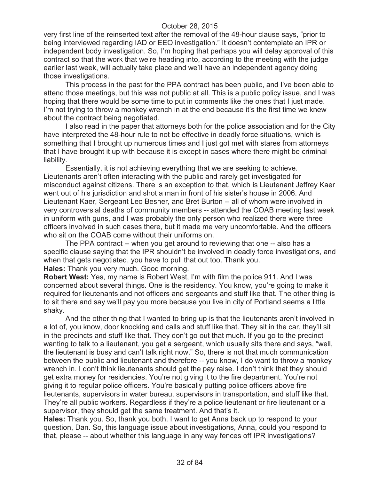very first line of the reinserted text after the removal of the 48-hour clause says, "prior to being interviewed regarding IAD or EEO investigation." It doesn't contemplate an IPR or independent body investigation. So, I'm hoping that perhaps you will delay approval of this contract so that the work that we're heading into, according to the meeting with the judge earlier last week, will actually take place and we'll have an independent agency doing those investigations.

This process in the past for the PPA contract has been public, and I've been able to attend those meetings, but this was not public at all. This is a public policy issue, and I was hoping that there would be some time to put in comments like the ones that I just made. I'm not trying to throw a monkey wrench in at the end because it's the first time we knew about the contract being negotiated.

I also read in the paper that attorneys both for the police association and for the City have interpreted the 48-hour rule to not be effective in deadly force situations, which is something that I brought up numerous times and I just got met with stares from attorneys that I have brought it up with because it is except in cases where there might be criminal liability.

Essentially, it is not achieving everything that we are seeking to achieve. Lieutenants aren't often interacting with the public and rarely get investigated for misconduct against citizens. There is an exception to that, which is Lieutenant Jeffrey Kaer went out of his jurisdiction and shot a man in front of his sister's house in 2006. And Lieutenant Kaer, Sergeant Leo Besner, and Bret Burton -- all of whom were involved in very controversial deaths of community members -- attended the COAB meeting last week in uniform with guns, and I was probably the only person who realized there were three officers involved in such cases there, but it made me very uncomfortable. And the officers who sit on the COAB come without their uniforms on.

The PPA contract -- when you get around to reviewing that one -- also has a specific clause saying that the IPR shouldn't be involved in deadly force investigations, and when that gets negotiated, you have to pull that out too. Thank you. **Hales:** Thank you very much. Good morning.

**Robert West:** Yes, my name is Robert West, I'm with film the police 911. And I was concerned about several things. One is the residency. You know, you're going to make it required for lieutenants and not officers and sergeants and stuff like that. The other thing is to sit there and say we'll pay you more because you live in city of Portland seems a little shaky.

And the other thing that I wanted to bring up is that the lieutenants aren't involved in a lot of, you know, door knocking and calls and stuff like that. They sit in the car, they'll sit in the precincts and stuff like that. They don't go out that much. If you go to the precinct wanting to talk to a lieutenant, you get a sergeant, which usually sits there and says, "well, the lieutenant is busy and can't talk right now." So, there is not that much communication between the public and lieutenant and therefore -- you know, I do want to throw a monkey wrench in. I don't think lieutenants should get the pay raise. I don't think that they should get extra money for residencies. You're not giving it to the fire department. You're not giving it to regular police officers. You're basically putting police officers above fire lieutenants, supervisors in water bureau, supervisors in transportation, and stuff like that. They're all public workers. Regardless if they're a police lieutenant or fire lieutenant or a supervisor, they should get the same treatment. And that's it.

**Hales:** Thank you. So, thank you both. I want to get Anna back up to respond to your question, Dan. So, this language issue about investigations, Anna, could you respond to that, please -- about whether this language in any way fences off IPR investigations?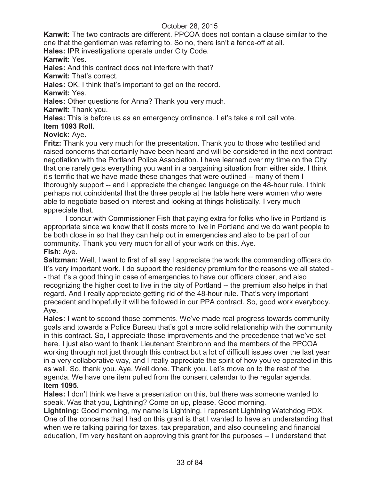**Kanwit:** The two contracts are different. PPCOA does not contain a clause similar to the one that the gentleman was referring to. So no, there isn't a fence-off at all.

**Hales:** IPR investigations operate under City Code.

**Kanwit:** Yes.

**Hales:** And this contract does not interfere with that?

**Kanwit:** That's correct.

**Hales:** OK. I think that's important to get on the record.

**Kanwit:** Yes.

**Hales:** Other questions for Anna? Thank you very much.

**Kanwit:** Thank you.

**Hales:** This is before us as an emergency ordinance. Let's take a roll call vote.

**Item 1093 Roll.**

# **Novick:** Aye.

**Fritz:** Thank you very much for the presentation. Thank you to those who testified and raised concerns that certainly have been heard and will be considered in the next contract negotiation with the Portland Police Association. I have learned over my time on the City that one rarely gets everything you want in a bargaining situation from either side. I think it's terrific that we have made these changes that were outlined -- many of them I thoroughly support -- and I appreciate the changed language on the 48-hour rule. I think perhaps not coincidental that the three people at the table here were women who were able to negotiate based on interest and looking at things holistically. I very much appreciate that.

I concur with Commissioner Fish that paying extra for folks who live in Portland is appropriate since we know that it costs more to live in Portland and we do want people to be both close in so that they can help out in emergencies and also to be part of our community. Thank you very much for all of your work on this. Aye. **Fish:** Aye.

**Saltzman:** Well, I want to first of all say I appreciate the work the commanding officers do. It's very important work. I do support the residency premium for the reasons we all stated - - that it's a good thing in case of emergencies to have our officers closer, and also recognizing the higher cost to live in the city of Portland -- the premium also helps in that regard. And I really appreciate getting rid of the 48-hour rule. That's very important precedent and hopefully it will be followed in our PPA contract. So, good work everybody. Aye.

**Hales:** I want to second those comments. We've made real progress towards community goals and towards a Police Bureau that's got a more solid relationship with the community in this contract. So, I appreciate those improvements and the precedence that we've set here. I just also want to thank Lieutenant Steinbronn and the members of the PPCOA working through not just through this contract but a lot of difficult issues over the last year in a very collaborative way, and I really appreciate the spirit of how you've operated in this as well. So, thank you. Aye. Well done. Thank you. Let's move on to the rest of the agenda. We have one item pulled from the consent calendar to the regular agenda. **Item 1095.**

**Hales:** I don't think we have a presentation on this, but there was someone wanted to speak. Was that you, Lightning? Come on up, please. Good morning.

**Lightning:** Good morning, my name is Lightning, I represent Lightning Watchdog PDX. One of the concerns that I had on this grant is that I wanted to have an understanding that when we're talking pairing for taxes, tax preparation, and also counseling and financial education, I'm very hesitant on approving this grant for the purposes -- I understand that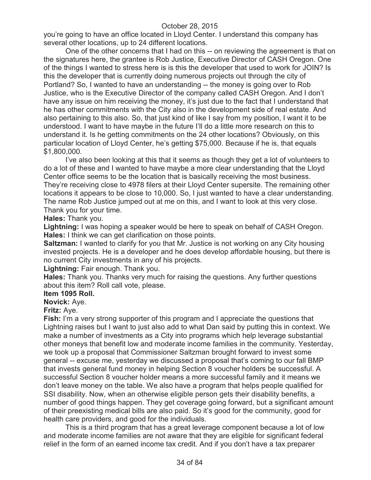you're going to have an office located in Lloyd Center. I understand this company has several other locations, up to 24 different locations.

One of the other concerns that I had on this -- on reviewing the agreement is that on the signatures here, the grantee is Rob Justice, Executive Director of CASH Oregon. One of the things I wanted to stress here is is this the developer that used to work for JOIN? Is this the developer that is currently doing numerous projects out through the city of Portland? So, I wanted to have an understanding -- the money is going over to Rob Justice, who is the Executive Director of the company called CASH Oregon. And I don't have any issue on him receiving the money, it's just due to the fact that I understand that he has other commitments with the City also in the development side of real estate. And also pertaining to this also. So, that just kind of like I say from my position, I want it to be understood. I want to have maybe in the future I'll do a little more research on this to understand it. Is he getting commitments on the 24 other locations? Obviously, on this particular location of Lloyd Center, he's getting \$75,000. Because if he is, that equals \$1,800,000.

I've also been looking at this that it seems as though they get a lot of volunteers to do a lot of these and I wanted to have maybe a more clear understanding that the Lloyd Center office seems to be the location that is basically receiving the most business. They're receiving close to 4978 filers at their Lloyd Center supersite. The remaining other locations it appears to be close to 10,000. So, I just wanted to have a clear understanding. The name Rob Justice jumped out at me on this, and I want to look at this very close. Thank you for your time.

#### **Hales:** Thank you.

**Lightning:** I was hoping a speaker would be here to speak on behalf of CASH Oregon. **Hales:** I think we can get clarification on those points.

**Saltzman:** I wanted to clarify for you that Mr. Justice is not working on any City housing invested projects. He is a developer and he does develop affordable housing, but there is no current City investments in any of his projects.

**Lightning:** Fair enough. Thank you.

**Hales:** Thank you. Thanks very much for raising the questions. Any further questions about this item? Roll call vote, please.

## **Item 1095 Roll.**

**Novick:** Aye.

#### **Fritz:** Aye.

**Fish:** I'm a very strong supporter of this program and I appreciate the questions that Lightning raises but I want to just also add to what Dan said by putting this in context. We make a number of investments as a City into programs which help leverage substantial other moneys that benefit low and moderate income families in the community. Yesterday, we took up a proposal that Commissioner Saltzman brought forward to invest some general -- excuse me, yesterday we discussed a proposal that's coming to our fall BMP that invests general fund money in helping Section 8 voucher holders be successful. A successful Section 8 voucher holder means a more successful family and it means we don't leave money on the table. We also have a program that helps people qualified for SSI disability. Now, when an otherwise eligible person gets their disability benefits, a number of good things happen. They get coverage going forward, but a significant amount of their preexisting medical bills are also paid. So it's good for the community, good for health care providers, and good for the individuals.

This is a third program that has a great leverage component because a lot of low and moderate income families are not aware that they are eligible for significant federal relief in the form of an earned income tax credit. And if you don't have a tax preparer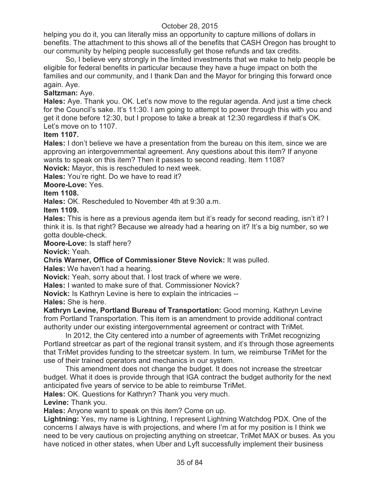helping you do it, you can literally miss an opportunity to capture millions of dollars in benefits. The attachment to this shows all of the benefits that CASH Oregon has brought to our community by helping people successfully get those refunds and tax credits.

So, I believe very strongly in the limited investments that we make to help people be eligible for federal benefits in particular because they have a huge impact on both the families and our community, and I thank Dan and the Mayor for bringing this forward once again. Aye.

# **Saltzman:** Aye.

**Hales:** Aye. Thank you. OK. Let's now move to the regular agenda. And just a time check for the Council's sake. It's 11:30. I am going to attempt to power through this with you and get it done before 12:30, but I propose to take a break at 12:30 regardless if that's OK. Let's move on to 1107.

## **Item 1107.**

**Hales:** I don't believe we have a presentation from the bureau on this item, since we are approving an intergovernmental agreement. Any questions about this item? If anyone wants to speak on this item? Then it passes to second reading. Item 1108?

**Novick:** Mayor, this is rescheduled to next week.

**Hales:** You're right. Do we have to read it?

## **Moore-Love:** Yes.

## **Item 1108.**

**Hales:** OK. Rescheduled to November 4th at 9:30 a.m.

**Item 1109.**

**Hales:** This is here as a previous agenda item but it's ready for second reading, isn't it? I think it is. Is that right? Because we already had a hearing on it? It's a big number, so we gotta double-check.

**Moore-Love:** Is staff here?

## **Novick:** Yeah.

**Chris Warner, Office of Commissioner Steve Novick:** It was pulled.

**Hales:** We haven't had a hearing.

**Novick:** Yeah, sorry about that. I lost track of where we were.

**Hales:** I wanted to make sure of that. Commissioner Novick?

**Novick:** Is Kathryn Levine is here to explain the intricacies --

**Hales:** She is here.

**Kathryn Levine, Portland Bureau of Transportation:** Good morning. Kathryn Levine from Portland Transportation. This item is an amendment to provide additional contract authority under our existing intergovernmental agreement or contract with TriMet.

In 2012, the City centered into a number of agreements with TriMet recognizing Portland streetcar as part of the regional transit system, and it's through those agreements that TriMet provides funding to the streetcar system. In turn, we reimburse TriMet for the use of their trained operators and mechanics in our system.

This amendment does not change the budget. It does not increase the streetcar budget. What it does is provide through that IGA contract the budget authority for the next anticipated five years of service to be able to reimburse TriMet.

**Hales:** OK. Questions for Kathryn? Thank you very much.

**Levine:** Thank you.

**Hales:** Anyone want to speak on this item? Come on up.

**Lightning:** Yes, my name is Lightning, I represent Lightning Watchdog PDX. One of the concerns I always have is with projections, and where I'm at for my position is I think we need to be very cautious on projecting anything on streetcar, TriMet MAX or buses. As you have noticed in other states, when Uber and Lyft successfully implement their business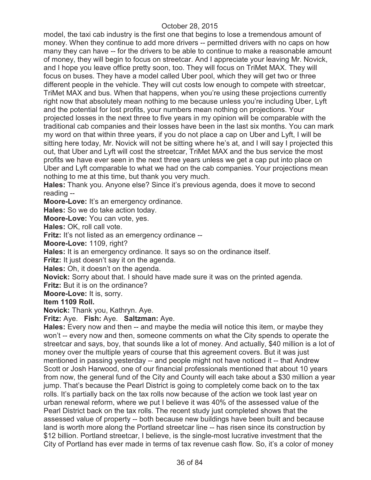model, the taxi cab industry is the first one that begins to lose a tremendous amount of money. When they continue to add more drivers -- permitted drivers with no caps on how many they can have -- for the drivers to be able to continue to make a reasonable amount of money, they will begin to focus on streetcar. And I appreciate your leaving Mr. Novick, and I hope you leave office pretty soon, too. They will focus on TriMet MAX. They will focus on buses. They have a model called Uber pool, which they will get two or three different people in the vehicle. They will cut costs low enough to compete with streetcar, TriMet MAX and bus. When that happens, when you're using these projections currently right now that absolutely mean nothing to me because unless you're including Uber, Lyft and the potential for lost profits, your numbers mean nothing on projections. Your projected losses in the next three to five years in my opinion will be comparable with the traditional cab companies and their losses have been in the last six months. You can mark my word on that within three years, if you do not place a cap on Uber and Lyft, I will be sitting here today, Mr. Novick will not be sitting where he's at, and I will say I projected this out, that Uber and Lyft will cost the streetcar, TriMet MAX and the bus service the most profits we have ever seen in the next three years unless we get a cap put into place on Uber and Lyft comparable to what we had on the cab companies. Your projections mean nothing to me at this time, but thank you very much.

**Hales:** Thank you. Anyone else? Since it's previous agenda, does it move to second reading --

**Moore-Love:** It's an emergency ordinance.

**Hales:** So we do take action today.

**Moore-Love:** You can vote, yes.

**Hales:** OK, roll call vote.

**Fritz:** It's not listed as an emergency ordinance --

**Moore-Love:** 1109, right?

**Hales:** It is an emergency ordinance. It says so on the ordinance itself.

**Fritz:** It just doesn't say it on the agenda.

**Hales:** Oh, it doesn't on the agenda.

**Novick:** Sorry about that. I should have made sure it was on the printed agenda.

**Fritz:** But it is on the ordinance?

**Moore-Love:** It is, sorry.

#### **Item 1109 Roll.**

**Novick:** Thank you, Kathryn. Aye.

**Fritz:** Aye. **Fish:** Aye. **Saltzman:** Aye.

**Hales:** Every now and then -- and maybe the media will notice this item, or maybe they won't -- every now and then, someone comments on what the City spends to operate the streetcar and says, boy, that sounds like a lot of money. And actually, \$40 million is a lot of money over the multiple years of course that this agreement covers. But it was just mentioned in passing yesterday -- and people might not have noticed it -- that Andrew Scott or Josh Harwood, one of our financial professionals mentioned that about 10 years from now, the general fund of the City and County will each take about a \$30 million a year jump. That's because the Pearl District is going to completely come back on to the tax rolls. It's partially back on the tax rolls now because of the action we took last year on urban renewal reform, where we put I believe it was 40% of the assessed value of the Pearl District back on the tax rolls. The recent study just completed shows that the assessed value of property -- both because new buildings have been built and because land is worth more along the Portland streetcar line -- has risen since its construction by \$12 billion. Portland streetcar, I believe, is the single-most lucrative investment that the City of Portland has ever made in terms of tax revenue cash flow. So, it's a color of money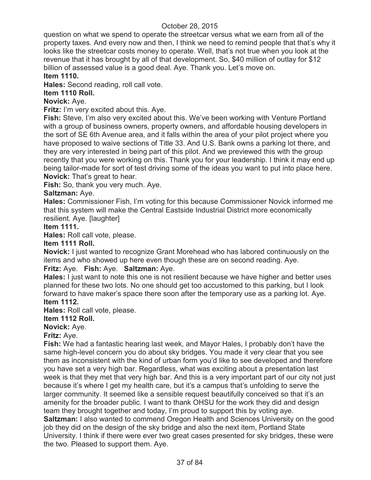question on what we spend to operate the streetcar versus what we earn from all of the property taxes. And every now and then, I think we need to remind people that that's why it looks like the streetcar costs money to operate. Well, that's not true when you look at the revenue that it has brought by all of that development. So, \$40 million of outlay for \$12 billion of assessed value is a good deal. Aye. Thank you. Let's move on.

### **Item 1110.**

**Hales:** Second reading, roll call vote.

# **Item 1110 Roll.**

**Novick:** Aye.

**Fritz:** I'm very excited about this. Aye.

**Fish:** Steve, I'm also very excited about this. We've been working with Venture Portland with a group of business owners, property owners, and affordable housing developers in the sort of SE 6th Avenue area, and it falls within the area of your pilot project where you have proposed to waive sections of Title 33. And U.S. Bank owns a parking lot there, and they are very interested in being part of this pilot. And we previewed this with the group recently that you were working on this. Thank you for your leadership. I think it may end up being tailor-made for sort of test driving some of the ideas you want to put into place here. **Novick:** That's great to hear.

**Fish:** So, thank you very much. Aye.

# **Saltzman:** Aye.

**Hales:** Commissioner Fish, I'm voting for this because Commissioner Novick informed me that this system will make the Central Eastside Industrial District more economically resilient. Aye. [laughter]

### **Item 1111.**

**Hales:** Roll call vote, please.

### **Item 1111 Roll.**

**Novick:** I just wanted to recognize Grant Morehead who has labored continuously on the items and who showed up here even though these are on second reading. Aye.

# **Fritz:** Aye. **Fish:** Aye. **Saltzman:** Aye.

**Hales:** I just want to note this one is not resilient because we have higher and better uses planned for these two lots. No one should get too accustomed to this parking, but I look forward to have maker's space there soon after the temporary use as a parking lot. Aye. **Item 1112.**

**Hales:** Roll call vote, please.

# **Item 1112 Roll.**

**Novick:** Aye.

### **Fritz:** Aye.

**Fish:** We had a fantastic hearing last week, and Mayor Hales, I probably don't have the same high-level concern you do about sky bridges. You made it very clear that you see them as inconsistent with the kind of urban form you'd like to see developed and therefore you have set a very high bar. Regardless, what was exciting about a presentation last week is that they met that very high bar. And this is a very important part of our city not just because it's where I get my health care, but it's a campus that's unfolding to serve the larger community. It seemed like a sensible request beautifully conceived so that it's an amenity for the broader public. I want to thank OHSU for the work they did and design team they brought together and today, I'm proud to support this by voting aye. **Saltzman:** I also wanted to commend Oregon Health and Sciences University on the good job they did on the design of the sky bridge and also the next item, Portland State University. I think if there were ever two great cases presented for sky bridges, these were the two. Pleased to support them. Aye.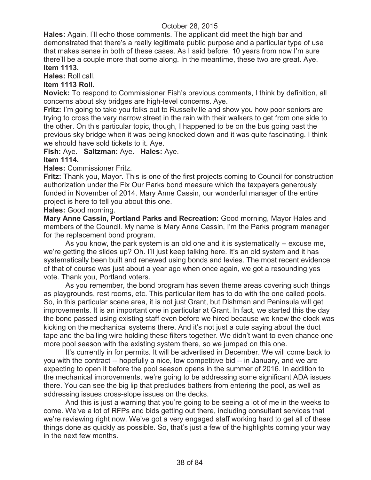**Hales:** Again, I'll echo those comments. The applicant did meet the high bar and demonstrated that there's a really legitimate public purpose and a particular type of use that makes sense in both of these cases. As I said before, 10 years from now I'm sure there'll be a couple more that come along. In the meantime, these two are great. Aye. **Item 1113.**

**Hales:** Roll call.

# **Item 1113 Roll.**

**Novick:** To respond to Commissioner Fish's previous comments, I think by definition, all concerns about sky bridges are high-level concerns. Aye.

**Fritz:** I'm going to take you folks out to Russellville and show you how poor seniors are trying to cross the very narrow street in the rain with their walkers to get from one side to the other. On this particular topic, though, I happened to be on the bus going past the previous sky bridge when it was being knocked down and it was quite fascinating. I think we should have sold tickets to it. Aye.

#### **Fish:** Aye. **Saltzman:** Aye. **Hales:** Aye. **Item 1114.**

### **Hales:** Commissioner Fritz.

**Fritz:** Thank you, Mayor. This is one of the first projects coming to Council for construction authorization under the Fix Our Parks bond measure which the taxpayers generously funded in November of 2014. Mary Anne Cassin, our wonderful manager of the entire project is here to tell you about this one.

**Hales:** Good morning.

**Mary Anne Cassin, Portland Parks and Recreation:** Good morning, Mayor Hales and members of the Council. My name is Mary Anne Cassin, I'm the Parks program manager for the replacement bond program.

As you know, the park system is an old one and it is systematically -- excuse me, we're getting the slides up? Oh. I'll just keep talking here. It's an old system and it has systematically been built and renewed using bonds and levies. The most recent evidence of that of course was just about a year ago when once again, we got a resounding yes vote. Thank you, Portland voters.

As you remember, the bond program has seven theme areas covering such things as playgrounds, rest rooms, etc. This particular item has to do with the one called pools. So, in this particular scene area, it is not just Grant, but Dishman and Peninsula will get improvements. It is an important one in particular at Grant. In fact, we started this the day the bond passed using existing staff even before we hired because we knew the clock was kicking on the mechanical systems there. And it's not just a cute saying about the duct tape and the bailing wire holding these filters together. We didn't want to even chance one more pool season with the existing system there, so we jumped on this one.

It's currently in for permits. It will be advertised in December. We will come back to you with the contract -- hopefully a nice, low competitive bid -- in January, and we are expecting to open it before the pool season opens in the summer of 2016. In addition to the mechanical improvements, we're going to be addressing some significant ADA issues there. You can see the big lip that precludes bathers from entering the pool, as well as addressing issues cross-slope issues on the decks.

And this is just a warning that you're going to be seeing a lot of me in the weeks to come. We've a lot of RFPs and bids getting out there, including consultant services that we're reviewing right now. We've got a very engaged staff working hard to get all of these things done as quickly as possible. So, that's just a few of the highlights coming your way in the next few months.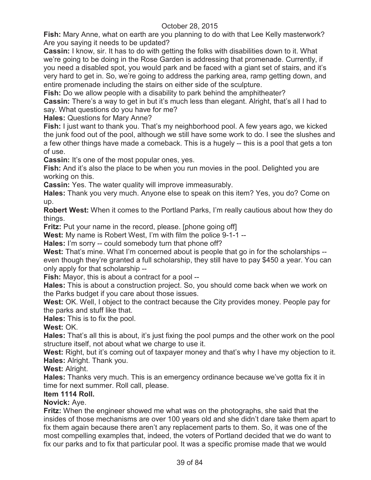**Fish:** Mary Anne, what on earth are you planning to do with that Lee Kelly masterwork? Are you saying it needs to be updated?

**Cassin:** I know, sir. It has to do with getting the folks with disabilities down to it. What we're going to be doing in the Rose Garden is addressing that promenade. Currently, if you need a disabled spot, you would park and be faced with a giant set of stairs, and it's very hard to get in. So, we're going to address the parking area, ramp getting down, and entire promenade including the stairs on either side of the sculpture.

**Fish:** Do we allow people with a disability to park behind the amphitheater?

**Cassin:** There's a way to get in but it's much less than elegant. Alright, that's all I had to say. What questions do you have for me?

**Hales:** Questions for Mary Anne?

**Fish:** I just want to thank you. That's my neighborhood pool. A few years ago, we kicked the junk food out of the pool, although we still have some work to do. I see the slushes and a few other things have made a comeback. This is a hugely -- this is a pool that gets a ton of use.

**Cassin:** It's one of the most popular ones, yes.

**Fish:** And it's also the place to be when you run movies in the pool. Delighted you are working on this.

**Cassin:** Yes. The water quality will improve immeasurably.

**Hales:** Thank you very much. Anyone else to speak on this item? Yes, you do? Come on up.

**Robert West:** When it comes to the Portland Parks, I'm really cautious about how they do things.

**Fritz:** Put your name in the record, please. [phone going off]

**West:** My name is Robert West, I'm with film the police 9-1-1 --

**Hales:** I'm sorry -- could somebody turn that phone off?

**West:** That's mine. What I'm concerned about is people that go in for the scholarships - even though they're granted a full scholarship, they still have to pay \$450 a year. You can only apply for that scholarship --

**Fish:** Mayor, this is about a contract for a pool --

**Hales:** This is about a construction project. So, you should come back when we work on the Parks budget if you care about those issues.

**West:** OK. Well, I object to the contract because the City provides money. People pay for the parks and stuff like that.

**Hales:** This is to fix the pool.

**West:** OK.

**Hales:** That's all this is about, it's just fixing the pool pumps and the other work on the pool structure itself, not about what we charge to use it.

West: Right, but it's coming out of taxpayer money and that's why I have my objection to it. **Hales:** Alright. Thank you.

**West:** Alright.

**Hales:** Thanks very much. This is an emergency ordinance because we've gotta fix it in time for next summer. Roll call, please.

### **Item 1114 Roll.**

# **Novick:** Aye.

**Fritz:** When the engineer showed me what was on the photographs, she said that the insides of those mechanisms are over 100 years old and she didn't dare take them apart to fix them again because there aren't any replacement parts to them. So, it was one of the most compelling examples that, indeed, the voters of Portland decided that we do want to fix our parks and to fix that particular pool. It was a specific promise made that we would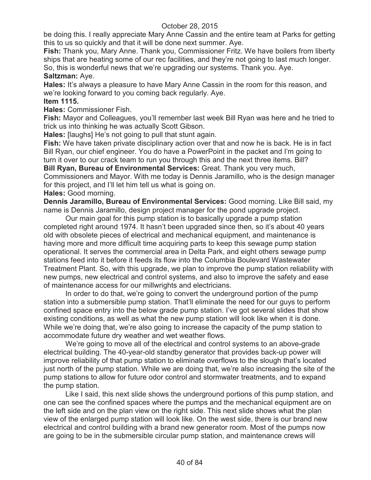be doing this. I really appreciate Mary Anne Cassin and the entire team at Parks for getting this to us so quickly and that it will be done next summer. Aye.

**Fish:** Thank you, Mary Anne. Thank you, Commissioner Fritz. We have boilers from liberty ships that are heating some of our rec facilities, and they're not going to last much longer. So, this is wonderful news that we're upgrading our systems. Thank you. Aye.

### **Saltzman:** Aye.

**Hales:** It's always a pleasure to have Mary Anne Cassin in the room for this reason, and we're looking forward to you coming back regularly. Aye.

### **Item 1115.**

**Hales:** Commissioner Fish.

**Fish:** Mayor and Colleagues, you'll remember last week Bill Ryan was here and he tried to trick us into thinking he was actually Scott Gibson.

**Hales:** [laughs] He's not going to pull that stunt again.

**Fish:** We have taken private disciplinary action over that and now he is back. He is in fact Bill Ryan, our chief engineer. You do have a PowerPoint in the packet and I'm going to turn it over to our crack team to run you through this and the next three items. Bill?

**Bill Ryan, Bureau of Environmental Services:** Great. Thank you very much, Commissioners and Mayor. With me today is Dennis Jaramillo, who is the design manager for this project, and I'll let him tell us what is going on.

### **Hales:** Good morning.

**Dennis Jaramillo, Bureau of Environmental Services:** Good morning. Like Bill said, my name is Dennis Jaramillo, design project manager for the pond upgrade project.

Our main goal for this pump station is to basically upgrade a pump station completed right around 1974. It hasn't been upgraded since then, so it's about 40 years old with obsolete pieces of electrical and mechanical equipment, and maintenance is having more and more difficult time acquiring parts to keep this sewage pump station operational. It serves the commercial area in Delta Park, and eight others sewage pump stations feed into it before it feeds its flow into the Columbia Boulevard Wastewater Treatment Plant. So, with this upgrade, we plan to improve the pump station reliability with new pumps, new electrical and control systems, and also to improve the safety and ease of maintenance access for our millwrights and electricians.

In order to do that, we're going to convert the underground portion of the pump station into a submersible pump station. That'll eliminate the need for our guys to perform confined space entry into the below grade pump station. I've got several slides that show existing conditions, as well as what the new pump station will look like when it is done. While we're doing that, we're also going to increase the capacity of the pump station to accommodate future dry weather and wet weather flows.

We're going to move all of the electrical and control systems to an above-grade electrical building. The 40-year-old standby generator that provides back-up power will improve reliability of that pump station to eliminate overflows to the slough that's located just north of the pump station. While we are doing that, we're also increasing the site of the pump stations to allow for future odor control and stormwater treatments, and to expand the pump station.

Like I said, this next slide shows the underground portions of this pump station, and one can see the confined spaces where the pumps and the mechanical equipment are on the left side and on the plan view on the right side. This next slide shows what the plan view of the enlarged pump station will look like. On the west side, there is our brand new electrical and control building with a brand new generator room. Most of the pumps now are going to be in the submersible circular pump station, and maintenance crews will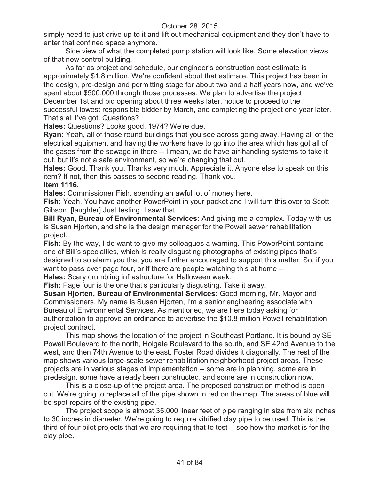simply need to just drive up to it and lift out mechanical equipment and they don't have to enter that confined space anymore.

Side view of what the completed pump station will look like. Some elevation views of that new control building.

As far as project and schedule, our engineer's construction cost estimate is approximately \$1.8 million. We're confident about that estimate. This project has been in the design, pre-design and permitting stage for about two and a half years now, and we've spent about \$500,000 through those processes. We plan to advertise the project December 1st and bid opening about three weeks later, notice to proceed to the successful lowest responsible bidder by March, and completing the project one year later. That's all I've got. Questions?

**Hales:** Questions? Looks good. 1974? We're due.

**Ryan:** Yeah, all of those round buildings that you see across going away. Having all of the electrical equipment and having the workers have to go into the area which has got all of the gases from the sewage in there -- I mean, we do have air-handling systems to take it out, but it's not a safe environment, so we're changing that out.

**Hales:** Good. Thank you. Thanks very much. Appreciate it. Anyone else to speak on this item? If not, then this passes to second reading. Thank you.

### **Item 1116.**

**Hales:** Commissioner Fish, spending an awful lot of money here.

**Fish:** Yeah. You have another PowerPoint in your packet and I will turn this over to Scott Gibson. [laughter] Just testing. I saw that.

**Bill Ryan, Bureau of Environmental Services:** And giving me a complex. Today with us is Susan Hjorten, and she is the design manager for the Powell sewer rehabilitation project.

**Fish:** By the way, I do want to give my colleagues a warning. This PowerPoint contains one of Bill's specialties, which is really disgusting photographs of existing pipes that's designed to so alarm you that you are further encouraged to support this matter. So, if you want to pass over page four, or if there are people watching this at home -- **Hales:** Scary crumbling infrastructure for Halloween week.

**Fish:** Page four is the one that's particularly disgusting. Take it away.

**Susan Hjorten, Bureau of Environmental Services:** Good morning, Mr. Mayor and Commissioners. My name is Susan Hjorten, I'm a senior engineering associate with Bureau of Environmental Services. As mentioned, we are here today asking for authorization to approve an ordinance to advertise the \$10.8 million Powell rehabilitation project contract.

This map shows the location of the project in Southeast Portland. It is bound by SE Powell Boulevard to the north, Holgate Boulevard to the south, and SE 42nd Avenue to the west, and then 74th Avenue to the east. Foster Road divides it diagonally. The rest of the map shows various large-scale sewer rehabilitation neighborhood project areas. These projects are in various stages of implementation -- some are in planning, some are in predesign, some have already been constructed, and some are in construction now.

This is a close-up of the project area. The proposed construction method is open cut. We're going to replace all of the pipe shown in red on the map. The areas of blue will be spot repairs of the existing pipe.

The project scope is almost 35,000 linear feet of pipe ranging in size from six inches to 30 inches in diameter. We're going to require vitrified clay pipe to be used. This is the third of four pilot projects that we are requiring that to test -- see how the market is for the clay pipe.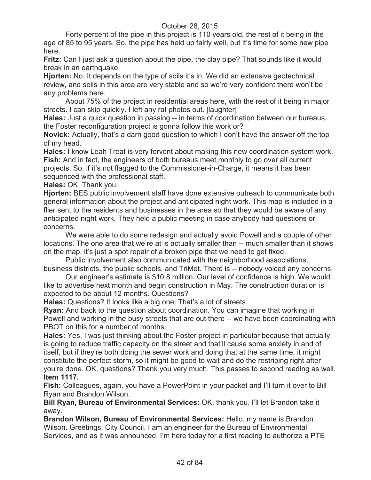Forty percent of the pipe in this project is 110 years old, the rest of it being in the age of 85 to 95 years. So, the pipe has held up fairly well, but it's time for some new pipe here.

**Fritz:** Can I just ask a question about the pipe, the clay pipe? That sounds like it would break in an earthquake.

**Hjorten:** No. It depends on the type of soils it's in. We did an extensive geotechnical review, and soils in this area are very stable and so we're very confident there won't be any problems here.

About 75% of the project in residential areas here, with the rest of it being in major streets. I can skip quickly. I left any rat photos out. [laughter]

**Hales:** Just a quick question in passing -- in terms of coordination between our bureaus, the Foster reconfiguration project is gonna follow this work or?

**Novick:** Actually, that's a darn good question to which I don't have the answer off the top of my head.

**Hales:** I know Leah Treat is very fervent about making this new coordination system work. **Fish:** And in fact, the engineers of both bureaus meet monthly to go over all current projects. So, if it's not flagged to the Commissioner-in-Charge, it means it has been sequenced with the professional staff.

**Hales:** OK. Thank you.

**Hjorten:** BES public involvement staff have done extensive outreach to communicate both general information about the project and anticipated night work. This map is included in a flier sent to the residents and businesses in the area so that they would be aware of any anticipated night work. They held a public meeting in case anybody had questions or concerns.

We were able to do some redesign and actually avoid Powell and a couple of other locations. The one area that we're at is actually smaller than -- much smaller than it shows on the map, it's just a spot repair of a broken pipe that we need to get fixed.

Public involvement also communicated with the neighborhood associations, business districts, the public schools, and TriMet. There is -- nobody voiced any concerns.

Our engineer's estimate is \$10.8 million. Our level of confidence is high. We would like to advertise next month and begin construction in May. The construction duration is expected to be about 12 months. Questions?

**Hales:** Questions? It looks like a big one. That's a lot of streets.

**Ryan:** And back to the question about coordination. You can imagine that working in Powell and working in the busy streets that are out there -- we have been coordinating with PBOT on this for a number of months.

**Hales:** Yes, I was just thinking about the Foster project in particular because that actually is going to reduce traffic capacity on the street and that'll cause some anxiety in and of itself, but if they're both doing the sewer work and doing that at the same time, it might constitute the perfect storm, so it might be good to wait and do the restriping right after you're done. OK, questions? Thank you very much. This passes to second reading as well. **Item 1117.**

**Fish:** Colleagues, again, you have a PowerPoint in your packet and I'll turn it over to Bill Ryan and Brandon Wilson.

**Bill Ryan, Bureau of Environmental Services:** OK, thank you. I'll let Brandon take it away.

**Brandon Wilson, Bureau of Environmental Services:** Hello, my name is Brandon Wilson. Greetings, City Council. I am an engineer for the Bureau of Environmental Services, and as it was announced, I'm here today for a first reading to authorize a PTE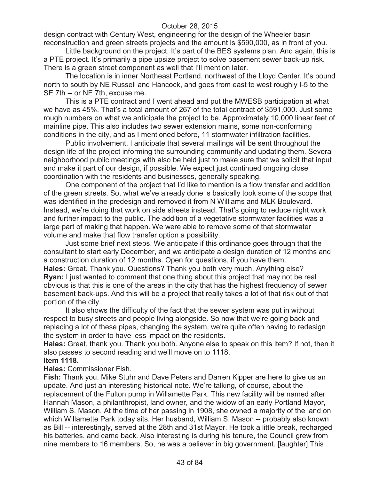design contract with Century West, engineering for the design of the Wheeler basin reconstruction and green streets projects and the amount is \$590,000, as in front of you.

Little background on the project. It's part of the BES systems plan. And again, this is a PTE project. It's primarily a pipe upsize project to solve basement sewer back-up risk. There is a green street component as well that I'll mention later.

The location is in inner Northeast Portland, northwest of the Lloyd Center. It's bound north to south by NE Russell and Hancock, and goes from east to west roughly I-5 to the SE 7th -- or NE 7th, excuse me.

This is a PTE contract and I went ahead and put the MWESB participation at what we have as 45%. That's a total amount of 267 of the total contract of \$591,000. Just some rough numbers on what we anticipate the project to be. Approximately 10,000 linear feet of mainline pipe. This also includes two sewer extension mains, some non-conforming conditions in the city, and as I mentioned before, 11 stormwater infiltration facilities.

Public involvement. I anticipate that several mailings will be sent throughout the design life of the project informing the surrounding community and updating them. Several neighborhood public meetings with also be held just to make sure that we solicit that input and make it part of our design, if possible. We expect just continued ongoing close coordination with the residents and businesses, generally speaking.

One component of the project that I'd like to mention is a flow transfer and addition of the green streets. So, what we've already done is basically took some of the scope that was identified in the predesign and removed it from N Williams and MLK Boulevard. Instead, we're doing that work on side streets instead. That's going to reduce night work and further impact to the public. The addition of a vegetative stormwater facilities was a large part of making that happen. We were able to remove some of that stormwater volume and make that flow transfer option a possibility.

Just some brief next steps. We anticipate if this ordinance goes through that the consultant to start early December, and we anticipate a design duration of 12 months and a construction duration of 12 months. Open for questions, if you have them. **Hales:** Great. Thank you. Questions? Thank you both very much. Anything else? **Ryan:** I just wanted to comment that one thing about this project that may not be real obvious is that this is one of the areas in the city that has the highest frequency of sewer basement back-ups. And this will be a project that really takes a lot of that risk out of that portion of the city.

It also shows the difficulty of the fact that the sewer system was put in without respect to busy streets and people living alongside. So now that we're going back and replacing a lot of these pipes, changing the system, we're quite often having to redesign the system in order to have less impact on the residents.

**Hales:** Great, thank you. Thank you both. Anyone else to speak on this item? If not, then it also passes to second reading and we'll move on to 1118.

#### **Item 1118.**

**Hales:** Commissioner Fish.

**Fish:** Thank you. Mike Stuhr and Dave Peters and Darren Kipper are here to give us an update. And just an interesting historical note. We're talking, of course, about the replacement of the Fulton pump in Willamette Park. This new facility will be named after Hannah Mason, a philanthropist, land owner, and the widow of an early Portland Mayor, William S. Mason. At the time of her passing in 1908, she owned a majority of the land on which Willamette Park today sits. Her husband, William S. Mason -- probably also known as Bill -- interestingly, served at the 28th and 31st Mayor. He took a little break, recharged his batteries, and came back. Also interesting is during his tenure, the Council grew from nine members to 16 members. So, he was a believer in big government. [laughter] This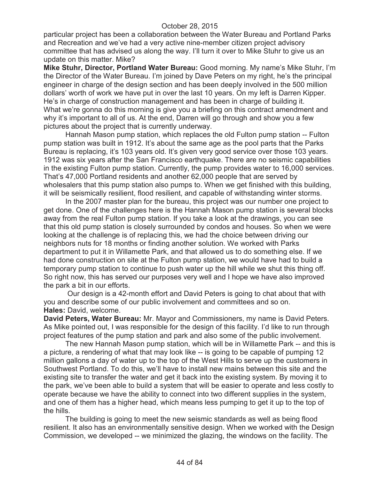particular project has been a collaboration between the Water Bureau and Portland Parks and Recreation and we've had a very active nine-member citizen project advisory committee that has advised us along the way. I'll turn it over to Mike Stuhr to give us an update on this matter. Mike?

**Mike Stuhr, Director, Portland Water Bureau:** Good morning. My name's Mike Stuhr, I'm the Director of the Water Bureau. I'm joined by Dave Peters on my right, he's the principal engineer in charge of the design section and has been deeply involved in the 500 million dollars' worth of work we have put in over the last 10 years. On my left is Darren Kipper. He's in charge of construction management and has been in charge of building it. What we're gonna do this morning is give you a briefing on this contract amendment and why it's important to all of us. At the end, Darren will go through and show you a few pictures about the project that is currently underway.

Hannah Mason pump station, which replaces the old Fulton pump station -- Fulton pump station was built in 1912. It's about the same age as the pool parts that the Parks Bureau is replacing, it's 103 years old. It's given very good service over those 103 years. 1912 was six years after the San Francisco earthquake. There are no seismic capabilities in the existing Fulton pump station. Currently, the pump provides water to 16,000 services. That's 47,000 Portland residents and another 62,000 people that are served by wholesalers that this pump station also pumps to. When we get finished with this building, it will be seismically resilient, flood resilient, and capable of withstanding winter storms.

In the 2007 master plan for the bureau, this project was our number one project to get done. One of the challenges here is the Hannah Mason pump station is several blocks away from the real Fulton pump station. If you take a look at the drawings, you can see that this old pump station is closely surrounded by condos and houses. So when we were looking at the challenge is of replacing this, we had the choice between driving our neighbors nuts for 18 months or finding another solution. We worked with Parks department to put it in Willamette Park, and that allowed us to do something else. If we had done construction on site at the Fulton pump station, we would have had to build a temporary pump station to continue to push water up the hill while we shut this thing off. So right now, this has served our purposes very well and I hope we have also improved the park a bit in our efforts.

Our design is a 42-month effort and David Peters is going to chat about that with you and describe some of our public involvement and committees and so on. **Hales:** David, welcome.

**David Peters, Water Bureau:** Mr. Mayor and Commissioners, my name is David Peters. As Mike pointed out, I was responsible for the design of this facility. I'd like to run through project features of the pump station and park and also some of the public involvement.

The new Hannah Mason pump station, which will be in Willamette Park -- and this is a picture, a rendering of what that may look like -- is going to be capable of pumping 12 million gallons a day of water up to the top of the West Hills to serve up the customers in Southwest Portland. To do this, we'll have to install new mains between this site and the existing site to transfer the water and get it back into the existing system. By moving it to the park, we've been able to build a system that will be easier to operate and less costly to operate because we have the ability to connect into two different supplies in the system, and one of them has a higher head, which means less pumping to get it up to the top of the hills.

The building is going to meet the new seismic standards as well as being flood resilient. It also has an environmentally sensitive design. When we worked with the Design Commission, we developed -- we minimized the glazing, the windows on the facility. The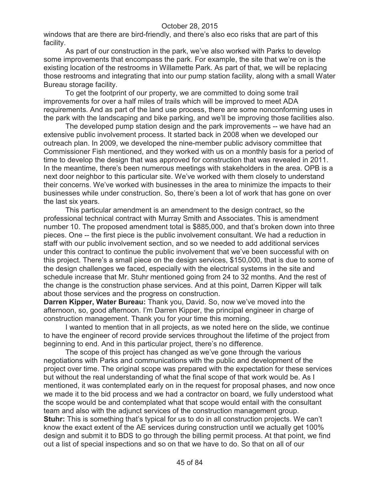windows that are there are bird-friendly, and there's also eco risks that are part of this facility.

As part of our construction in the park, we've also worked with Parks to develop some improvements that encompass the park. For example, the site that we're on is the existing location of the restrooms in Willamette Park. As part of that, we will be replacing those restrooms and integrating that into our pump station facility, along with a small Water Bureau storage facility.

To get the footprint of our property, we are committed to doing some trail improvements for over a half miles of trails which will be improved to meet ADA requirements. And as part of the land use process, there are some nonconforming uses in the park with the landscaping and bike parking, and we'll be improving those facilities also.

The developed pump station design and the park improvements -- we have had an extensive public involvement process. It started back in 2008 when we developed our outreach plan. In 2009, we developed the nine-member public advisory committee that Commissioner Fish mentioned, and they worked with us on a monthly basis for a period of time to develop the design that was approved for construction that was revealed in 2011. In the meantime, there's been numerous meetings with stakeholders in the area. OPB is a next door neighbor to this particular site. We've worked with them closely to understand their concerns. We've worked with businesses in the area to minimize the impacts to their businesses while under construction. So, there's been a lot of work that has gone on over the last six years.

This particular amendment is an amendment to the design contract, so the professional technical contract with Murray Smith and Associates. This is amendment number 10. The proposed amendment total is \$885,000, and that's broken down into three pieces. One -- the first piece is the public involvement consultant. We had a reduction in staff with our public involvement section, and so we needed to add additional services under this contract to continue the public involvement that we've been successful with on this project. There's a small piece on the design services, \$150,000, that is due to some of the design challenges we faced, especially with the electrical systems in the site and schedule increase that Mr. Stuhr mentioned going from 24 to 32 months. And the rest of the change is the construction phase services. And at this point, Darren Kipper will talk about those services and the progress on construction.

**Darren Kipper, Water Bureau:** Thank you, David. So, now we've moved into the afternoon, so, good afternoon. I'm Darren Kipper, the principal engineer in charge of construction management. Thank you for your time this morning.

I wanted to mention that in all projects, as we noted here on the slide, we continue to have the engineer of record provide services throughout the lifetime of the project from beginning to end. And in this particular project, there's no difference.

The scope of this project has changed as we've gone through the various negotiations with Parks and communications with the public and development of the project over time. The original scope was prepared with the expectation for these services but without the real understanding of what the final scope of that work would be. As I mentioned, it was contemplated early on in the request for proposal phases, and now once we made it to the bid process and we had a contractor on board, we fully understood what the scope would be and contemplated what that scope would entail with the consultant team and also with the adjunct services of the construction management group. **Stuhr:** This is something that's typical for us to do in all construction projects. We can't know the exact extent of the AE services during construction until we actually get 100% design and submit it to BDS to go through the billing permit process. At that point, we find out a list of special inspections and so on that we have to do. So that on all of our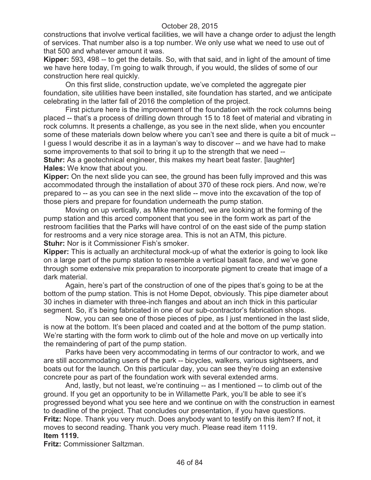constructions that involve vertical facilities, we will have a change order to adjust the length of services. That number also is a top number. We only use what we need to use out of that 500 and whatever amount it was.

**Kipper:** 593, 498 -- to get the details. So, with that said, and in light of the amount of time we have here today, I'm going to walk through, if you would, the slides of some of our construction here real quickly.

On this first slide, construction update, we've completed the aggregate pier foundation, site utilities have been installed, site foundation has started, and we anticipate celebrating in the latter fall of 2016 the completion of the project.

First picture here is the improvement of the foundation with the rock columns being placed -- that's a process of drilling down through 15 to 18 feet of material and vibrating in rock columns. It presents a challenge, as you see in the next slide, when you encounter some of these materials down below where you can't see and there is quite a bit of muck -- I guess I would describe it as in a layman's way to discover -- and we have had to make some improvements to that soil to bring it up to the strength that we need --

**Stuhr:** As a geotechnical engineer, this makes my heart beat faster. [laughter] **Hales:** We know that about you.

**Kipper:** On the next slide you can see, the ground has been fully improved and this was accommodated through the installation of about 370 of these rock piers. And now, we're prepared to -- as you can see in the next slide -- move into the excavation of the top of those piers and prepare for foundation underneath the pump station.

Moving on up vertically, as Mike mentioned, we are looking at the forming of the pump station and this arced component that you see in the form work as part of the restroom facilities that the Parks will have control of on the east side of the pump station for restrooms and a very nice storage area. This is not an ATM, this picture. **Stuhr:** Nor is it Commissioner Fish's smoker.

**Kipper:** This is actually an architectural mock-up of what the exterior is going to look like on a large part of the pump station to resemble a vertical basalt face, and we've gone through some extensive mix preparation to incorporate pigment to create that image of a dark material.

Again, here's part of the construction of one of the pipes that's going to be at the bottom of the pump station. This is not Home Depot, obviously. This pipe diameter about 30 inches in diameter with three-inch flanges and about an inch thick in this particular segment. So, it's being fabricated in one of our sub-contractor's fabrication shops.

Now, you can see one of those pieces of pipe, as I just mentioned in the last slide, is now at the bottom. It's been placed and coated and at the bottom of the pump station. We're starting with the form work to climb out of the hole and move on up vertically into the remaindering of part of the pump station.

Parks have been very accommodating in terms of our contractor to work, and we are still accommodating users of the park -- bicycles, walkers, various sightseers, and boats out for the launch. On this particular day, you can see they're doing an extensive concrete pour as part of the foundation work with several extended arms.

And, lastly, but not least, we're continuing -- as I mentioned -- to climb out of the ground. If you get an opportunity to be in Willamette Park, you'll be able to see it's progressed beyond what you see here and we continue on with the construction in earnest to deadline of the project. That concludes our presentation, if you have questions. **Fritz:** Nope. Thank you very much. Does anybody want to testify on this item? If not, it moves to second reading. Thank you very much. Please read item 1119. **Item 1119.**

**Fritz:** Commissioner Saltzman.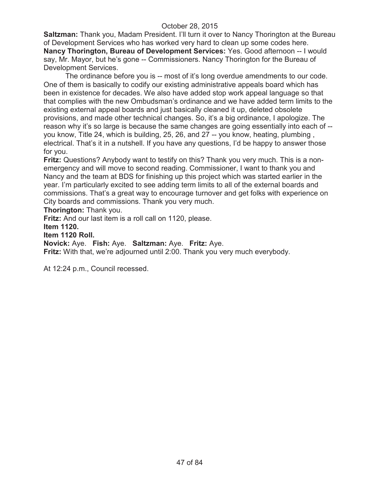**Saltzman:** Thank you, Madam President. I'll turn it over to Nancy Thorington at the Bureau of Development Services who has worked very hard to clean up some codes here. **Nancy Thorington, Bureau of Development Services:** Yes. Good afternoon -- I would say, Mr. Mayor, but he's gone -- Commissioners. Nancy Thorington for the Bureau of Development Services.

The ordinance before you is -- most of it's long overdue amendments to our code. One of them is basically to codify our existing administrative appeals board which has been in existence for decades. We also have added stop work appeal language so that that complies with the new Ombudsman's ordinance and we have added term limits to the existing external appeal boards and just basically cleaned it up, deleted obsolete provisions, and made other technical changes. So, it's a big ordinance, I apologize. The reason why it's so large is because the same changes are going essentially into each of - you know, Title 24, which is building, 25, 26, and 27 -- you know, heating, plumbing , electrical. That's it in a nutshell. If you have any questions, I'd be happy to answer those for you.

**Fritz:** Questions? Anybody want to testify on this? Thank you very much. This is a nonemergency and will move to second reading. Commissioner, I want to thank you and Nancy and the team at BDS for finishing up this project which was started earlier in the year. I'm particularly excited to see adding term limits to all of the external boards and commissions. That's a great way to encourage turnover and get folks with experience on City boards and commissions. Thank you very much.

**Thorington:** Thank you.

**Fritz:** And our last item is a roll call on 1120, please.

**Item 1120.**

### **Item 1120 Roll.**

### **Novick:** Aye. **Fish:** Aye. **Saltzman:** Aye. **Fritz:** Aye.

**Fritz:** With that, we're adjourned until 2:00. Thank you very much everybody.

At 12:24 p.m., Council recessed.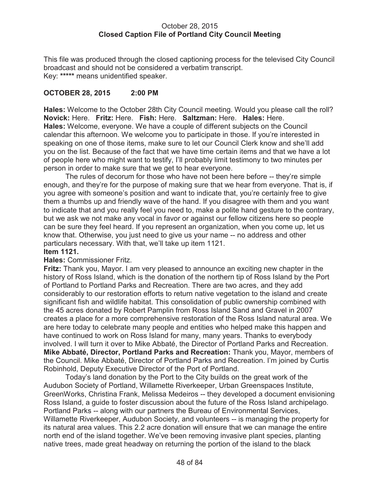### October 28, 2015 **Closed Caption File of Portland City Council Meeting**

This file was produced through the closed captioning process for the televised City Council broadcast and should not be considered a verbatim transcript. Key: **\*\*\*\*\*** means unidentified speaker.

# **OCTOBER 28, 2015 2:00 PM**

**Hales:** Welcome to the October 28th City Council meeting. Would you please call the roll? **Novick:** Here. **Fritz:** Here. **Fish:** Here. **Saltzman:** Here. **Hales:** Here. **Hales:** Welcome, everyone. We have a couple of different subjects on the Council calendar this afternoon. We welcome you to participate in those. If you're interested in speaking on one of those items, make sure to let our Council Clerk know and she'll add you on the list. Because of the fact that we have time certain items and that we have a lot of people here who might want to testify, I'll probably limit testimony to two minutes per person in order to make sure that we get to hear everyone.

The rules of decorum for those who have not been here before -- they're simple enough, and they're for the purpose of making sure that we hear from everyone. That is, if you agree with someone's position and want to indicate that, you're certainly free to give them a thumbs up and friendly wave of the hand. If you disagree with them and you want to indicate that and you really feel you need to, make a polite hand gesture to the contrary, but we ask we not make any vocal in favor or against our fellow citizens here so people can be sure they feel heard. If you represent an organization, when you come up, let us know that. Otherwise, you just need to give us your name -- no address and other particulars necessary. With that, we'll take up item 1121.

### **Item 1121.**

### **Hales:** Commissioner Fritz.

**Fritz:** Thank you, Mayor. I am very pleased to announce an exciting new chapter in the history of Ross Island, which is the donation of the northern tip of Ross Island by the Port of Portland to Portland Parks and Recreation. There are two acres, and they add considerably to our restoration efforts to return native vegetation to the island and create significant fish and wildlife habitat. This consolidation of public ownership combined with the 45 acres donated by Robert Pamplin from Ross Island Sand and Gravel in 2007 creates a place for a more comprehensive restoration of the Ross Island natural area. We are here today to celebrate many people and entities who helped make this happen and have continued to work on Ross Island for many, many years. Thanks to everybody involved. I will turn it over to Mike Abbaté, the Director of Portland Parks and Recreation. **Mike Abbaté, Director, Portland Parks and Recreation:** Thank you, Mayor, members of the Council. Mike Abbaté, Director of Portland Parks and Recreation. I'm joined by Curtis Robinhold, Deputy Executive Director of the Port of Portland.

Today's land donation by the Port to the City builds on the great work of the Audubon Society of Portland, Willamette Riverkeeper, Urban Greenspaces Institute, GreenWorks, Christina Frank, Melissa Medeiros -- they developed a document envisioning Ross Island, a guide to foster discussion about the future of the Ross Island archipelago. Portland Parks -- along with our partners the Bureau of Environmental Services, Willamette Riverkeeper, Audubon Society, and volunteers -- is managing the property for its natural area values. This 2.2 acre donation will ensure that we can manage the entire north end of the island together. We've been removing invasive plant species, planting native trees, made great headway on returning the portion of the island to the black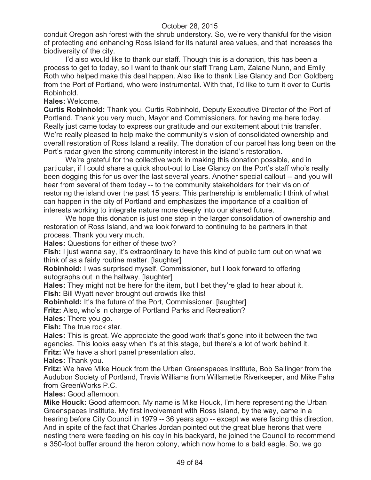conduit Oregon ash forest with the shrub understory. So, we're very thankful for the vision of protecting and enhancing Ross Island for its natural area values, and that increases the biodiversity of the city.

I'd also would like to thank our staff. Though this is a donation, this has been a process to get to today, so I want to thank our staff Trang Lam, Zalane Nunn, and Emily Roth who helped make this deal happen. Also like to thank Lise Glancy and Don Goldberg from the Port of Portland, who were instrumental. With that, I'd like to turn it over to Curtis Robinhold.

### **Hales:** Welcome.

**Curtis Robinhold:** Thank you. Curtis Robinhold, Deputy Executive Director of the Port of Portland. Thank you very much, Mayor and Commissioners, for having me here today. Really just came today to express our gratitude and our excitement about this transfer. We're really pleased to help make the community's vision of consolidated ownership and overall restoration of Ross Island a reality. The donation of our parcel has long been on the Port's radar given the strong community interest in the island's restoration.

We're grateful for the collective work in making this donation possible, and in particular, if I could share a quick shout-out to Lise Glancy on the Port's staff who's really been dogging this for us over the last several years. Another special callout -- and you will hear from several of them today -- to the community stakeholders for their vision of restoring the island over the past 15 years. This partnership is emblematic I think of what can happen in the city of Portland and emphasizes the importance of a coalition of interests working to integrate nature more deeply into our shared future.

We hope this donation is just one step in the larger consolidation of ownership and restoration of Ross Island, and we look forward to continuing to be partners in that process. Thank you very much.

**Hales:** Questions for either of these two?

**Fish:** I just wanna say, it's extraordinary to have this kind of public turn out on what we think of as a fairly routine matter. [laughter]

**Robinhold:** I was surprised myself, Commissioner, but I look forward to offering autographs out in the hallway. [laughter]

**Hales:** They might not be here for the item, but I bet they're glad to hear about it. **Fish:** Bill Wyatt never brought out crowds like this!

**Robinhold:** It's the future of the Port, Commissioner. [laughter]

**Fritz:** Also, who's in charge of Portland Parks and Recreation?

**Hales:** There you go.

**Fish:** The true rock star.

**Hales:** This is great. We appreciate the good work that's gone into it between the two agencies. This looks easy when it's at this stage, but there's a lot of work behind it. **Fritz:** We have a short panel presentation also.

**Hales:** Thank you.

**Fritz:** We have Mike Houck from the Urban Greenspaces Institute, Bob Sallinger from the Audubon Society of Portland, Travis Williams from Willamette Riverkeeper, and Mike Faha from GreenWorks P.C.

**Hales:** Good afternoon.

**Mike Houck:** Good afternoon. My name is Mike Houck, I'm here representing the Urban Greenspaces Institute. My first involvement with Ross Island, by the way, came in a hearing before City Council in 1979 -- 36 years ago -- except we were facing this direction. And in spite of the fact that Charles Jordan pointed out the great blue herons that were nesting there were feeding on his coy in his backyard, he joined the Council to recommend a 350-foot buffer around the heron colony, which now home to a bald eagle. So, we go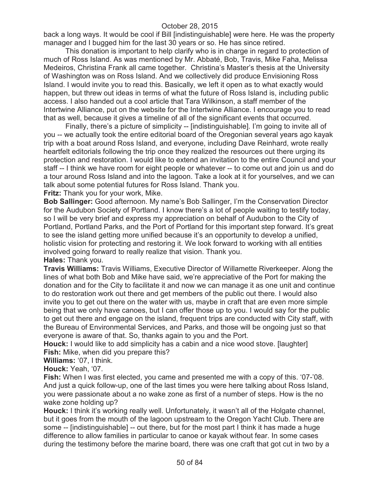back a long ways. It would be cool if Bill [indistinguishable] were here. He was the property manager and I bugged him for the last 30 years or so. He has since retired.

This donation is important to help clarify who is in charge in regard to protection of much of Ross Island. As was mentioned by Mr. Abbaté, Bob, Travis, Mike Faha, Melissa Medeiros, Christina Frank all came together. Christina's Master's thesis at the University of Washington was on Ross Island. And we collectively did produce Envisioning Ross Island. I would invite you to read this. Basically, we left it open as to what exactly would happen, but threw out ideas in terms of what the future of Ross Island is, including public access. I also handed out a cool article that Tara Wilkinson, a staff member of the Intertwine Alliance, put on the website for the Intertwine Alliance. I encourage you to read that as well, because it gives a timeline of all of the significant events that occurred.

Finally, there's a picture of simplicity -- [indistinguishable]. I'm going to invite all of you -- we actually took the entire editorial board of the Oregonian several years ago kayak trip with a boat around Ross Island, and everyone, including Dave Reinhard, wrote really heartfelt editorials following the trip once they realized the resources out there urging its protection and restoration. I would like to extend an invitation to the entire Council and your staff -- I think we have room for eight people or whatever -- to come out and join us and do a tour around Ross Island and into the lagoon. Take a look at it for yourselves, and we can talk about some potential futures for Ross Island. Thank you.

**Fritz:** Thank you for your work, Mike.

**Bob Sallinger:** Good afternoon. My name's Bob Sallinger, I'm the Conservation Director for the Audubon Society of Portland. I know there's a lot of people waiting to testify today, so I will be very brief and express my appreciation on behalf of Audubon to the City of Portland, Portland Parks, and the Port of Portland for this important step forward. It's great to see the island getting more unified because it's an opportunity to develop a unified, holistic vision for protecting and restoring it. We look forward to working with all entities involved going forward to really realize that vision. Thank you. **Hales:** Thank you.

**Travis Williams:** Travis Williams, Executive Director of Willamette Riverkeeper. Along the lines of what both Bob and Mike have said, we're appreciative of the Port for making the donation and for the City to facilitate it and now we can manage it as one unit and continue to do restoration work out there and get members of the public out there. I would also invite you to get out there on the water with us, maybe in craft that are even more simple being that we only have canoes, but I can offer those up to you. I would say for the public to get out there and engage on the island, frequent trips are conducted with City staff, with the Bureau of Environmental Services, and Parks, and those will be ongoing just so that everyone is aware of that. So, thanks again to you and the Port.

**Houck:** I would like to add simplicity has a cabin and a nice wood stove. [laughter] **Fish:** Mike, when did you prepare this?

**Williams:** '07, I think.

**Houck:** Yeah, '07.

**Fish:** When I was first elected, you came and presented me with a copy of this. '07-'08. And just a quick follow-up, one of the last times you were here talking about Ross Island, you were passionate about a no wake zone as first of a number of steps. How is the no wake zone holding up?

**Houck:** I think it's working really well. Unfortunately, it wasn't all of the Holgate channel, but it goes from the mouth of the lagoon upstream to the Oregon Yacht Club. There are some -- [indistinguishable] -- out there, but for the most part I think it has made a huge difference to allow families in particular to canoe or kayak without fear. In some cases during the testimony before the marine board, there was one craft that got cut in two by a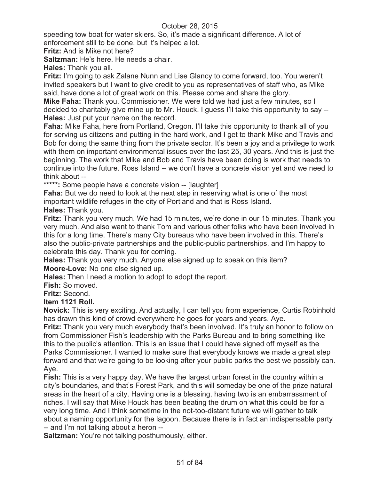speeding tow boat for water skiers. So, it's made a significant difference. A lot of enforcement still to be done, but it's helped a lot.

**Fritz:** And is Mike not here?

**Saltzman:** He's here. He needs a chair.

**Hales:** Thank you all.

**Fritz:** I'm going to ask Zalane Nunn and Lise Glancy to come forward, too. You weren't invited speakers but I want to give credit to you as representatives of staff who, as Mike said, have done a lot of great work on this. Please come and share the glory.

**Mike Faha:** Thank you, Commissioner. We were told we had just a few minutes, so I decided to charitably give mine up to Mr. Houck. I guess I'll take this opportunity to say -- **Hales:** Just put your name on the record.

**Faha:** Mike Faha, here from Portland, Oregon. I'll take this opportunity to thank all of you for serving us citizens and putting in the hard work, and I get to thank Mike and Travis and Bob for doing the same thing from the private sector. It's been a joy and a privilege to work with them on important environmental issues over the last 25, 30 years. And this is just the beginning. The work that Mike and Bob and Travis have been doing is work that needs to continue into the future. Ross Island -- we don't have a concrete vision yet and we need to think about --

**\*\*\*\*\*:** Some people have a concrete vision -- [laughter]

**Faha:** But we do need to look at the next step in reserving what is one of the most important wildlife refuges in the city of Portland and that is Ross Island.

**Hales:** Thank you.

**Fritz:** Thank you very much. We had 15 minutes, we're done in our 15 minutes. Thank you very much. And also want to thank Tom and various other folks who have been involved in this for a long time. There's many City bureaus who have been involved in this. There's also the public-private partnerships and the public-public partnerships, and I'm happy to celebrate this day. Thank you for coming.

**Hales:** Thank you very much. Anyone else signed up to speak on this item? **Moore-Love:** No one else signed up.

**Hales:** Then I need a motion to adopt to adopt the report.

**Fish:** So moved.

**Fritz:** Second.

### **Item 1121 Roll.**

**Novick:** This is very exciting. And actually, I can tell you from experience, Curtis Robinhold has drawn this kind of crowd everywhere he goes for years and years. Aye.

**Fritz:** Thank you very much everybody that's been involved. It's truly an honor to follow on from Commissioner Fish's leadership with the Parks Bureau and to bring something like this to the public's attention. This is an issue that I could have signed off myself as the Parks Commissioner. I wanted to make sure that everybody knows we made a great step forward and that we're going to be looking after your public parks the best we possibly can. Aye.

**Fish:** This is a very happy day. We have the largest urban forest in the country within a city's boundaries, and that's Forest Park, and this will someday be one of the prize natural areas in the heart of a city. Having one is a blessing, having two is an embarrassment of riches. I will say that Mike Houck has been beating the drum on what this could be for a very long time. And I think sometime in the not-too-distant future we will gather to talk about a naming opportunity for the lagoon. Because there is in fact an indispensable party -- and I'm not talking about a heron --

**Saltzman:** You're not talking posthumously, either.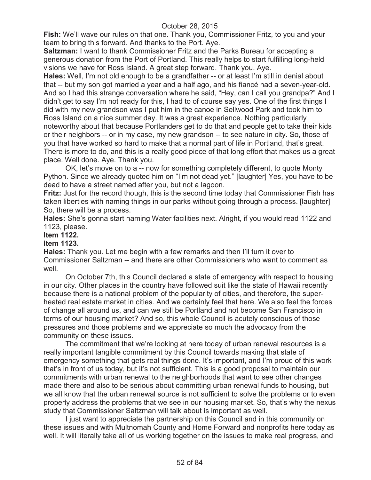**Fish:** We'll wave our rules on that one. Thank you, Commissioner Fritz, to you and your team to bring this forward. And thanks to the Port. Aye.

**Saltzman:** I want to thank Commissioner Fritz and the Parks Bureau for accepting a generous donation from the Port of Portland. This really helps to start fulfilling long-held visions we have for Ross Island. A great step forward. Thank you. Aye.

**Hales:** Well, I'm not old enough to be a grandfather -- or at least I'm still in denial about that -- but my son got married a year and a half ago, and his fiancé had a seven-year-old. And so I had this strange conversation where he said, "Hey, can I call you grandpa?" And I didn't get to say I'm not ready for this, I had to of course say yes. One of the first things I did with my new grandson was I put him in the canoe in Sellwood Park and took him to Ross Island on a nice summer day. It was a great experience. Nothing particularly noteworthy about that because Portlanders get to do that and people get to take their kids or their neighbors -- or in my case, my new grandson -- to see nature in city. So, those of you that have worked so hard to make that a normal part of life in Portland, that's great. There is more to do, and this is a really good piece of that long effort that makes us a great place. Well done. Aye. Thank you.

OK, let's move on to a -- now for something completely different, to quote Monty Python. Since we already quoted him on "I'm not dead yet." [laughter] Yes, you have to be dead to have a street named after you, but not a lagoon.

**Fritz:** Just for the record though, this is the second time today that Commissioner Fish has taken liberties with naming things in our parks without going through a process. [laughter] So, there will be a process.

**Hales:** She's gonna start naming Water facilities next. Alright, if you would read 1122 and 1123, please.

# **Item 1122.**

### **Item 1123.**

**Hales:** Thank you. Let me begin with a few remarks and then I'll turn it over to Commissioner Saltzman -- and there are other Commissioners who want to comment as well.

On October 7th, this Council declared a state of emergency with respect to housing in our city. Other places in the country have followed suit like the state of Hawaii recently because there is a national problem of the popularity of cities, and therefore, the superheated real estate market in cities. And we certainly feel that here. We also feel the forces of change all around us, and can we still be Portland and not become San Francisco in terms of our housing market? And so, this whole Council is acutely conscious of those pressures and those problems and we appreciate so much the advocacy from the community on these issues.

The commitment that we're looking at here today of urban renewal resources is a really important tangible commitment by this Council towards making that state of emergency something that gets real things done. It's important, and I'm proud of this work that's in front of us today, but it's not sufficient. This is a good proposal to maintain our commitments with urban renewal to the neighborhoods that want to see other changes made there and also to be serious about committing urban renewal funds to housing, but we all know that the urban renewal source is not sufficient to solve the problems or to even properly address the problems that we see in our housing market. So, that's why the nexus study that Commissioner Saltzman will talk about is important as well.

I just want to appreciate the partnership on this Council and in this community on these issues and with Multnomah County and Home Forward and nonprofits here today as well. It will literally take all of us working together on the issues to make real progress, and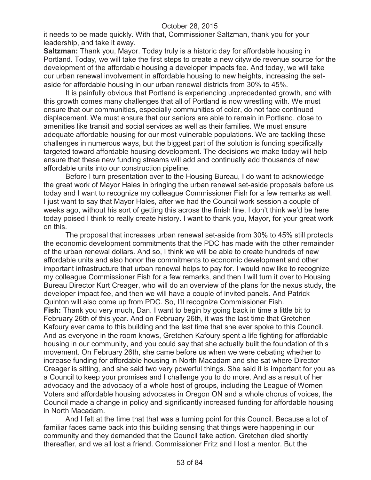it needs to be made quickly. With that, Commissioner Saltzman, thank you for your leadership, and take it away.

**Saltzman:** Thank you, Mayor. Today truly is a historic day for affordable housing in Portland. Today, we will take the first steps to create a new citywide revenue source for the development of the affordable housing a developer impacts fee. And today, we will take our urban renewal involvement in affordable housing to new heights, increasing the setaside for affordable housing in our urban renewal districts from 30% to 45%.

It is painfully obvious that Portland is experiencing unprecedented growth, and with this growth comes many challenges that all of Portland is now wrestling with. We must ensure that our communities, especially communities of color, do not face continued displacement. We must ensure that our seniors are able to remain in Portland, close to amenities like transit and social services as well as their families. We must ensure adequate affordable housing for our most vulnerable populations. We are tackling these challenges in numerous ways, but the biggest part of the solution is funding specifically targeted toward affordable housing development. The decisions we make today will help ensure that these new funding streams will add and continually add thousands of new affordable units into our construction pipeline.

Before I turn presentation over to the Housing Bureau, I do want to acknowledge the great work of Mayor Hales in bringing the urban renewal set-aside proposals before us today and I want to recognize my colleague Commissioner Fish for a few remarks as well. I just want to say that Mayor Hales, after we had the Council work session a couple of weeks ago, without his sort of getting this across the finish line, I don't think we'd be here today poised I think to really create history. I want to thank you, Mayor, for your great work on this.

The proposal that increases urban renewal set-aside from 30% to 45% still protects the economic development commitments that the PDC has made with the other remainder of the urban renewal dollars. And so, I think we will be able to create hundreds of new affordable units and also honor the commitments to economic development and other important infrastructure that urban renewal helps to pay for. I would now like to recognize my colleague Commissioner Fish for a few remarks, and then I will turn it over to Housing Bureau Director Kurt Creager, who will do an overview of the plans for the nexus study, the developer impact fee, and then we will have a couple of invited panels. And Patrick Quinton will also come up from PDC. So, I'll recognize Commissioner Fish. **Fish:** Thank you very much, Dan. I want to begin by going back in time a little bit to February 26th of this year. And on February 26th, it was the last time that Gretchen Kafoury ever came to this building and the last time that she ever spoke to this Council. And as everyone in the room knows, Gretchen Kafoury spent a life fighting for affordable housing in our community, and you could say that she actually built the foundation of this movement. On February 26th, she came before us when we were debating whether to increase funding for affordable housing in North Macadam and she sat where Director Creager is sitting, and she said two very powerful things. She said it is important for you as a Council to keep your promises and I challenge you to do more. And as a result of her advocacy and the advocacy of a whole host of groups, including the League of Women Voters and affordable housing advocates in Oregon ON and a whole chorus of voices, the Council made a change in policy and significantly increased funding for affordable housing in North Macadam.

And I felt at the time that that was a turning point for this Council. Because a lot of familiar faces came back into this building sensing that things were happening in our community and they demanded that the Council take action. Gretchen died shortly thereafter, and we all lost a friend. Commissioner Fritz and I lost a mentor. But the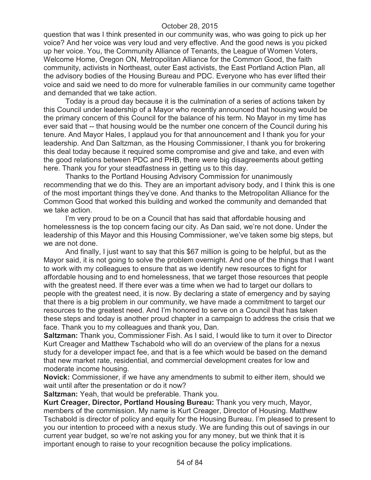question that was I think presented in our community was, who was going to pick up her voice? And her voice was very loud and very effective. And the good news is you picked up her voice. You, the Community Alliance of Tenants, the League of Women Voters, Welcome Home, Oregon ON, Metropolitan Alliance for the Common Good, the faith community, activists in Northeast, outer East activists, the East Portland Action Plan, all the advisory bodies of the Housing Bureau and PDC. Everyone who has ever lifted their voice and said we need to do more for vulnerable families in our community came together and demanded that we take action.

Today is a proud day because it is the culmination of a series of actions taken by this Council under leadership of a Mayor who recently announced that housing would be the primary concern of this Council for the balance of his term. No Mayor in my time has ever said that -- that housing would be the number one concern of the Council during his tenure. And Mayor Hales, I applaud you for that announcement and I thank you for your leadership. And Dan Saltzman, as the Housing Commissioner, I thank you for brokering this deal today because it required some compromise and give and take, and even with the good relations between PDC and PHB, there were big disagreements about getting here. Thank you for your steadfastness in getting us to this day.

Thanks to the Portland Housing Advisory Commission for unanimously recommending that we do this. They are an important advisory body, and I think this is one of the most important things they've done. And thanks to the Metropolitan Alliance for the Common Good that worked this building and worked the community and demanded that we take action.

I'm very proud to be on a Council that has said that affordable housing and homelessness is the top concern facing our city. As Dan said, we're not done. Under the leadership of this Mayor and this Housing Commissioner, we've taken some big steps, but we are not done.

And finally, I just want to say that this \$67 million is going to be helpful, but as the Mayor said, it is not going to solve the problem overnight. And one of the things that I want to work with my colleagues to ensure that as we identify new resources to fight for affordable housing and to end homelessness, that we target those resources that people with the greatest need. If there ever was a time when we had to target our dollars to people with the greatest need, it is now. By declaring a state of emergency and by saying that there is a big problem in our community, we have made a commitment to target our resources to the greatest need. And I'm honored to serve on a Council that has taken these steps and today is another proud chapter in a campaign to address the crisis that we face. Thank you to my colleagues and thank you, Dan.

**Saltzman:** Thank you, Commissioner Fish. As I said, I would like to turn it over to Director Kurt Creager and Matthew Tschabold who will do an overview of the plans for a nexus study for a developer impact fee, and that is a fee which would be based on the demand that new market rate, residential, and commercial development creates for low and moderate income housing.

**Novick:** Commissioner, if we have any amendments to submit to either item, should we wait until after the presentation or do it now?

**Saltzman:** Yeah, that would be preferable. Thank you.

**Kurt Creager, Director, Portland Housing Bureau:** Thank you very much, Mayor, members of the commission. My name is Kurt Creager, Director of Housing. Matthew Tschabold is director of policy and equity for the Housing Bureau. I'm pleased to present to you our intention to proceed with a nexus study. We are funding this out of savings in our current year budget, so we're not asking you for any money, but we think that it is important enough to raise to your recognition because the policy implications.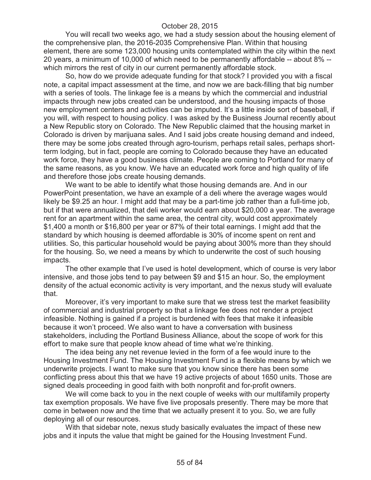You will recall two weeks ago, we had a study session about the housing element of the comprehensive plan, the 2016-2035 Comprehensive Plan. Within that housing element, there are some 123,000 housing units contemplated within the city within the next 20 years, a minimum of 10,000 of which need to be permanently affordable -- about 8% - which mirrors the rest of city in our current permanently affordable stock.

So, how do we provide adequate funding for that stock? I provided you with a fiscal note, a capital impact assessment at the time, and now we are back-filling that big number with a series of tools. The linkage fee is a means by which the commercial and industrial impacts through new jobs created can be understood, and the housing impacts of those new employment centers and activities can be imputed. It's a little inside sort of baseball, if you will, with respect to housing policy. I was asked by the Business Journal recently about a New Republic story on Colorado. The New Republic claimed that the housing market in Colorado is driven by marijuana sales. And I said jobs create housing demand and indeed, there may be some jobs created through agro-tourism, perhaps retail sales, perhaps shortterm lodging, but in fact, people are coming to Colorado because they have an educated work force, they have a good business climate. People are coming to Portland for many of the same reasons, as you know. We have an educated work force and high quality of life and therefore those jobs create housing demands.

We want to be able to identify what those housing demands are. And in our PowerPoint presentation, we have an example of a deli where the average wages would likely be \$9.25 an hour. I might add that may be a part-time job rather than a full-time job, but if that were annualized, that deli worker would earn about \$20,000 a year. The average rent for an apartment within the same area, the central city, would cost approximately \$1,400 a month or \$16,800 per year or 87% of their total earnings. I might add that the standard by which housing is deemed affordable is 30% of income spent on rent and utilities. So, this particular household would be paying about 300% more than they should for the housing. So, we need a means by which to underwrite the cost of such housing impacts.

The other example that I've used is hotel development, which of course is very labor intensive, and those jobs tend to pay between \$9 and \$15 an hour. So, the employment density of the actual economic activity is very important, and the nexus study will evaluate that.

Moreover, it's very important to make sure that we stress test the market feasibility of commercial and industrial property so that a linkage fee does not render a project infeasible. Nothing is gained if a project is burdened with fees that make it infeasible because it won't proceed. We also want to have a conversation with business stakeholders, including the Portland Business Alliance, about the scope of work for this effort to make sure that people know ahead of time what we're thinking.

The idea being any net revenue levied in the form of a fee would inure to the Housing Investment Fund. The Housing Investment Fund is a flexible means by which we underwrite projects. I want to make sure that you know since there has been some conflicting press about this that we have 19 active projects of about 1650 units. Those are signed deals proceeding in good faith with both nonprofit and for-profit owners.

We will come back to you in the next couple of weeks with our multifamily property tax exemption proposals. We have five live proposals presently. There may be more that come in between now and the time that we actually present it to you. So, we are fully deploying all of our resources.

With that sidebar note, nexus study basically evaluates the impact of these new jobs and it inputs the value that might be gained for the Housing Investment Fund.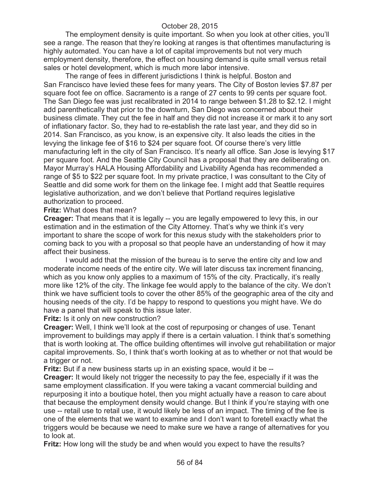The employment density is quite important. So when you look at other cities, you'll see a range. The reason that they're looking at ranges is that oftentimes manufacturing is highly automated. You can have a lot of capital improvements but not very much employment density, therefore, the effect on housing demand is quite small versus retail sales or hotel development, which is much more labor intensive.

The range of fees in different jurisdictions I think is helpful. Boston and San Francisco have levied these fees for many years. The City of Boston levies \$7.87 per square foot fee on office. Sacramento is a range of 27 cents to 99 cents per square foot. The San Diego fee was just recalibrated in 2014 to range between \$1.28 to \$2.12. I might add parenthetically that prior to the downturn, San Diego was concerned about their business climate. They cut the fee in half and they did not increase it or mark it to any sort of inflationary factor. So, they had to re-establish the rate last year, and they did so in 2014. San Francisco, as you know, is an expensive city. It also leads the cities in the levying the linkage fee of \$16 to \$24 per square foot. Of course there's very little manufacturing left in the city of San Francisco. It's nearly all office. San Jose is levying \$17 per square foot. And the Seattle City Council has a proposal that they are deliberating on. Mayor Murray's HALA Housing Affordability and Livability Agenda has recommended a range of \$5 to \$22 per square foot. In my private practice, I was consultant to the City of Seattle and did some work for them on the linkage fee. I might add that Seattle requires legislative authorization, and we don't believe that Portland requires legislative authorization to proceed.

**Fritz:** What does that mean?

**Creager:** That means that it is legally -- you are legally empowered to levy this, in our estimation and in the estimation of the City Attorney. That's why we think it's very important to share the scope of work for this nexus study with the stakeholders prior to coming back to you with a proposal so that people have an understanding of how it may affect their business.

I would add that the mission of the bureau is to serve the entire city and low and moderate income needs of the entire city. We will later discuss tax increment financing, which as you know only applies to a maximum of 15% of the city. Practically, it's really more like 12% of the city. The linkage fee would apply to the balance of the city. We don't think we have sufficient tools to cover the other 85% of the geographic area of the city and housing needs of the city. I'd be happy to respond to questions you might have. We do have a panel that will speak to this issue later.

**Fritz:** Is it only on new construction?

**Creager:** Well, I think we'll look at the cost of repurposing or changes of use. Tenant improvement to buildings may apply if there is a certain valuation. I think that's something that is worth looking at. The office building oftentimes will involve gut rehabilitation or major capital improvements. So, I think that's worth looking at as to whether or not that would be a trigger or not.

**Fritz:** But if a new business starts up in an existing space, would it be --

**Creager:** It would likely not trigger the necessity to pay the fee, especially if it was the same employment classification. If you were taking a vacant commercial building and repurposing it into a boutique hotel, then you might actually have a reason to care about that because the employment density would change. But I think if you're staying with one use -- retail use to retail use, it would likely be less of an impact. The timing of the fee is one of the elements that we want to examine and I don't want to foretell exactly what the triggers would be because we need to make sure we have a range of alternatives for you to look at.

**Fritz:** How long will the study be and when would you expect to have the results?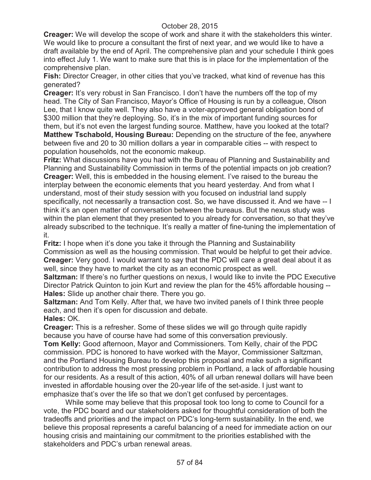**Creager:** We will develop the scope of work and share it with the stakeholders this winter. We would like to procure a consultant the first of next year, and we would like to have a draft available by the end of April. The comprehensive plan and your schedule I think goes into effect July 1. We want to make sure that this is in place for the implementation of the comprehensive plan.

**Fish:** Director Creager, in other cities that you've tracked, what kind of revenue has this generated?

**Creager:** It's very robust in San Francisco. I don't have the numbers off the top of my head. The City of San Francisco, Mayor's Office of Housing is run by a colleague, Olson Lee, that I know quite well. They also have a voter-approved general obligation bond of \$300 million that they're deploying. So, it's in the mix of important funding sources for them, but it's not even the largest funding source. Matthew, have you looked at the total? **Matthew Tschabold, Housing Bureau:** Depending on the structure of the fee, anywhere between five and 20 to 30 million dollars a year in comparable cities -- with respect to population households, not the economic makeup.

**Fritz:** What discussions have you had with the Bureau of Planning and Sustainability and Planning and Sustainability Commission in terms of the potential impacts on job creation? **Creager:** Well, this is embedded in the housing element. I've raised to the bureau the interplay between the economic elements that you heard yesterday. And from what I understand, most of their study session with you focused on industrial land supply specifically, not necessarily a transaction cost. So, we have discussed it. And we have -- I think it's an open matter of conversation between the bureaus. But the nexus study was within the plan element that they presented to you already for conversation, so that they've already subscribed to the technique. It's really a matter of fine-tuning the implementation of it.

**Fritz:** I hope when it's done you take it through the Planning and Sustainability Commission as well as the housing commission. That would be helpful to get their advice. **Creager:** Very good. I would warrant to say that the PDC will care a great deal about it as well, since they have to market the city as an economic prospect as well.

**Saltzman:** If there's no further questions on nexus, I would like to invite the PDC Executive Director Patrick Quinton to join Kurt and review the plan for the 45% affordable housing -- **Hales:** Slide up another chair there. There you go.

**Saltzman:** And Tom Kelly. After that, we have two invited panels of I think three people each, and then it's open for discussion and debate.

**Hales:** OK. **Creager:** This is a refresher. Some of these slides we will go through quite rapidly

because you have of course have had some of this conversation previously. **Tom Kelly:** Good afternoon, Mayor and Commissioners. Tom Kelly, chair of the PDC commission. PDC is honored to have worked with the Mayor, Commissioner Saltzman, and the Portland Housing Bureau to develop this proposal and make such a significant contribution to address the most pressing problem in Portland, a lack of affordable housing for our residents. As a result of this action, 40% of all urban renewal dollars will have been invested in affordable housing over the 20-year life of the set-aside. I just want to emphasize that's over the life so that we don't get confused by percentages.

While some may believe that this proposal took too long to come to Council for a vote, the PDC board and our stakeholders asked for thoughtful consideration of both the tradeoffs and priorities and the impact on PDC's long-term sustainability. In the end, we believe this proposal represents a careful balancing of a need for immediate action on our housing crisis and maintaining our commitment to the priorities established with the stakeholders and PDC's urban renewal areas.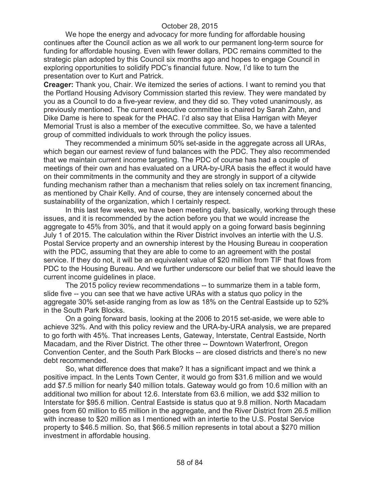We hope the energy and advocacy for more funding for affordable housing continues after the Council action as we all work to our permanent long-term source for funding for affordable housing. Even with fewer dollars, PDC remains committed to the strategic plan adopted by this Council six months ago and hopes to engage Council in exploring opportunities to solidify PDC's financial future. Now, I'd like to turn the presentation over to Kurt and Patrick.

**Creager:** Thank you, Chair. We itemized the series of actions. I want to remind you that the Portland Housing Advisory Commission started this review. They were mandated by you as a Council to do a five-year review, and they did so. They voted unanimously, as previously mentioned. The current executive committee is chaired by Sarah Zahn, and Dike Dame is here to speak for the PHAC. I'd also say that Elisa Harrigan with Meyer Memorial Trust is also a member of the executive committee. So, we have a talented group of committed individuals to work through the policy issues.

They recommended a minimum 50% set-aside in the aggregate across all URAs, which began our earnest review of fund balances with the PDC. They also recommended that we maintain current income targeting. The PDC of course has had a couple of meetings of their own and has evaluated on a URA-by-URA basis the effect it would have on their commitments in the community and they are strongly in support of a citywide funding mechanism rather than a mechanism that relies solely on tax increment financing, as mentioned by Chair Kelly. And of course, they are intensely concerned about the sustainability of the organization, which I certainly respect.

In this last few weeks, we have been meeting daily, basically, working through these issues, and it is recommended by the action before you that we would increase the aggregate to 45% from 30%, and that it would apply on a going forward basis beginning July 1 of 2015. The calculation within the River District involves an intertie with the U.S. Postal Service property and an ownership interest by the Housing Bureau in cooperation with the PDC, assuming that they are able to come to an agreement with the postal service. If they do not, it will be an equivalent value of \$20 million from TIF that flows from PDC to the Housing Bureau. And we further underscore our belief that we should leave the current income guidelines in place.

The 2015 policy review recommendations -- to summarize them in a table form, slide five -- you can see that we have active URAs with a status quo policy in the aggregate 30% set-aside ranging from as low as 18% on the Central Eastside up to 52% in the South Park Blocks.

On a going forward basis, looking at the 2006 to 2015 set-aside, we were able to achieve 32%. And with this policy review and the URA-by-URA analysis, we are prepared to go forth with 45%. That increases Lents, Gateway, Interstate, Central Eastside, North Macadam, and the River District. The other three -- Downtown Waterfront, Oregon Convention Center, and the South Park Blocks -- are closed districts and there's no new debt recommended.

So, what difference does that make? It has a significant impact and we think a positive impact. In the Lents Town Center, it would go from \$31.6 million and we would add \$7.5 million for nearly \$40 million totals. Gateway would go from 10.6 million with an additional two million for about 12.6. Interstate from 63.6 million, we add \$32 million to Interstate for \$95.6 million. Central Eastside is status quo at 9.8 million. North Macadam goes from 60 million to 65 million in the aggregate, and the River District from 26.5 million with increase to \$20 million as I mentioned with an intertie to the U.S. Postal Service property to \$46.5 million. So, that \$66.5 million represents in total about a \$270 million investment in affordable housing.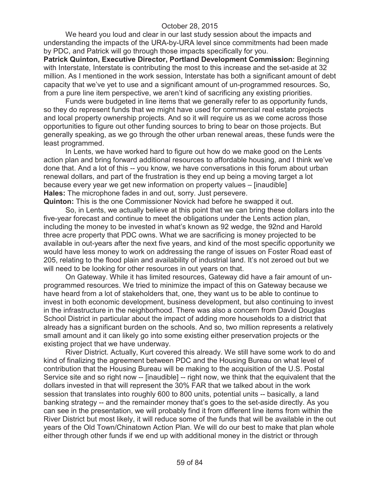We heard you loud and clear in our last study session about the impacts and understanding the impacts of the URA-by-URA level since commitments had been made by PDC, and Patrick will go through those impacts specifically for you.

**Patrick Quinton, Executive Director, Portland Development Commission:** Beginning with Interstate, Interstate is contributing the most to this increase and the set-aside at 32 million. As I mentioned in the work session, Interstate has both a significant amount of debt capacity that we've yet to use and a significant amount of un-programmed resources. So, from a pure line item perspective, we aren't kind of sacrificing any existing priorities.

Funds were budgeted in line items that we generally refer to as opportunity funds, so they do represent funds that we might have used for commercial real estate projects and local property ownership projects. And so it will require us as we come across those opportunities to figure out other funding sources to bring to bear on those projects. But generally speaking, as we go through the other urban renewal areas, these funds were the least programmed.

In Lents, we have worked hard to figure out how do we make good on the Lents action plan and bring forward additional resources to affordable housing, and I think we've done that. And a lot of this -- you know, we have conversations in this forum about urban renewal dollars, and part of the frustration is they end up being a moving target a lot because every year we get new information on property values – [inaudible] **Hales:** The microphone fades in and out, sorry. Just persevere. **Quinton:** This is the one Commissioner Novick had before he swapped it out.

So, in Lents, we actually believe at this point that we can bring these dollars into the five-year forecast and continue to meet the obligations under the Lents action plan, including the money to be invested in what's known as 92 wedge, the 92nd and Harold

three acre property that PDC owns. What we are sacrificing is money projected to be available in out-years after the next five years, and kind of the most specific opportunity we would have less money to work on addressing the range of issues on Foster Road east of 205, relating to the flood plain and availability of industrial land. It's not zeroed out but we will need to be looking for other resources in out years on that.

On Gateway. While it has limited resources, Gateway did have a fair amount of unprogrammed resources. We tried to minimize the impact of this on Gateway because we have heard from a lot of stakeholders that, one, they want us to be able to continue to invest in both economic development, business development, but also continuing to invest in the infrastructure in the neighborhood. There was also a concern from David Douglas School District in particular about the impact of adding more households to a district that already has a significant burden on the schools. And so, two million represents a relatively small amount and it can likely go into some existing either preservation projects or the existing project that we have underway.

River District. Actually, Kurt covered this already. We still have some work to do and kind of finalizing the agreement between PDC and the Housing Bureau on what level of contribution that the Housing Bureau will be making to the acquisition of the U.S. Postal Service site and so right now -- [inaudible] -- right now, we think that the equivalent that the dollars invested in that will represent the 30% FAR that we talked about in the work session that translates into roughly 600 to 800 units, potential units -- basically, a land banking strategy -- and the remainder money that's goes to the set-aside directly. As you can see in the presentation, we will probably find it from different line items from within the River District but most likely, it will reduce some of the funds that will be available in the out years of the Old Town/Chinatown Action Plan. We will do our best to make that plan whole either through other funds if we end up with additional money in the district or through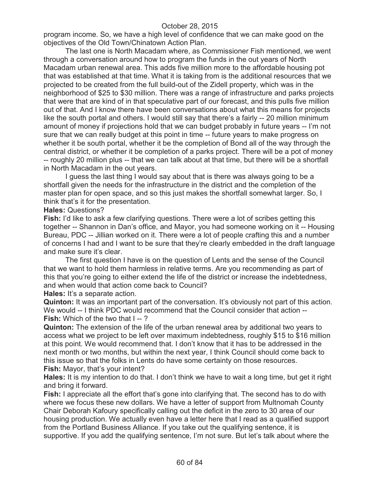program income. So, we have a high level of confidence that we can make good on the objectives of the Old Town/Chinatown Action Plan.

The last one is North Macadam where, as Commissioner Fish mentioned, we went through a conversation around how to program the funds in the out years of North Macadam urban renewal area. This adds five million more to the affordable housing pot that was established at that time. What it is taking from is the additional resources that we projected to be created from the full build-out of the Zidell property, which was in the neighborhood of \$25 to \$30 million. There was a range of infrastructure and parks projects that were that are kind of in that speculative part of our forecast, and this pulls five million out of that. And I know there have been conversations about what this means for projects like the south portal and others. I would still say that there's a fairly -- 20 million minimum amount of money if projections hold that we can budget probably in future years -- I'm not sure that we can really budget at this point in time -- future years to make progress on whether it be south portal, whether it be the completion of Bond all of the way through the central district, or whether it be completion of a parks project. There will be a pot of money -- roughly 20 million plus -- that we can talk about at that time, but there will be a shortfall in North Macadam in the out years.

I guess the last thing I would say about that is there was always going to be a shortfall given the needs for the infrastructure in the district and the completion of the master plan for open space, and so this just makes the shortfall somewhat larger. So, I think that's it for the presentation.

### **Hales:** Questions?

**Fish:** I'd like to ask a few clarifying questions. There were a lot of scribes getting this together -- Shannon in Dan's office, and Mayor, you had someone working on it -- Housing Bureau, PDC -- Jillian worked on it. There were a lot of people crafting this and a number of concerns I had and I want to be sure that they're clearly embedded in the draft language and make sure it's clear.

The first question I have is on the question of Lents and the sense of the Council that we want to hold them harmless in relative terms. Are you recommending as part of this that you're going to either extend the life of the district or increase the indebtedness, and when would that action come back to Council?

**Hales:** It's a separate action.

**Quinton:** It was an important part of the conversation. It's obviously not part of this action. We would -- I think PDC would recommend that the Council consider that action --

**Fish:** Which of the two that I -- ? **Quinton:** The extension of the life of the urban renewal area by additional two years to

access what we project to be left over maximum indebtedness, roughly \$15 to \$16 million at this point. We would recommend that. I don't know that it has to be addressed in the next month or two months, but within the next year, I think Council should come back to this issue so that the folks in Lents do have some certainty on those resources. **Fish:** Mayor, that's your intent?

**Hales:** It is my intention to do that. I don't think we have to wait a long time, but get it right and bring it forward.

**Fish:** I appreciate all the effort that's gone into clarifying that. The second has to do with where we focus these new dollars. We have a letter of support from Multnomah County Chair Deborah Kafoury specifically calling out the deficit in the zero to 30 area of our housing production. We actually even have a letter here that I read as a qualified support from the Portland Business Alliance. If you take out the qualifying sentence, it is supportive. If you add the qualifying sentence, I'm not sure. But let's talk about where the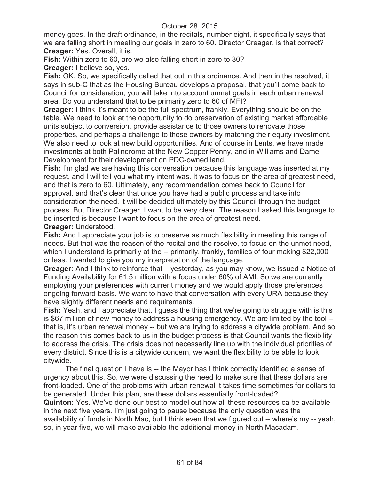money goes. In the draft ordinance, in the recitals, number eight, it specifically says that we are falling short in meeting our goals in zero to 60. Director Creager, is that correct? **Creager:** Yes. Overall, it is.

**Fish:** Within zero to 60, are we also falling short in zero to 30?

**Creager:** I believe so, yes.

**Fish:** OK. So, we specifically called that out in this ordinance. And then in the resolved, it says in sub-C that as the Housing Bureau develops a proposal, that you'll come back to Council for consideration, you will take into account unmet goals in each urban renewal area. Do you understand that to be primarily zero to 60 of MFI?

**Creager:** I think it's meant to be the full spectrum, frankly. Everything should be on the table. We need to look at the opportunity to do preservation of existing market affordable units subject to conversion, provide assistance to those owners to renovate those properties, and perhaps a challenge to those owners by matching their equity investment. We also need to look at new build opportunities. And of course in Lents, we have made investments at both Palindrome at the New Copper Penny, and in Williams and Dame Development for their development on PDC-owned land.

**Fish:** I'm glad we are having this conversation because this language was inserted at my request, and I will tell you what my intent was. It was to focus on the area of greatest need, and that is zero to 60. Ultimately, any recommendation comes back to Council for approval, and that's clear that once you have had a public process and take into consideration the need, it will be decided ultimately by this Council through the budget process. But Director Creager, I want to be very clear. The reason I asked this language to be inserted is because I want to focus on the area of greatest need.

### **Creager:** Understood.

**Fish:** And I appreciate your job is to preserve as much flexibility in meeting this range of needs. But that was the reason of the recital and the resolve, to focus on the unmet need, which I understand is primarily at the -- primarily, frankly, families of four making \$22,000 or less. I wanted to give you my interpretation of the language.

**Creager:** And I think to reinforce that – yesterday, as you may know, we issued a Notice of Funding Availability for 61.5 million with a focus under 60% of AMI. So we are currently employing your preferences with current money and we would apply those preferences ongoing forward basis. We want to have that conversation with every URA because they have slightly different needs and requirements.

**Fish:** Yeah, and I appreciate that. I guess the thing that we're going to struggle with is this is \$67 million of new money to address a housing emergency. We are limited by the tool - that is, it's urban renewal money -- but we are trying to address a citywide problem. And so the reason this comes back to us in the budget process is that Council wants the flexibility to address the crisis. The crisis does not necessarily line up with the individual priorities of every district. Since this is a citywide concern, we want the flexibility to be able to look citywide.

The final question I have is -- the Mayor has I think correctly identified a sense of urgency about this. So, we were discussing the need to make sure that these dollars are front-loaded. One of the problems with urban renewal it takes time sometimes for dollars to be generated. Under this plan, are these dollars essentially front-loaded?

**Quinton:** Yes. We've done our best to model out how all these resources ca be available in the next five years. I'm just going to pause because the only question was the availability of funds in North Mac, but I think even that we figured out -- where's my -- yeah, so, in year five, we will make available the additional money in North Macadam.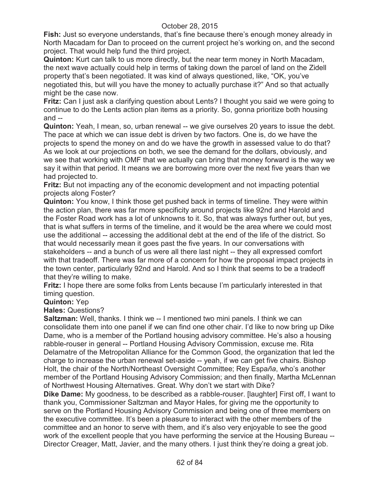**Fish:** Just so everyone understands, that's fine because there's enough money already in North Macadam for Dan to proceed on the current project he's working on, and the second project. That would help fund the third project.

**Quinton:** Kurt can talk to us more directly, but the near term money in North Macadam, the next wave actually could help in terms of taking down the parcel of land on the Zidell property that's been negotiated. It was kind of always questioned, like, "OK, you've negotiated this, but will you have the money to actually purchase it?" And so that actually might be the case now.

**Fritz:** Can I just ask a clarifying question about Lents? I thought you said we were going to continue to do the Lents action plan items as a priority. So, gonna prioritize both housing and --

**Quinton:** Yeah, I mean, so, urban renewal -- we give ourselves 20 years to issue the debt. The pace at which we can issue debt is driven by two factors. One is, do we have the projects to spend the money on and do we have the growth in assessed value to do that? As we look at our projections on both, we see the demand for the dollars, obviously, and we see that working with OMF that we actually can bring that money forward is the way we say it within that period. It means we are borrowing more over the next five years than we had projected to.

**Fritz:** But not impacting any of the economic development and not impacting potential projects along Foster?

**Quinton:** You know, I think those get pushed back in terms of timeline. They were within the action plan, there was far more specificity around projects like 92nd and Harold and the Foster Road work has a lot of unknowns to it. So, that was always further out, but yes, that is what suffers in terms of the timeline, and it would be the area where we could most use the additional -- accessing the additional debt at the end of the life of the district. So that would necessarily mean it goes past the five years. In our conversations with stakeholders -- and a bunch of us were all there last night -- they all expressed comfort with that tradeoff. There was far more of a concern for how the proposal impact projects in the town center, particularly 92nd and Harold. And so I think that seems to be a tradeoff that they're willing to make.

**Fritz:** I hope there are some folks from Lents because I'm particularly interested in that timing question.

### **Quinton:** Yep

**Hales:** Questions?

**Saltzman:** Well, thanks. I think we -- I mentioned two mini panels. I think we can consolidate them into one panel if we can find one other chair. I'd like to now bring up Dike Dame, who is a member of the Portland housing advisory committee. He's also a housing rabble-rouser in general -- Portland Housing Advisory Commission, excuse me. Rita Delamatre of the Metropolitan Alliance for the Common Good, the organization that led the charge to increase the urban renewal set-aside -- yeah, if we can get five chairs. Bishop Holt, the chair of the North/Northeast Oversight Committee; Rey Espa*ña*, who's another member of the Portland Housing Advisory Commission; and then finally, Martha McLennan of Northwest Housing Alternatives. Great. Why don't we start with Dike?

**Dike Dame:** My goodness, to be described as a rabble-rouser. [laughter] First off, I want to thank you, Commissioner Saltzman and Mayor Hales, for giving me the opportunity to serve on the Portland Housing Advisory Commission and being one of three members on the executive committee. It's been a pleasure to interact with the other members of the committee and an honor to serve with them, and it's also very enjoyable to see the good work of the excellent people that you have performing the service at the Housing Bureau -- Director Creager, Matt, Javier, and the many others. I just think they're doing a great job.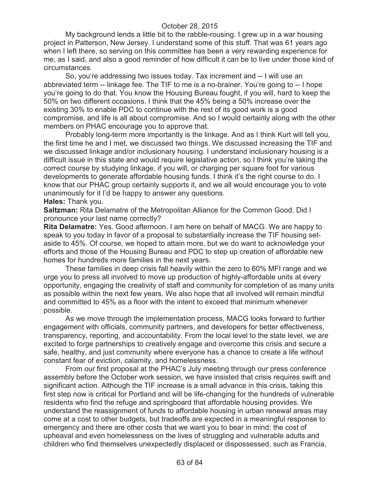My background lends a little bit to the rabble-rousing. I grew up in a war housing project in Patterson, New Jersey. I understand some of this stuff. That was 61 years ago when I left there, so serving on this committee has been a very rewarding experience for me, as I said, and also a good reminder of how difficult it can be to live under those kind of circumstances.

So, you're addressing two issues today. Tax increment and -- I will use an abbreviated term -- linkage fee. The TIF to me is a no-brainer. You're going to -- I hope you're going to do that. You know the Housing Bureau fought, if you will, hard to keep the 50% on two different occasions. I think that the 45% being a 50% increase over the existing 30% to enable PDC to continue with the rest of its good work is a good compromise, and life is all about compromise. And so I would certainly along with the other members on PHAC encourage you to approve that.

Probably long-term more importantly is the linkage. And as I think Kurt will tell you, the first time he and I met, we discussed two things. We discussed increasing the TIF and we discussed linkage and/or inclusionary housing. I understand inclusionary housing is a difficult issue in this state and would require legislative action, so I think you're taking the correct course by studying linkage, if you will, or charging per square foot for various developments to generate affordable housing funds. I think it's the right course to do. I know that our PHAC group certainly supports it, and we all would encourage you to vote unanimously for it I'd be happy to answer any questions.

**Hales:** Thank you.

**Saltzman:** Rita Delamatre of the Metropolitan Alliance for the Common Good. Did I pronounce your last name correctly?

**Rita Delamatre:** Yes. Good afternoon. I am here on behalf of MACG. We are happy to speak to you today in favor of a proposal to substantially increase the TIF housing setaside to 45%. Of course, we hoped to attain more, but we do want to acknowledge your efforts and those of the Housing Bureau and PDC to step up creation of affordable new homes for hundreds more families in the next years.

These families in deep crisis fall heavily within the zero to 60% MFI range and we urge you to press all involved to move up production of highly-affordable units at every opportunity, engaging the creativity of staff and community for completion of as many units as possible within the next few years. We also hope that all involved will remain mindful and committed to 45% as a floor with the intent to exceed that minimum whenever possible.

As we move through the implementation process, MACG looks forward to further engagement with officials, community partners, and developers for better effectiveness, transparency, reporting, and accountability. From the local level to the state level, we are excited to forge partnerships to creatively engage and overcome this crisis and secure a safe, healthy, and just community where everyone has a chance to create a life without constant fear of eviction, calamity, and homelessness.

From our first proposal at the PHAC's July meeting through our press conference assembly before the October work session, we have insisted that crisis requires swift and significant action. Although the TIF increase is a small advance in this crisis, taking this first step now is critical for Portland and will be life-changing for the hundreds of vulnerable residents who find the refuge and springboard that affordable housing provides. We understand the reassignment of funds to affordable housing in urban renewal areas may come at a cost to other budgets, but tradeoffs are expected in a meaningful response to emergency and there are other costs that we want you to bear in mind: the cost of upheaval and even homelessness on the lives of struggling and vulnerable adults and children who find themselves unexpectedly displaced or dispossessed, such as Francia,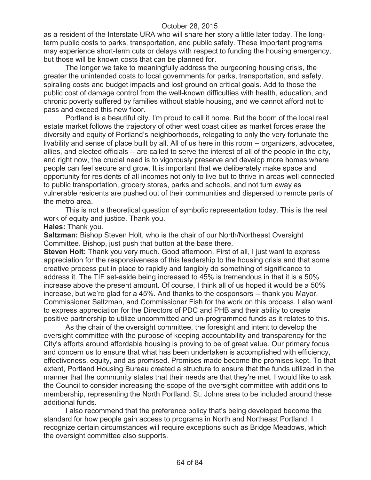as a resident of the Interstate URA who will share her story a little later today. The longterm public costs to parks, transportation, and public safety. These important programs may experience short-term cuts or delays with respect to funding the housing emergency, but those will be known costs that can be planned for.

The longer we take to meaningfully address the burgeoning housing crisis, the greater the unintended costs to local governments for parks, transportation, and safety, spiraling costs and budget impacts and lost ground on critical goals. Add to those the public cost of damage control from the well-known difficulties with health, education, and chronic poverty suffered by families without stable housing, and we cannot afford not to pass and exceed this new floor.

Portland is a beautiful city. I'm proud to call it home. But the boom of the local real estate market follows the trajectory of other west coast cities as market forces erase the diversity and equity of Portland's neighborhoods, relegating to only the very fortunate the livability and sense of place built by all. All of us here in this room -- organizers, advocates, allies, and elected officials -- are called to serve the interest of all of the people in the city, and right now, the crucial need is to vigorously preserve and develop more homes where people can feel secure and grow. It is important that we deliberately make space and opportunity for residents of all incomes not only to live but to thrive in areas well connected to public transportation, grocery stores, parks and schools, and not turn away as vulnerable residents are pushed out of their communities and dispersed to remote parts of the metro area.

This is not a theoretical question of symbolic representation today. This is the real work of equity and justice. Thank you.

**Hales:** Thank you.

**Saltzman:** Bishop Steven Holt, who is the chair of our North/Northeast Oversight Committee. Bishop, just push that button at the base there.

**Steven Holt:** Thank you very much. Good afternoon. First of all, I just want to express appreciation for the responsiveness of this leadership to the housing crisis and that some creative process put in place to rapidly and tangibly do something of significance to address it. The TIF set-aside being increased to 45% is tremendous in that it is a 50% increase above the present amount. Of course, I think all of us hoped it would be a 50% increase, but we're glad for a 45%. And thanks to the cosponsors -- thank you Mayor, Commissioner Saltzman, and Commissioner Fish for the work on this process. I also want to express appreciation for the Directors of PDC and PHB and their ability to create positive partnership to utilize uncommitted and un-programmed funds as it relates to this.

As the chair of the oversight committee, the foresight and intent to develop the oversight committee with the purpose of keeping accountability and transparency for the City's efforts around affordable housing is proving to be of great value. Our primary focus and concern us to ensure that what has been undertaken is accomplished with efficiency, effectiveness, equity, and as promised. Promises made become the promises kept. To that extent, Portland Housing Bureau created a structure to ensure that the funds utilized in the manner that the community states that their needs are that they're met. I would like to ask the Council to consider increasing the scope of the oversight committee with additions to membership, representing the North Portland, St. Johns area to be included around these additional funds.

I also recommend that the preference policy that's being developed become the standard for how people gain access to programs in North and Northeast Portland. I recognize certain circumstances will require exceptions such as Bridge Meadows, which the oversight committee also supports.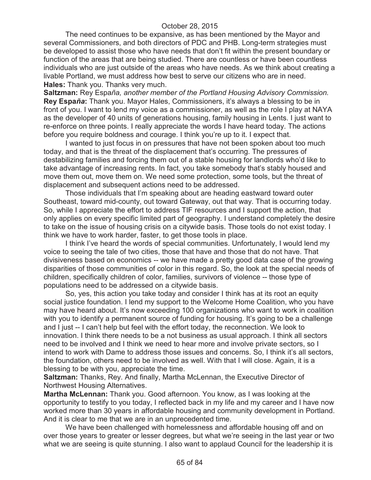The need continues to be expansive, as has been mentioned by the Mayor and several Commissioners, and both directors of PDC and PHB. Long-term strategies must be developed to assist those who have needs that don't fit within the present boundary or function of the areas that are being studied. There are countless or have been countless individuals who are just outside of the areas who have needs. As we think about creating a livable Portland, we must address how best to serve our citizens who are in need. **Hales:** Thank you. Thanks very much.

**Saltzman:** Rey Espa*ña, another member of the Portland Housing Advisory Commission.* **Rey Espa***ña***:** Thank you. Mayor Hales, Commissioners, it's always a blessing to be in front of you. I want to lend my voice as a commissioner, as well as the role I play at NAYA as the developer of 40 units of generations housing, family housing in Lents. I just want to re-enforce on three points. I really appreciate the words I have heard today. The actions before you require boldness and courage. I think you're up to it. I expect that.

I wanted to just focus in on pressures that have not been spoken about too much today, and that is the threat of the displacement that's occurring. The pressures of destabilizing families and forcing them out of a stable housing for landlords who'd like to take advantage of increasing rents. In fact, you take somebody that's stably housed and move them out, move them on. We need some protection, some tools, but the threat of displacement and subsequent actions need to be addressed.

Those individuals that I'm speaking about are heading eastward toward outer Southeast, toward mid-county, out toward Gateway, out that way. That is occurring today. So, while I appreciate the effort to address TIF resources and I support the action, that only applies on every specific limited part of geography. I understand completely the desire to take on the issue of housing crisis on a citywide basis. Those tools do not exist today. I think we have to work harder, faster, to get those tools in place.

I think I've heard the words of special communities. Unfortunately, I would lend my voice to seeing the tale of two cities, those that have and those that do not have. That divisiveness based on economics -- we have made a pretty good data case of the growing disparities of those communities of color in this regard. So, the look at the special needs of children, specifically children of color, families, survivors of violence -- those type of populations need to be addressed on a citywide basis.

So, yes, this action you take today and consider I think has at its root an equity social justice foundation. I lend my support to the Welcome Home Coalition, who you have may have heard about. It's now exceeding 100 organizations who want to work in coalition with you to identify a permanent source of funding for housing. It's going to be a challenge and I just -- I can't help but feel with the effort today, the reconnection. We look to innovation. I think there needs to be a not business as usual approach. I think all sectors need to be involved and I think we need to hear more and involve private sectors, so I intend to work with Dame to address those issues and concerns. So, I think it's all sectors, the foundation, others need to be involved as well. With that I will close. Again, it is a blessing to be with you, appreciate the time.

**Saltzman:** Thanks, Rey. And finally, Martha McLennan, the Executive Director of Northwest Housing Alternatives.

**Martha McLennan:** Thank you. Good afternoon. You know, as I was looking at the opportunity to testify to you today, I reflected back in my life and my career and I have now worked more than 30 years in affordable housing and community development in Portland. And it is clear to me that we are in an unprecedented time.

We have been challenged with homelessness and affordable housing off and on over those years to greater or lesser degrees, but what we're seeing in the last year or two what we are seeing is quite stunning. I also want to applaud Council for the leadership it is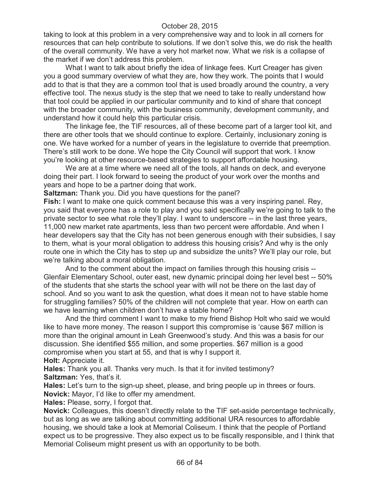taking to look at this problem in a very comprehensive way and to look in all corners for resources that can help contribute to solutions. If we don't solve this, we do risk the health of the overall community. We have a very hot market now. What we risk is a collapse of the market if we don't address this problem.

What I want to talk about briefly the idea of linkage fees. Kurt Creager has given you a good summary overview of what they are, how they work. The points that I would add to that is that they are a common tool that is used broadly around the country, a very effective tool. The nexus study is the step that we need to take to really understand how that tool could be applied in our particular community and to kind of share that concept with the broader community, with the business community, development community, and understand how it could help this particular crisis.

The linkage fee, the TIF resources, all of these become part of a larger tool kit, and there are other tools that we should continue to explore. Certainly, inclusionary zoning is one. We have worked for a number of years in the legislature to override that preemption. There's still work to be done. We hope the City Council will support that work. I know you're looking at other resource-based strategies to support affordable housing.

We are at a time where we need all of the tools, all hands on deck, and everyone doing their part. I look forward to seeing the product of your work over the months and years and hope to be a partner doing that work.

**Saltzman:** Thank you. Did you have questions for the panel?

**Fish:** I want to make one quick comment because this was a very inspiring panel. Rey, you said that everyone has a role to play and you said specifically we're going to talk to the private sector to see what role they'll play. I want to underscore -- in the last three years, 11,000 new market rate apartments, less than two percent were affordable. And when I hear developers say that the City has not been generous enough with their subsidies, I say to them, what is your moral obligation to address this housing crisis? And why is the only route one in which the City has to step up and subsidize the units? We'll play our role, but we're talking about a moral obligation.

And to the comment about the impact on families through this housing crisis -- Glenfair Elementary School, outer east, new dynamic principal doing her level best -- 50% of the students that she starts the school year with will not be there on the last day of school. And so you want to ask the question, what does it mean not to have stable home for struggling families? 50% of the children will not complete that year. How on earth can we have learning when children don't have a stable home?

And the third comment I want to make to my friend Bishop Holt who said we would like to have more money. The reason I support this compromise is 'cause \$67 million is more than the original amount in Leah Greenwood's study. And this was a basis for our discussion. She identified \$55 million, and some properties. \$67 million is a good compromise when you start at 55, and that is why I support it.

**Holt:** Appreciate it.

**Hales:** Thank you all. Thanks very much. Is that it for invited testimony? **Saltzman:** Yes, that's it.

**Hales:** Let's turn to the sign-up sheet, please, and bring people up in threes or fours. **Novick:** Mayor, I'd like to offer my amendment.

**Hales:** Please, sorry, I forgot that.

**Novick:** Colleagues, this doesn't directly relate to the TIF set-aside percentage technically, but as long as we are talking about committing additional URA resources to affordable housing, we should take a look at Memorial Coliseum. I think that the people of Portland expect us to be progressive. They also expect us to be fiscally responsible, and I think that Memorial Coliseum might present us with an opportunity to be both.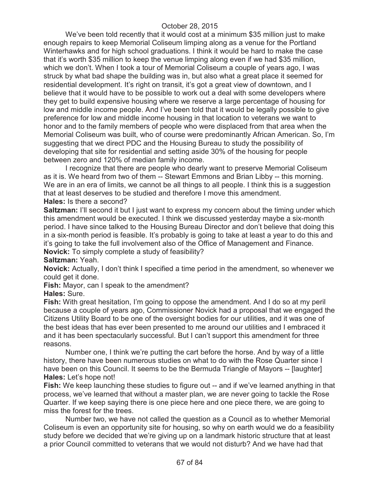We've been told recently that it would cost at a minimum \$35 million just to make enough repairs to keep Memorial Coliseum limping along as a venue for the Portland Winterhawks and for high school graduations. I think it would be hard to make the case that it's worth \$35 million to keep the venue limping along even if we had \$35 million, which we don't. When I took a tour of Memorial Coliseum a couple of years ago, I was struck by what bad shape the building was in, but also what a great place it seemed for residential development. It's right on transit, it's got a great view of downtown, and I believe that it would have to be possible to work out a deal with some developers where they get to build expensive housing where we reserve a large percentage of housing for low and middle income people. And I've been told that it would be legally possible to give preference for low and middle income housing in that location to veterans we want to honor and to the family members of people who were displaced from that area when the Memorial Coliseum was built, who of course were predominantly African American. So, I'm suggesting that we direct PDC and the Housing Bureau to study the possibility of developing that site for residential and setting aside 30% of the housing for people between zero and 120% of median family income.

I recognize that there are people who dearly want to preserve Memorial Coliseum as it is. We heard from two of them -- Stewart Emmons and Brian Libby -- this morning. We are in an era of limits, we cannot be all things to all people. I think this is a suggestion that at least deserves to be studied and therefore I move this amendment. **Hales:** Is there a second?

# **Saltzman:** I'll second it but I just want to express my concern about the timing under which this amendment would be executed. I think we discussed yesterday maybe a six-month period. I have since talked to the Housing Bureau Director and don't believe that doing this in a six-month period is feasible. It's probably is going to take at least a year to do this and it's going to take the full involvement also of the Office of Management and Finance.

**Novick:** To simply complete a study of feasibility?

### **Saltzman:** Yeah.

**Novick:** Actually, I don't think I specified a time period in the amendment, so whenever we could get it done.

**Fish:** Mayor, can I speak to the amendment?

### **Hales:** Sure.

**Fish:** With great hesitation, I'm going to oppose the amendment. And I do so at my peril because a couple of years ago, Commissioner Novick had a proposal that we engaged the Citizens Utility Board to be one of the oversight bodies for our utilities, and it was one of the best ideas that has ever been presented to me around our utilities and I embraced it and it has been spectacularly successful. But I can't support this amendment for three reasons.

Number one, I think we're putting the cart before the horse. And by way of a little history, there have been numerous studies on what to do with the Rose Quarter since I have been on this Council. It seems to be the Bermuda Triangle of Mayors -- [laughter] **Hales:** Let's hope not!

**Fish:** We keep launching these studies to figure out -- and if we've learned anything in that process, we've learned that without a master plan, we are never going to tackle the Rose Quarter. If we keep saying there is one piece here and one piece there, we are going to miss the forest for the trees.

Number two, we have not called the question as a Council as to whether Memorial Coliseum is even an opportunity site for housing, so why on earth would we do a feasibility study before we decided that we're giving up on a landmark historic structure that at least a prior Council committed to veterans that we would not disturb? And we have had that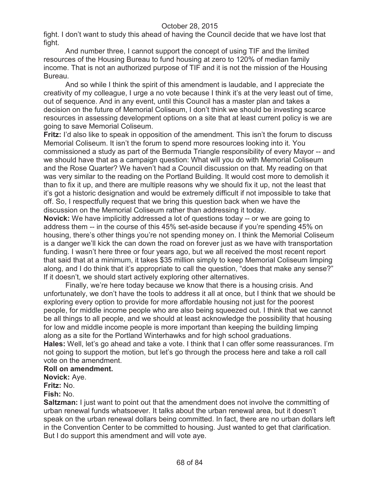fight. I don't want to study this ahead of having the Council decide that we have lost that fight.

And number three, I cannot support the concept of using TIF and the limited resources of the Housing Bureau to fund housing at zero to 120% of median family income. That is not an authorized purpose of TIF and it is not the mission of the Housing Bureau.

And so while I think the spirit of this amendment is laudable, and I appreciate the creativity of my colleague, I urge a no vote because I think it's at the very least out of time, out of sequence. And in any event, until this Council has a master plan and takes a decision on the future of Memorial Coliseum, I don't think we should be investing scarce resources in assessing development options on a site that at least current policy is we are going to save Memorial Coliseum.

**Fritz:** I'd also like to speak in opposition of the amendment. This isn't the forum to discuss Memorial Coliseum. It isn't the forum to spend more resources looking into it. You commissioned a study as part of the Bermuda Triangle responsibility of every Mayor -- and we should have that as a campaign question: What will you do with Memorial Coliseum and the Rose Quarter? We haven't had a Council discussion on that. My reading on that was very similar to the reading on the Portland Building. It would cost more to demolish it than to fix it up, and there are multiple reasons why we should fix it up, not the least that it's got a historic designation and would be extremely difficult if not impossible to take that off. So, I respectfully request that we bring this question back when we have the discussion on the Memorial Coliseum rather than addressing it today.

**Novick:** We have implicitly addressed a lot of questions today -- or we are going to address them -- in the course of this 45% set-aside because if you're spending 45% on housing, there's other things you're not spending money on. I think the Memorial Coliseum is a danger we'll kick the can down the road on forever just as we have with transportation funding. I wasn't here three or four years ago, but we all received the most recent report that said that at a minimum, it takes \$35 million simply to keep Memorial Coliseum limping along, and I do think that it's appropriate to call the question, "does that make any sense?" If it doesn't, we should start actively exploring other alternatives.

Finally, we're here today because we know that there is a housing crisis. And unfortunately, we don't have the tools to address it all at once, but I think that we should be exploring every option to provide for more affordable housing not just for the poorest people, for middle income people who are also being squeezed out. I think that we cannot be all things to all people, and we should at least acknowledge the possibility that housing for low and middle income people is more important than keeping the building limping along as a site for the Portland Winterhawks and for high school graduations.

**Hales:** Well, let's go ahead and take a vote. I think that I can offer some reassurances. I'm not going to support the motion, but let's go through the process here and take a roll call vote on the amendment.

### **Roll on amendment.**

**Novick:** Aye.

**Fritz:** No.

# **Fish:** No.

**Saltzman:** I just want to point out that the amendment does not involve the committing of urban renewal funds whatsoever. It talks about the urban renewal area, but it doesn't speak on the urban renewal dollars being committed. In fact, there are no urban dollars left in the Convention Center to be committed to housing. Just wanted to get that clarification. But I do support this amendment and will vote aye.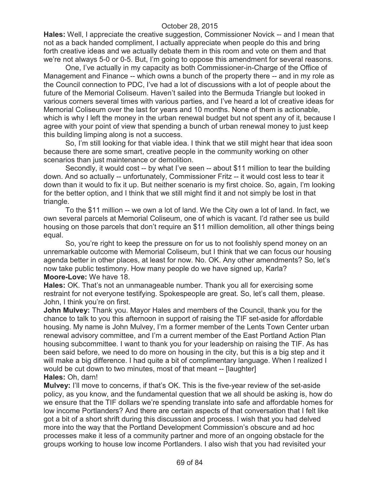**Hales:** Well, I appreciate the creative suggestion, Commissioner Novick -- and I mean that not as a back handed compliment, I actually appreciate when people do this and bring forth creative ideas and we actually debate them in this room and vote on them and that we're not always 5-0 or 0-5. But, I'm going to oppose this amendment for several reasons.

One, I've actually in my capacity as both Commissioner-in-Charge of the Office of Management and Finance -- which owns a bunch of the property there -- and in my role as the Council connection to PDC, I've had a lot of discussions with a lot of people about the future of the Memorial Coliseum. Haven't sailed into the Bermuda Triangle but looked in various corners several times with various parties, and I've heard a lot of creative ideas for Memorial Coliseum over the last for years and 10 months. None of them is actionable, which is why I left the money in the urban renewal budget but not spent any of it, because I agree with your point of view that spending a bunch of urban renewal money to just keep this building limping along is not a success.

So, I'm still looking for that viable idea. I think that we still might hear that idea soon because there are some smart, creative people in the community working on other scenarios than just maintenance or demolition.

Secondly, it would cost -- by what I've seen -- about \$11 million to tear the building down. And so actually -- unfortunately, Commissioner Fritz -- it would cost less to tear it down than it would to fix it up. But neither scenario is my first choice. So, again, I'm looking for the better option, and I think that we still might find it and not simply be lost in that triangle.

To the \$11 million -- we own a lot of land. We the City own a lot of land. In fact, we own several parcels at Memorial Coliseum, one of which is vacant. I'd rather see us build housing on those parcels that don't require an \$11 million demolition, all other things being equal.

So, you're right to keep the pressure on for us to not foolishly spend money on an unremarkable outcome with Memorial Coliseum, but I think that we can focus our housing agenda better in other places, at least for now. No. OK. Any other amendments? So, let's now take public testimony. How many people do we have signed up, Karla? **Moore-Love:** We have 18.

**Hales:** OK. That's not an unmanageable number. Thank you all for exercising some restraint for not everyone testifying. Spokespeople are great. So, let's call them, please. John, I think you're on first.

**John Mulvey:** Thank you. Mayor Hales and members of the Council, thank you for the chance to talk to you this afternoon in support of raising the TIF set-aside for affordable housing. My name is John Mulvey, I'm a former member of the Lents Town Center urban renewal advisory committee, and I'm a current member of the East Portland Action Plan housing subcommittee. I want to thank you for your leadership on raising the TIF. As has been said before, we need to do more on housing in the city, but this is a big step and it will make a big difference. I had quite a bit of complimentary language. When I realized I would be cut down to two minutes, most of that meant -- [laughter] **Hales:** Oh, darn!

**Mulvey:** I'll move to concerns, if that's OK. This is the five-year review of the set-aside policy, as you know, and the fundamental question that we all should be asking is, how do we ensure that the TIF dollars we're spending translate into safe and affordable homes for low income Portlanders? And there are certain aspects of that conversation that I felt like got a bit of a short shrift during this discussion and process. I wish that you had delved more into the way that the Portland Development Commission's obscure and ad hoc processes make it less of a community partner and more of an ongoing obstacle for the groups working to house low income Portlanders. I also wish that you had revisited your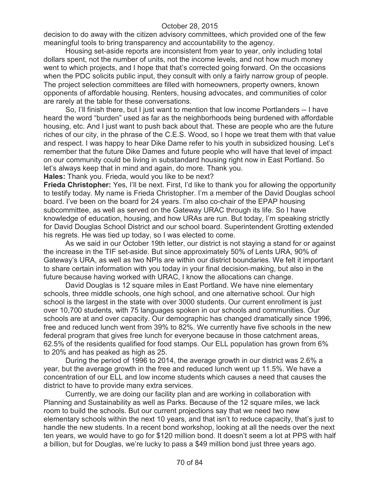decision to do away with the citizen advisory committees, which provided one of the few meaningful tools to bring transparency and accountability to the agency.

Housing set-aside reports are inconsistent from year to year, only including total dollars spent, not the number of units, not the income levels, and not how much money went to which projects, and I hope that that's corrected going forward. On the occasions when the PDC solicits public input, they consult with only a fairly narrow group of people. The project selection committees are filled with homeowners, property owners, known opponents of affordable housing. Renters, housing advocates, and communities of color are rarely at the table for these conversations.

So, I'll finish there, but I just want to mention that low income Portlanders -- I have heard the word "burden" used as far as the neighborhoods being burdened with affordable housing, etc. And I just want to push back about that. These are people who are the future riches of our city, in the phrase of the C.E.S. Wood, so I hope we treat them with that value and respect. I was happy to hear Dike Dame refer to his youth in subsidized housing. Let's remember that the future Dike Dames and future people who will have that level of impact on our community could be living in substandard housing right now in East Portland. So let's always keep that in mind and again, do more. Thank you.

**Hales:** Thank you. Frieda, would you like to be next?

**Frieda Christopher:** Yes, I'll be next. First, I'd like to thank you for allowing the opportunity to testify today. My name is Frieda Christopher. I'm a member of the David Douglas school board. I've been on the board for 24 years. I'm also co-chair of the EPAP housing subcommittee, as well as served on the Gateway URAC through its life. So I have knowledge of education, housing, and how URAs are run. But today, I'm speaking strictly for David Douglas School District and our school board. Superintendent Grotting extended his regrets. He was tied up today, so I was elected to come.

As we said in our October 19th letter, our district is not staying a stand for or against the increase in the TIF set-aside. But since approximately 50% of Lents URA, 90% of Gateway's URA, as well as two NPIs are within our district boundaries. We felt it important to share certain information with you today in your final decision-making, but also in the future because having worked with URAC, I know the allocations can change.

David Douglas is 12 square miles in East Portland. We have nine elementary schools, three middle schools, one high school, and one alternative school. Our high school is the largest in the state with over 3000 students. Our current enrollment is just over 10,700 students, with 75 languages spoken in our schools and communities. Our schools are at and over capacity. Our demographic has changed dramatically since 1996, free and reduced lunch went from 39% to 82%. We currently have five schools in the new federal program that gives free lunch for everyone because in those catchment areas, 62.5% of the residents qualified for food stamps. Our ELL population has grown from 6% to 20% and has peaked as high as 25.

During the period of 1996 to 2014, the average growth in our district was 2.6% a year, but the average growth in the free and reduced lunch went up 11.5%. We have a concentration of our ELL and low income students which causes a need that causes the district to have to provide many extra services.

Currently, we are doing our facility plan and are working in collaboration with Planning and Sustainability as well as Parks. Because of the 12 square miles, we lack room to build the schools. But our current projections say that we need two new elementary schools within the next 10 years, and that isn't to reduce capacity, that's just to handle the new students. In a recent bond workshop, looking at all the needs over the next ten years, we would have to go for \$120 million bond. It doesn't seem a lot at PPS with half a billion, but for Douglas, we're lucky to pass a \$49 million bond just three years ago.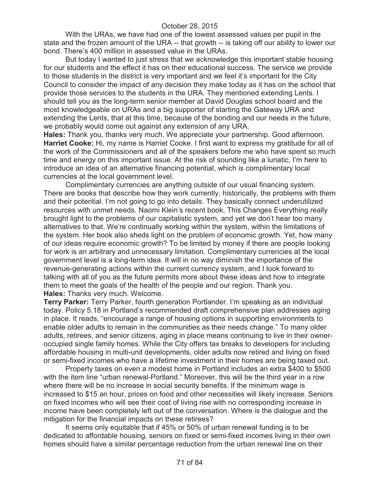With the URAs, we have had one of the lowest assessed values per pupil in the state and the frozen amount of the URA -- that growth -- is taking off our ability to lower our bond. There's 400 million in assessed value in the URAs.

But today I wanted to just stress that we acknowledge this important stable housing for our students and the effect it has on their educational success. The service we provide to those students in the district is very important and we feel it's important for the City Council to consider the impact of any decision they make today as it has on the school that provide those services to the students in the URA. They mentioned extending Lents. I should tell you as the long-term senior member at David Douglas school board and the most knowledgeable on URAs and a big supporter of starting the Gateway URA and extending the Lents, that at this time, because of the bonding and our needs in the future, we probably would come out against any extension of any URA.

**Hales:** Thank you, thanks very much. We appreciate your partnership. Good afternoon. **Harriet Cooke:** Hi, my name is Harriet Cooke. I first want to express my gratitude for all of the work of the Commissioners and all of the speakers before me who have spent so much time and energy on this important issue. At the risk of sounding like a lunatic, I'm here to introduce an idea of an alternative financing potential, which is complimentary local currencies at the local government level.

Complimentary currencies are anything outside of our usual financing system. There are books that describe how they work currently, historically, the problems with them and their potential. I'm not going to go into details. They basically connect underutilized resources with unmet needs. Naomi Klein's recent book, This Changes Everything really brought light to the problems of our capitalistic system, and yet we don't hear too many alternatives to that. We're continually working within the system, within the limitations of the system. Her book also sheds light on the problem of economic growth. Yet, how many of our ideas require economic growth? To be limited by money if there are people looking for work is an arbitrary and unnecessary limitation. Complimentary currencies at the local government level is a long-term idea. It will in no way diminish the importance of the revenue-generating actions within the current currency system, and I look forward to talking with all of you as the future permits more about these ideas and how to integrate them to meet the goals of the health of the people and our region. Thank you. **Hales:** Thanks very much. Welcome.

**Terry Parker:** Terry Parker, fourth generation Portlander. I'm speaking as an individual today. Policy 5.18 in Portland's recommended draft comprehensive plan addresses aging in place. It reads, "encourage a range of housing options in supporting environments to enable older adults to remain in the communities as their needs change." To many older adults, retirees, and senior citizens, aging in place means continuing to live in their owneroccupied single family homes. While the City offers tax breaks to developers for including affordable housing in multi-unit developments, older adults now retired and living on fixed or semi-fixed incomes who have a lifetime investment in their homes are being taxed out.

Property taxes on even a modest home in Portland includes an extra \$400 to \$500 with the item line "urban renewal-Portland." Moreover, this will be the third year in a row where there will be no increase in social security benefits. If the minimum wage is increased to \$15 an hour, prices on food and other necessities will likely increase. Seniors on fixed incomes who will see their cost of living rise with no corresponding increase in income have been completely left out of the conversation. Where is the dialogue and the mitigation for the financial impacts on these retirees?

It seems only equitable that if 45% or 50% of urban renewal funding is to be dedicated to affordable housing, seniors on fixed or semi-fixed incomes living in their own homes should have a similar percentage reduction from the urban renewal line on their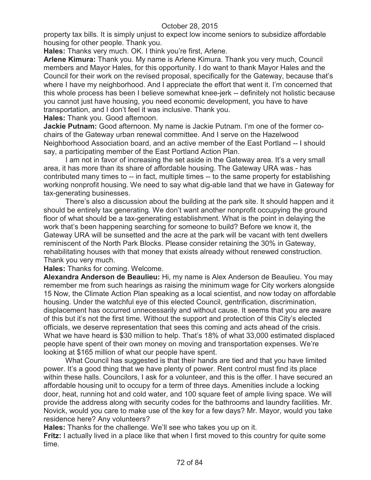property tax bills. It is simply unjust to expect low income seniors to subsidize affordable housing for other people. Thank you.

**Hales:** Thanks very much. OK. I think you're first, Arlene.

**Arlene Kimura:** Thank you. My name is Arlene Kimura. Thank you very much, Council members and Mayor Hales, for this opportunity. I do want to thank Mayor Hales and the Council for their work on the revised proposal, specifically for the Gateway, because that's where I have my neighborhood. And I appreciate the effort that went it. I'm concerned that this whole process has been I believe somewhat knee-jerk -- definitely not holistic because you cannot just have housing, you need economic development, you have to have transportation, and I don't feel it was inclusive. Thank you.

**Hales:** Thank you. Good afternoon.

**Jackie Putnam:** Good afternoon. My name is Jackie Putnam. I'm one of the former cochairs of the Gateway urban renewal committee. And I serve on the Hazelwood Neighborhood Association board, and an active member of the East Portland -- I should say, a participating member of the East Portland Action Plan.

I am not in favor of increasing the set aside in the Gateway area. It's a very small area, it has more than its share of affordable housing. The Gateway URA was - has contributed many times to -- in fact, multiple times -- to the same property for establishing working nonprofit housing. We need to say what dig-able land that we have in Gateway for tax-generating businesses.

There's also a discussion about the building at the park site. It should happen and it should be entirely tax generating. We don't want another nonprofit occupying the ground floor of what should be a tax-generating establishment. What is the point in delaying the work that's been happening searching for someone to build? Before we know it, the Gateway URA will be sunsetted and the acre at the park will be vacant with tent dwellers reminiscent of the North Park Blocks. Please consider retaining the 30% in Gateway, rehabilitating houses with that money that exists already without renewed construction. Thank you very much.

**Hales:** Thanks for coming. Welcome.

**Alexandra Anderson de Beaulieu:** Hi, my name is Alex Anderson de Beaulieu. You may remember me from such hearings as raising the minimum wage for City workers alongside 15 Now, the Climate Action Plan speaking as a local scientist, and now today on affordable housing. Under the watchful eye of this elected Council, gentrification, discrimination, displacement has occurred unnecessarily and without cause. It seems that you are aware of this but it's not the first time. Without the support and protection of this City's elected officials, we deserve representation that sees this coming and acts ahead of the crisis. What we have heard is \$30 million to help. That's 18% of what 33,000 estimated displaced people have spent of their own money on moving and transportation expenses. We're looking at \$165 million of what our people have spent.

What Council has suggested is that their hands are tied and that you have limited power. It's a good thing that we have plenty of power. Rent control must find its place within these halls. Councilors, I ask for a volunteer, and this is the offer. I have secured an affordable housing unit to occupy for a term of three days. Amenities include a locking door, heat, running hot and cold water, and 100 square feet of ample living space. We will provide the address along with security codes for the bathrooms and laundry facilities. Mr. Novick, would you care to make use of the key for a few days? Mr. Mayor, would you take residence here? Any volunteers?

**Hales:** Thanks for the challenge. We'll see who takes you up on it.

**Fritz:** I actually lived in a place like that when I first moved to this country for quite some time.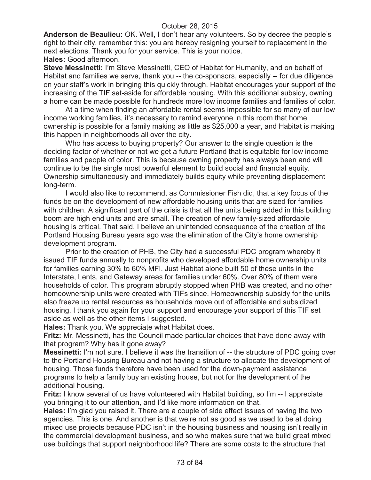**Anderson de Beaulieu:** OK. Well, I don't hear any volunteers. So by decree the people's right to their city, remember this: you are hereby resigning yourself to replacement in the next elections. Thank you for your service. This is your notice. **Hales:** Good afternoon.

**Steve Messinetti:** I'm Steve Messinetti, CEO of Habitat for Humanity, and on behalf of Habitat and families we serve, thank you -- the co-sponsors, especially -- for due diligence on your staff's work in bringing this quickly through. Habitat encourages your support of the increasing of the TIF set-aside for affordable housing. With this additional subsidy, owning a home can be made possible for hundreds more low income families and families of color.

At a time when finding an affordable rental seems impossible for so many of our low income working families, it's necessary to remind everyone in this room that home ownership is possible for a family making as little as \$25,000 a year, and Habitat is making this happen in neighborhoods all over the city.

Who has access to buying property? Our answer to the single question is the deciding factor of whether or not we get a future Portland that is equitable for low income families and people of color. This is because owning property has always been and will continue to be the single most powerful element to build social and financial equity. Ownership simultaneously and immediately builds equity while preventing displacement long-term.

I would also like to recommend, as Commissioner Fish did, that a key focus of the funds be on the development of new affordable housing units that are sized for families with children. A significant part of the crisis is that all the units being added in this building boom are high end units and are small. The creation of new family-sized affordable housing is critical. That said, I believe an unintended consequence of the creation of the Portland Housing Bureau years ago was the elimination of the City's home ownership development program.

Prior to the creation of PHB, the City had a successful PDC program whereby it issued TIF funds annually to nonprofits who developed affordable home ownership units for families earning 30% to 60% MFI. Just Habitat alone built 50 of these units in the Interstate, Lents, and Gateway areas for families under 60%. Over 80% of them were households of color. This program abruptly stopped when PHB was created, and no other homeownership units were created with TIFs since. Homeownership subsidy for the units also freeze up rental resources as households move out of affordable and subsidized housing. I thank you again for your support and encourage your support of this TIF set aside as well as the other items I suggested.

**Hales:** Thank you. We appreciate what Habitat does.

**Fritz:** Mr. Messinetti, has the Council made particular choices that have done away with that program? Why has it gone away?

**Messinetti:** I'm not sure. I believe it was the transition of -- the structure of PDC going over to the Portland Housing Bureau and not having a structure to allocate the development of housing. Those funds therefore have been used for the down-payment assistance programs to help a family buy an existing house, but not for the development of the additional housing.

**Fritz:** I know several of us have volunteered with Habitat building, so I'm -- I appreciate you bringing it to our attention, and I'd like more information on that.

**Hales:** I'm glad you raised it. There are a couple of side effect issues of having the two agencies. This is one. And another is that we're not as good as we used to be at doing mixed use projects because PDC isn't in the housing business and housing isn't really in the commercial development business, and so who makes sure that we build great mixed use buildings that support neighborhood life? There are some costs to the structure that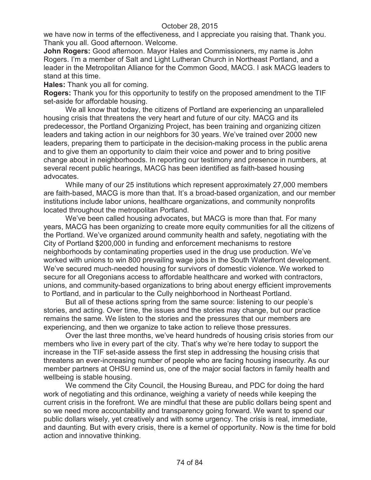we have now in terms of the effectiveness, and I appreciate you raising that. Thank you. Thank you all. Good afternoon. Welcome.

**John Rogers:** Good afternoon. Mayor Hales and Commissioners, my name is John Rogers. I'm a member of Salt and Light Lutheran Church in Northeast Portland, and a leader in the Metropolitan Alliance for the Common Good, MACG. I ask MACG leaders to stand at this time.

**Hales:** Thank you all for coming.

**Rogers:** Thank you for this opportunity to testify on the proposed amendment to the TIF set-aside for affordable housing.

We all know that today, the citizens of Portland are experiencing an unparalleled housing crisis that threatens the very heart and future of our city. MACG and its predecessor, the Portland Organizing Project, has been training and organizing citizen leaders and taking action in our neighbors for 30 years. We've trained over 2000 new leaders, preparing them to participate in the decision-making process in the public arena and to give them an opportunity to claim their voice and power and to bring positive change about in neighborhoods. In reporting our testimony and presence in numbers, at several recent public hearings, MACG has been identified as faith-based housing advocates.

While many of our 25 institutions which represent approximately 27,000 members are faith-based, MACG is more than that. It's a broad-based organization, and our member institutions include labor unions, healthcare organizations, and community nonprofits located throughout the metropolitan Portland.

We've been called housing advocates, but MACG is more than that. For many years, MACG has been organizing to create more equity communities for all the citizens of the Portland. We've organized around community health and safety, negotiating with the City of Portland \$200,000 in funding and enforcement mechanisms to restore neighborhoods by contaminating properties used in the drug use production. We've worked with unions to win 800 prevailing wage jobs in the South Waterfront development. We've secured much-needed housing for survivors of domestic violence. We worked to secure for all Oregonians access to affordable healthcare and worked with contractors, unions, and community-based organizations to bring about energy efficient improvements to Portland, and in particular to the Cully neighborhood in Northeast Portland.

But all of these actions spring from the same source: listening to our people's stories, and acting. Over time, the issues and the stories may change, but our practice remains the same. We listen to the stories and the pressures that our members are experiencing, and then we organize to take action to relieve those pressures.

Over the last three months, we've heard hundreds of housing crisis stories from our members who live in every part of the city. That's why we're here today to support the increase in the TIF set-aside assess the first step in addressing the housing crisis that threatens an ever-increasing number of people who are facing housing insecurity. As our member partners at OHSU remind us, one of the major social factors in family health and wellbeing is stable housing.

We commend the City Council, the Housing Bureau, and PDC for doing the hard work of negotiating and this ordinance, weighing a variety of needs while keeping the current crisis in the forefront. We are mindful that these are public dollars being spent and so we need more accountability and transparency going forward. We want to spend our public dollars wisely, yet creatively and with some urgency. The crisis is real, immediate, and daunting. But with every crisis, there is a kernel of opportunity. Now is the time for bold action and innovative thinking.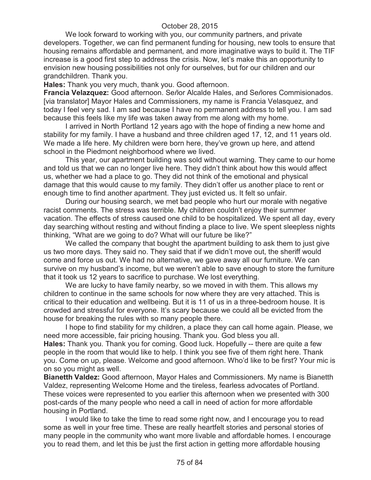We look forward to working with you, our community partners, and private developers. Together, we can find permanent funding for housing, new tools to ensure that housing remains affordable and permanent, and more imaginative ways to build it. The TIF increase is a good first step to address the crisis. Now, let's make this an opportunity to envision new housing possibilities not only for ourselves, but for our children and our grandchildren. Thank you.

**Hales:** Thank you very much, thank you. Good afternoon.

**Francia Velazquez:** Good afternoon. Se*ñ*or Alcalde Hales, and Se*ñ*ores Commisionados. [via translator] Mayor Hales and Commissioners, my name is Francia Velasquez, and today I feel very sad. I am sad because I have no permanent address to tell you. I am sad because this feels like my life was taken away from me along with my home.

I arrived in North Portland 12 years ago with the hope of finding a new home and stability for my family. I have a husband and three children aged 17, 12, and 11 years old. We made a life here. My children were born here, they've grown up here, and attend school in the Piedmont neighborhood where we lived.

This year, our apartment building was sold without warning. They came to our home and told us that we can no longer live here. They didn't think about how this would affect us, whether we had a place to go. They did not think of the emotional and physical damage that this would cause to my family. They didn't offer us another place to rent or enough time to find another apartment. They just evicted us. It felt so unfair.

During our housing search, we met bad people who hurt our morale with negative racist comments. The stress was terrible. My children couldn't enjoy their summer vacation. The effects of stress caused one child to be hospitalized. We spent all day, every day searching without resting and without finding a place to live. We spent sleepless nights thinking, "What are we going to do? What will our future be like?"

We called the company that bought the apartment building to ask them to just give us two more days. They said no. They said that if we didn't move out, the sheriff would come and force us out. We had no alternative, we gave away all our furniture. We can survive on my husband's income, but we weren't able to save enough to store the furniture that it took us 12 years to sacrifice to purchase. We lost everything.

We are lucky to have family nearby, so we moved in with them. This allows my children to continue in the same schools for now where they are very attached. This is critical to their education and wellbeing. But it is 11 of us in a three-bedroom house. It is crowded and stressful for everyone. It's scary because we could all be evicted from the house for breaking the rules with so many people there.

I hope to find stability for my children, a place they can call home again. Please, we need more accessible, fair pricing housing. Thank you. God bless you all. **Hales:** Thank you. Thank you for coming. Good luck. Hopefully -- there are quite a few people in the room that would like to help. I think you see five of them right here. Thank you. Come on up, please. Welcome and good afternoon. Who'd like to be first? Your mic is on so you might as well.

**Bianetth Valdez:** Good afternoon, Mayor Hales and Commissioners. My name is Bianetth Valdez, representing Welcome Home and the tireless, fearless advocates of Portland. These voices were represented to you earlier this afternoon when we presented with 300 post-cards of the many people who need a call in need of action for more affordable housing in Portland.

I would like to take the time to read some right now, and I encourage you to read some as well in your free time. These are really heartfelt stories and personal stories of many people in the community who want more livable and affordable homes. I encourage you to read them, and let this be just the first action in getting more affordable housing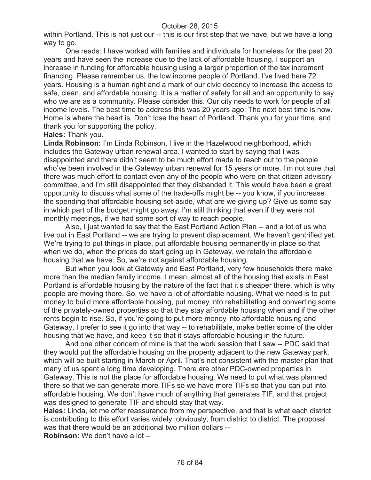within Portland. This is not just our -- this is our first step that we have, but we have a long way to go.

One reads: I have worked with families and individuals for homeless for the past 20 years and have seen the increase due to the lack of affordable housing. I support an increase in funding for affordable housing using a larger proportion of the tax increment financing. Please remember us, the low income people of Portland. I've lived here 72 years. Housing is a human right and a mark of our civic decency to increase the access to safe, clean, and affordable housing. It is a matter of safety for all and an opportunity to say who we are as a community. Please consider this. Our city needs to work for people of all income levels. The best time to address this was 20 years ago. The next best time is now. Home is where the heart is. Don't lose the heart of Portland. Thank you for your time, and thank you for supporting the policy.

#### **Hales:** Thank you.

**Linda Robinson:** I'm Linda Robinson, I live in the Hazelwood neighborhood, which includes the Gateway urban renewal area. I wanted to start by saying that I was disappointed and there didn't seem to be much effort made to reach out to the people who've been involved in the Gateway urban renewal for 15 years or more. I'm not sure that there was much effort to contact even any of the people who were on that citizen advisory committee, and I'm still disappointed that they disbanded it. This would have been a great opportunity to discuss what some of the trade-offs might be -- you know, if you increase the spending that affordable housing set-aside, what are we giving up? Give us some say in which part of the budget might go away. I'm still thinking that even if they were not monthly meetings, if we had some sort of way to reach people.

Also, I just wanted to say that the East Portland Action Plan -- and a lot of us who live out in East Portland -- we are trying to prevent displacement. We haven't gentrified yet. We're trying to put things in place, put affordable housing permanently in place so that when we do, when the prices do start going up in Gateway, we retain the affordable housing that we have. So, we're not against affordable housing.

But when you look at Gateway and East Portland, very few households there make more than the median family income. I mean, almost all of the housing that exists in East Portland is affordable housing by the nature of the fact that it's cheaper there, which is why people are moving there. So, we have a lot of affordable housing. What we need is to put money to build more affordable housing, put money into rehabilitating and converting some of the privately-owned properties so that they stay affordable housing when and if the other rents begin to rise. So, if you're going to put more money into affordable housing and Gateway, I prefer to see it go into that way -- to rehabilitate, make better some of the older housing that we have, and keep it so that it stays affordable housing in the future.

And one other concern of mine is that the work session that I saw -- PDC said that they would put the affordable housing on the property adjacent to the new Gateway park, which will be built starting in March or April. That's not consistent with the master plan that many of us spent a long time developing. There are other PDC-owned properties in Gateway. This is not the place for affordable housing. We need to put what was planned there so that we can generate more TIFs so we have more TIFs so that you can put into affordable housing. We don't have much of anything that generates TIF, and that project was designed to generate TIF and should stay that way.

**Hales:** Linda, let me offer reassurance from my perspective, and that is what each district is contributing to this effort varies widely, obviously, from district to district. The proposal was that there would be an additional two million dollars -- **Robinson:** We don't have a lot --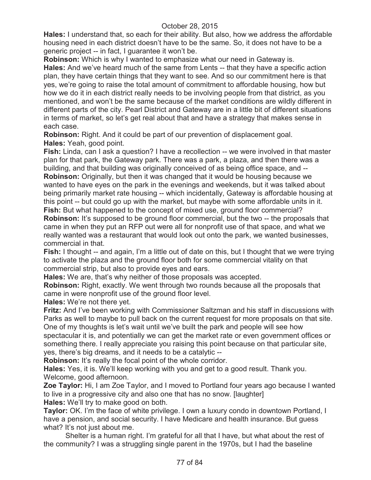**Hales:** I understand that, so each for their ability. But also, how we address the affordable housing need in each district doesn't have to be the same. So, it does not have to be a generic project -- in fact, I guarantee it won't be.

**Robinson:** Which is why I wanted to emphasize what our need in Gateway is. **Hales:** And we've heard much of the same from Lents -- that they have a specific action plan, they have certain things that they want to see. And so our commitment here is that yes, we're going to raise the total amount of commitment to affordable housing, how but how we do it in each district really needs to be involving people from that district, as you mentioned, and won't be the same because of the market conditions are wildly different in different parts of the city. Pearl District and Gateway are in a little bit of different situations in terms of market, so let's get real about that and have a strategy that makes sense in each case.

**Robinson:** Right. And it could be part of our prevention of displacement goal. **Hales:** Yeah, good point.

**Fish:** Linda, can I ask a question? I have a recollection -- we were involved in that master plan for that park, the Gateway park. There was a park, a plaza, and then there was a building, and that building was originally conceived of as being office space, and -- **Robinson:** Originally, but then it was changed that it would be housing because we wanted to have eyes on the park in the evenings and weekends, but it was talked about being primarily market rate housing -- which incidentally, Gateway is affordable housing at this point -- but could go up with the market, but maybe with some affordable units in it. **Fish:** But what happened to the concept of mixed use, ground floor commercial?

**Robinson:** It's supposed to be ground floor commercial, but the two -- the proposals that came in when they put an RFP out were all for nonprofit use of that space, and what we really wanted was a restaurant that would look out onto the park, we wanted businesses, commercial in that.

**Fish:** I thought -- and again, I'm a little out of date on this, but I thought that we were trying to activate the plaza and the ground floor both for some commercial vitality on that commercial strip, but also to provide eyes and ears.

**Hales:** We are, that's why neither of those proposals was accepted.

**Robinson:** Right, exactly. We went through two rounds because all the proposals that came in were nonprofit use of the ground floor level.

**Hales:** We're not there yet.

**Fritz:** And I've been working with Commissioner Saltzman and his staff in discussions with Parks as well to maybe to pull back on the current request for more proposals on that site. One of my thoughts is let's wait until we've built the park and people will see how

spectacular it is, and potentially we can get the market rate or even government offices or something there. I really appreciate you raising this point because on that particular site, yes, there's big dreams, and it needs to be a catalytic --

**Robinson:** It's really the focal point of the whole corridor.

**Hales:** Yes, it is. We'll keep working with you and get to a good result. Thank you. Welcome, good afternoon.

**Zoe Taylor:** Hi, I am Zoe Taylor, and I moved to Portland four years ago because I wanted to live in a progressive city and also one that has no snow. [laughter]

**Hales:** We'll try to make good on both.

**Taylor:** OK. I'm the face of white privilege. I own a luxury condo in downtown Portland, I have a pension, and social security. I have Medicare and health insurance. But guess what? It's not just about me.

Shelter is a human right. I'm grateful for all that I have, but what about the rest of the community? I was a struggling single parent in the 1970s, but I had the baseline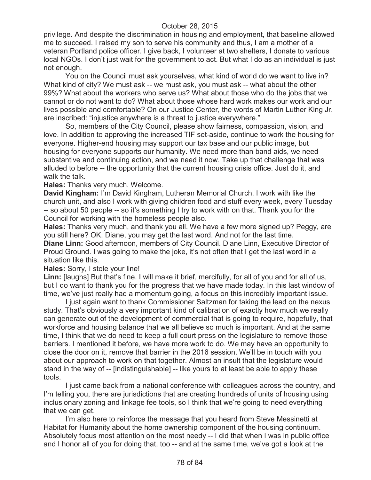privilege. And despite the discrimination in housing and employment, that baseline allowed me to succeed. I raised my son to serve his community and thus, I am a mother of a veteran Portland police officer. I give back, I volunteer at two shelters, I donate to various local NGOs. I don't just wait for the government to act. But what I do as an individual is just not enough.

You on the Council must ask yourselves, what kind of world do we want to live in? What kind of city? We must ask -- we must ask, you must ask -- what about the other 99%? What about the workers who serve us? What about those who do the jobs that we cannot or do not want to do? What about those whose hard work makes our work and our lives possible and comfortable? On our Justice Center, the words of Martin Luther King Jr. are inscribed: "injustice anywhere is a threat to justice everywhere."

So, members of the City Council, please show fairness, compassion, vision, and love. In addition to approving the increased TIF set-aside, continue to work the housing for everyone. Higher-end housing may support our tax base and our public image, but housing for everyone supports our humanity. We need more than band aids, we need substantive and continuing action, and we need it now. Take up that challenge that was alluded to before -- the opportunity that the current housing crisis office. Just do it, and walk the talk.

**Hales:** Thanks very much. Welcome.

**David Kingham:** I'm David Kingham, Lutheran Memorial Church. I work with like the church unit, and also I work with giving children food and stuff every week, every Tuesday -- so about 50 people -- so it's something I try to work with on that. Thank you for the Council for working with the homeless people also.

**Hales:** Thanks very much, and thank you all. We have a few more signed up? Peggy, are you still here? OK. Diane, you may get the last word. And not for the last time.

**Diane Linn:** Good afternoon, members of City Council. Diane Linn, Executive Director of Proud Ground. I was going to make the joke, it's not often that I get the last word in a situation like this.

**Hales:** Sorry, I stole your line!

**Linn:** [laughs] But that's fine. I will make it brief, mercifully, for all of you and for all of us, but I do want to thank you for the progress that we have made today. In this last window of time, we've just really had a momentum going, a focus on this incredibly important issue.

I just again want to thank Commissioner Saltzman for taking the lead on the nexus study. That's obviously a very important kind of calibration of exactly how much we really can generate out of the development of commercial that is going to require, hopefully, that workforce and housing balance that we all believe so much is important. And at the same time, I think that we do need to keep a full court press on the legislature to remove those barriers. I mentioned it before, we have more work to do. We may have an opportunity to close the door on it, remove that barrier in the 2016 session. We'll be in touch with you about our approach to work on that together. Almost an insult that the legislature would stand in the way of -- [indistinguishable] -- like yours to at least be able to apply these tools.

I just came back from a national conference with colleagues across the country, and I'm telling you, there are jurisdictions that are creating hundreds of units of housing using inclusionary zoning and linkage fee tools, so I think that we're going to need everything that we can get.

I'm also here to reinforce the message that you heard from Steve Messinetti at Habitat for Humanity about the home ownership component of the housing continuum. Absolutely focus most attention on the most needy -- I did that when I was in public office and I honor all of you for doing that, too -- and at the same time, we've got a look at the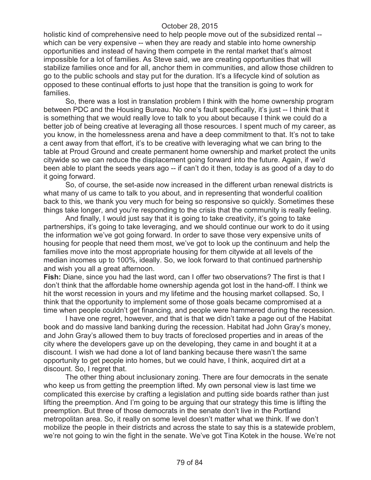holistic kind of comprehensive need to help people move out of the subsidized rental - which can be very expensive -- when they are ready and stable into home ownership opportunities and instead of having them compete in the rental market that's almost impossible for a lot of families. As Steve said, we are creating opportunities that will stabilize families once and for all, anchor them in communities, and allow those children to go to the public schools and stay put for the duration. It's a lifecycle kind of solution as opposed to these continual efforts to just hope that the transition is going to work for families.

So, there was a lost in translation problem I think with the home ownership program between PDC and the Housing Bureau. No one's fault specifically, it's just -- I think that it is something that we would really love to talk to you about because I think we could do a better job of being creative at leveraging all those resources. I spent much of my career, as you know, in the homelessness arena and have a deep commitment to that. It's not to take a cent away from that effort, it's to be creative with leveraging what we can bring to the table at Proud Ground and create permanent home ownership and market protect the units citywide so we can reduce the displacement going forward into the future. Again, if we'd been able to plant the seeds years ago -- if can't do it then, today is as good of a day to do it going forward.

So, of course, the set-aside now increased in the different urban renewal districts is what many of us came to talk to you about, and in representing that wonderful coalition back to this, we thank you very much for being so responsive so quickly. Sometimes these things take longer, and you're responding to the crisis that the community is really feeling.

And finally, I would just say that it is going to take creativity, it's going to take partnerships, it's going to take leveraging, and we should continue our work to do it using the information we've got going forward. In order to save those very expensive units of housing for people that need them most, we've got to look up the continuum and help the families move into the most appropriate housing for them citywide at all levels of the median incomes up to 100%, ideally. So, we look forward to that continued partnership and wish you all a great afternoon.

**Fish:** Diane, since you had the last word, can I offer two observations? The first is that I don't think that the affordable home ownership agenda got lost in the hand-off. I think we hit the worst recession in yours and my lifetime and the housing market collapsed. So, I think that the opportunity to implement some of those goals became compromised at a time when people couldn't get financing, and people were hammered during the recession.

I have one regret, however, and that is that we didn't take a page out of the Habitat book and do massive land banking during the recession. Habitat had John Gray's money, and John Gray's allowed them to buy tracts of foreclosed properties and in areas of the city where the developers gave up on the developing, they came in and bought it at a discount. I wish we had done a lot of land banking because there wasn't the same opportunity to get people into homes, but we could have, I think, acquired dirt at a discount. So, I regret that.

The other thing about inclusionary zoning. There are four democrats in the senate who keep us from getting the preemption lifted. My own personal view is last time we complicated this exercise by crafting a legislation and putting side boards rather than just lifting the preemption. And I'm going to be arguing that our strategy this time is lifting the preemption. But three of those democrats in the senate don't live in the Portland metropolitan area. So, it really on some level doesn't matter what we think. If we don't mobilize the people in their districts and across the state to say this is a statewide problem, we're not going to win the fight in the senate. We've got Tina Kotek in the house. We're not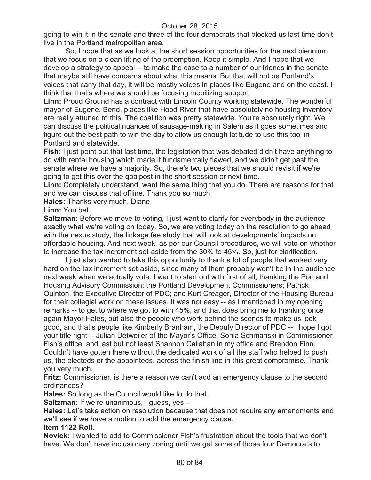going to win it in the senate and three of the four democrats that blocked us last time don't live in the Portland metropolitan area.

So, I hope that as we look at the short session opportunities for the next biennium that we focus on a clean lifting of the preemption. Keep it simple. And I hope that we develop a strategy to appeal -- to make the case to a number of our friends in the senate that maybe still have concerns about what this means. But that will not be Portland's voices that carry that day, it will be mostly voices in places like Eugene and on the coast. I think that that's where we should be focusing mobilizing support.

**Linn:** Proud Ground has a contract with Lincoln County working statewide. The wonderful mayor of Eugene, Bend, places like Hood River that have absolutely no housing inventory are really attuned to this. The coalition was pretty statewide. You're absolutely right. We can discuss the political nuances of sausage-making in Salem as it goes sometimes and figure out the best path to win the day to allow us enough latitude to use this tool in Portland and statewide.

**Fish:** I just point out that last time, the legislation that was debated didn't have anything to do with rental housing which made it fundamentally flawed, and we didn't get past the senate where we have a majority. So, there's two pieces that we should revisit if we're going to get this over the goalpost in the short session or next time.

**Linn:** Completely understand, want the same thing that you do. There are reasons for that and we can discuss that offline. Thank you so much.

**Hales:** Thanks very much, Diane.

**Linn:** You bet.

**Saltzman:** Before we move to voting, I just want to clarify for everybody in the audience exactly what we're voting on today. So, we are voting today on the resolution to go ahead with the nexus study, the linkage fee study that will look at developments' impacts on affordable housing. And next week, as per our Council procedures, we will vote on whether to increase the tax increment set-aside from the 30% to 45%. So, just for clarification.

I just also wanted to take this opportunity to thank a lot of people that worked very hard on the tax increment set-aside, since many of them probably won't be in the audience next week when we actually vote. I want to start out with first of all, thanking the Portland Housing Advisory Commission; the Portland Development Commissioners; Patrick Quinton, the Executive Director of PDC; and Kurt Creager, Director of the Housing Bureau for their collegial work on these issues. It was not easy -- as I mentioned in my opening remarks -- to get to where we got to with 45%, and that does bring me to thanking once again Mayor Hales, but also the people who work behind the scenes to make us look good, and that's people like Kimberly Branham, the Deputy Director of PDC -- I hope I got your title right -- Julian Detweiler of the Mayor's Office, Sonia Schmanski in Commissioner Fish's office, and last but not least Shannon Callahan in my office and Brendon Finn. Couldn't have gotten there without the dedicated work of all the staff who helped to push us, the electeds or the appointeds, across the finish line in this great compromise. Thank you very much.

**Fritz:** Commissioner, is there a reason we can't add an emergency clause to the second ordinances?

**Hales:** So long as the Council would like to do that.

**Saltzman:** If we're unanimous, I guess, yes --

**Hales:** Let's take action on resolution because that does not require any amendments and we'll see if we have a motion to add the emergency clause.

**Item 1122 Roll.**

**Novick:** I wanted to add to Commissioner Fish's frustration about the tools that we don't have. We don't have inclusionary zoning until we get some of those four Democrats to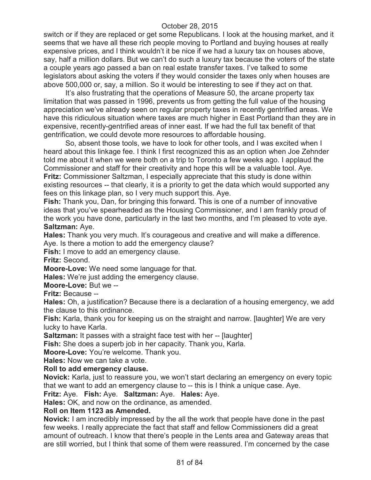switch or if they are replaced or get some Republicans. I look at the housing market, and it seems that we have all these rich people moving to Portland and buying houses at really expensive prices, and I think wouldn't it be nice if we had a luxury tax on houses above, say, half a million dollars. But we can't do such a luxury tax because the voters of the state a couple years ago passed a ban on real estate transfer taxes. I've talked to some legislators about asking the voters if they would consider the taxes only when houses are above 500,000 or, say, a million. So it would be interesting to see if they act on that.

It's also frustrating that the operations of Measure 50, the arcane property tax limitation that was passed in 1996, prevents us from getting the full value of the housing appreciation we've already seen on regular property taxes in recently gentrified areas. We have this ridiculous situation where taxes are much higher in East Portland than they are in expensive, recently-gentrified areas of inner east. If we had the full tax benefit of that gentrification, we could devote more resources to affordable housing.

So, absent those tools, we have to look for other tools, and I was excited when I heard about this linkage fee. I think I first recognized this as an option when Joe Zehnder told me about it when we were both on a trip to Toronto a few weeks ago. I applaud the Commissioner and staff for their creativity and hope this will be a valuable tool. Aye. **Fritz:** Commissioner Saltzman, I especially appreciate that this study is done within existing resources -- that clearly, it is a priority to get the data which would supported any fees on this linkage plan, so I very much support this. Aye.

**Fish:** Thank you, Dan, for bringing this forward. This is one of a number of innovative ideas that you've spearheaded as the Housing Commissioner, and I am frankly proud of the work you have done, particularly in the last two months, and I'm pleased to vote aye. **Saltzman:** Aye.

**Hales:** Thank you very much. It's courageous and creative and will make a difference.

Aye. Is there a motion to add the emergency clause?

**Fish:** I move to add an emergency clause.

**Fritz:** Second.

**Moore-Love:** We need some language for that.

**Hales:** We're just adding the emergency clause.

**Moore-Love:** But we --

**Fritz:** Because --

**Hales:** Oh, a justification? Because there is a declaration of a housing emergency, we add the clause to this ordinance.

**Fish:** Karla, thank you for keeping us on the straight and narrow. [laughter] We are very lucky to have Karla.

**Saltzman:** It passes with a straight face test with her -- [laughter]

**Fish:** She does a superb job in her capacity. Thank you, Karla.

**Moore-Love:** You're welcome. Thank you.

**Hales:** Now we can take a vote.

### **Roll to add emergency clause.**

**Novick:** Karla, just to reassure you, we won't start declaring an emergency on every topic that we want to add an emergency clause to -- this is I think a unique case. Aye.

**Fritz:** Aye. **Fish:** Aye. **Saltzman:** Aye. **Hales:** Aye.

**Hales:** OK, and now on the ordinance, as amended.

### **Roll on Item 1123 as Amended.**

**Novick:** I am incredibly impressed by the all the work that people have done in the past few weeks. I really appreciate the fact that staff and fellow Commissioners did a great amount of outreach. I know that there's people in the Lents area and Gateway areas that are still worried, but I think that some of them were reassured. I'm concerned by the case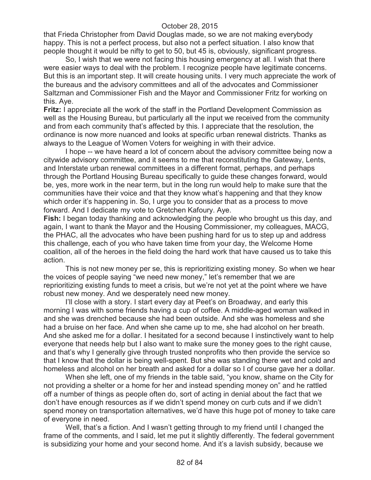that Frieda Christopher from David Douglas made, so we are not making everybody happy. This is not a perfect process, but also not a perfect situation. I also know that people thought it would be nifty to get to 50, but 45 is, obviously, significant progress.

So, I wish that we were not facing this housing emergency at all. I wish that there were easier ways to deal with the problem. I recognize people have legitimate concerns. But this is an important step. It will create housing units. I very much appreciate the work of the bureaus and the advisory committees and all of the advocates and Commissioner Saltzman and Commissioner Fish and the Mayor and Commissioner Fritz for working on this. Aye.

**Fritz:** I appreciate all the work of the staff in the Portland Development Commission as well as the Housing Bureau, but particularly all the input we received from the community and from each community that's affected by this. I appreciate that the resolution, the ordinance is now more nuanced and looks at specific urban renewal districts. Thanks as always to the League of Women Voters for weighing in with their advice.

I hope -- we have heard a lot of concern about the advisory committee being now a citywide advisory committee, and it seems to me that reconstituting the Gateway, Lents, and Interstate urban renewal committees in a different format, perhaps, and perhaps through the Portland Housing Bureau specifically to guide these changes forward, would be, yes, more work in the near term, but in the long run would help to make sure that the communities have their voice and that they know what's happening and that they know which order it's happening in. So, I urge you to consider that as a process to move forward. And I dedicate my vote to Gretchen Kafoury. Aye.

**Fish:** I began today thanking and acknowledging the people who brought us this day, and again, I want to thank the Mayor and the Housing Commissioner, my colleagues, MACG, the PHAC, all the advocates who have been pushing hard for us to step up and address this challenge, each of you who have taken time from your day, the Welcome Home coalition, all of the heroes in the field doing the hard work that have caused us to take this action.

This is not new money per se, this is reprioritizing existing money. So when we hear the voices of people saying "we need new money," let's remember that we are reprioritizing existing funds to meet a crisis, but we're not yet at the point where we have robust new money. And we desperately need new money.

I'll close with a story. I start every day at Peet's on Broadway, and early this morning I was with some friends having a cup of coffee. A middle-aged woman walked in and she was drenched because she had been outside. And she was homeless and she had a bruise on her face. And when she came up to me, she had alcohol on her breath. And she asked me for a dollar. I hesitated for a second because I instinctively want to help everyone that needs help but I also want to make sure the money goes to the right cause, and that's why I generally give through trusted nonprofits who then provide the service so that I know that the dollar is being well-spent. But she was standing there wet and cold and homeless and alcohol on her breath and asked for a dollar so I of course gave her a dollar.

When she left, one of my friends in the table said, "you know, shame on the City for not providing a shelter or a home for her and instead spending money on" and he rattled off a number of things as people often do, sort of acting in denial about the fact that we don't have enough resources as if we didn't spend money on curb cuts and if we didn't spend money on transportation alternatives, we'd have this huge pot of money to take care of everyone in need.

Well, that's a fiction. And I wasn't getting through to my friend until I changed the frame of the comments, and I said, let me put it slightly differently. The federal government is subsidizing your home and your second home. And it's a lavish subsidy, because we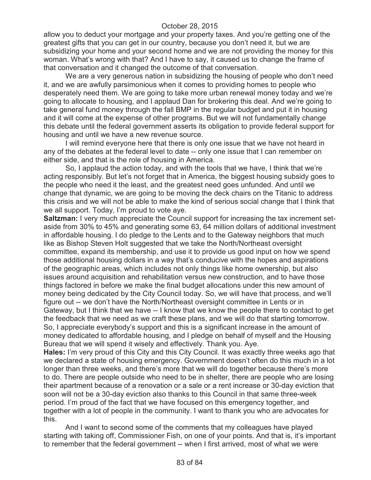allow you to deduct your mortgage and your property taxes. And you're getting one of the greatest gifts that you can get in our country, because you don't need it, but we are subsidizing your home and your second home and we are not providing the money for this woman. What's wrong with that? And I have to say, it caused us to change the frame of that conversation and it changed the outcome of that conversation.

We are a very generous nation in subsidizing the housing of people who don't need it, and we are awfully parsimonious when it comes to providing homes to people who desperately need them. We are going to take more urban renewal money today and we're going to allocate to housing, and I applaud Dan for brokering this deal. And we're going to take general fund money through the fall BMP in the regular budget and put it in housing and it will come at the expense of other programs. But we will not fundamentally change this debate until the federal government asserts its obligation to provide federal support for housing and until we have a new revenue source.

I will remind everyone here that there is only one issue that we have not heard in any of the debates at the federal level to date -- only one issue that I can remember on either side, and that is the role of housing in America.

So, I applaud the action today, and with the tools that we have, I think that we're acting responsibly. But let's not forget that in America, the biggest housing subsidy goes to the people who need it the least, and the greatest need goes unfunded. And until we change that dynamic, we are going to be moving the deck chairs on the Titanic to address this crisis and we will not be able to make the kind of serious social change that I think that we all support. Today, I'm proud to vote aye.

**Saltzman:** I very much appreciate the Council support for increasing the tax increment setaside from 30% to 45% and generating some 63, 64 million dollars of additional investment in affordable housing. I do pledge to the Lents and to the Gateway neighbors that much like as Bishop Steven Holt suggested that we take the North/Northeast oversight committee, expand its membership, and use it to provide us good input on how we spend those additional housing dollars in a way that's conducive with the hopes and aspirations of the geographic areas, which includes not only things like home ownership, but also issues around acquisition and rehabilitation versus new construction, and to have those things factored in before we make the final budget allocations under this new amount of money being dedicated by the City Council today. So, we will have that process, and we'll figure out -- we don't have the North/Northeast oversight committee in Lents or in Gateway, but I think that we have -- I know that we know the people there to contact to get the feedback that we need as we craft these plans, and we will do that starting tomorrow. So, I appreciate everybody's support and this is a significant increase in the amount of money dedicated to affordable housing, and I pledge on behalf of myself and the Housing Bureau that we will spend it wisely and effectively. Thank you. Aye.

**Hales:** I'm very proud of this City and this City Council. It was exactly three weeks ago that we declared a state of housing emergency. Government doesn't often do this much in a lot longer than three weeks, and there's more that we will do together because there's more to do. There are people outside who need to be in shelter, there are people who are losing their apartment because of a renovation or a sale or a rent increase or 30-day eviction that soon will not be a 30-day eviction also thanks to this Council in that same three-week period. I'm proud of the fact that we have focused on this emergency together, and together with a lot of people in the community. I want to thank you who are advocates for this.

And I want to second some of the comments that my colleagues have played starting with taking off, Commissioner Fish, on one of your points. And that is, it's important to remember that the federal government -- when I first arrived, most of what we were